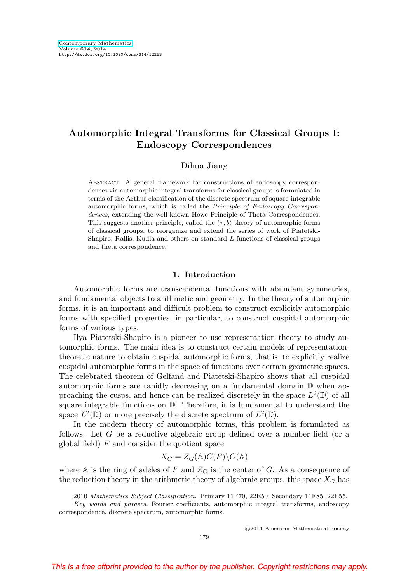# **Automorphic Integral Transforms for Classical Groups I: Endoscopy Correspondences**

### Dihua Jiang

Abstract. A general framework for constructions of endoscopy correspondences via automorphic integral transforms for classical groups is formulated in terms of the Arthur classification of the discrete spectrum of square-integrable automorphic forms, which is called the Principle of Endoscopy Correspondences, extending the well-known Howe Principle of Theta Correspondences. This suggests another principle, called the  $(\tau, b)$ -theory of automorphic forms of classical groups, to reorganize and extend the series of work of Piatetski-Shapiro, Rallis, Kudla and others on standard L-functions of classical groups and theta correspondence.

## **1. Introduction**

Automorphic forms are transcendental functions with abundant symmetries, and fundamental objects to arithmetic and geometry. In the theory of automorphic forms, it is an important and difficult problem to construct explicitly automorphic forms with specified properties, in particular, to construct cuspidal automorphic forms of various types.

Ilya Piatetski-Shapiro is a pioneer to use representation theory to study automorphic forms. The main idea is to construct certain models of representationtheoretic nature to obtain cuspidal automorphic forms, that is, to explicitly realize cuspidal automorphic forms in the space of functions over certain geometric spaces. The celebrated theorem of Gelfand and Piatetski-Shapiro shows that all cuspidal automorphic forms are rapidly decreasing on a fundamental domain D when approaching the cusps, and hence can be realized discretely in the space  $L^2(\mathbb{D})$  of all square integrable functions on  $\mathbb{D}$ . Therefore, it is fundamental to understand the space  $L^2(\mathbb{D})$  or more precisely the discrete spectrum of  $L^2(\mathbb{D})$ .

In the modern theory of automorphic forms, this problem is formulated as follows. Let  $G$  be a reductive algebraic group defined over a number field (or a global field)  $F$  and consider the quotient space

$$
X_G = Z_G(\mathbb{A})G(F)\backslash G(\mathbb{A})
$$

where A is the ring of adeles of F and  $Z_G$  is the center of G. As a consequence of the reduction theory in the arithmetic theory of algebraic groups, this space  $X_G$  has

<sup>2010</sup> Mathematics Subject Classification. Primary 11F70, 22E50; Secondary 11F85, 22E55.

Key words and phrases. Fourier coefficients, automorphic integral transforms, endoscopy correspondence, discrete spectrum, automorphic forms.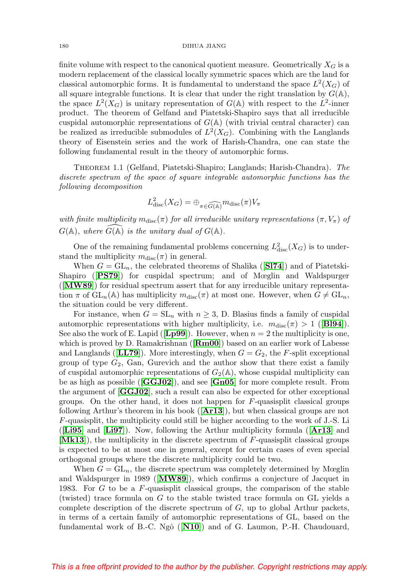finite volume with respect to the canonical quotient measure. Geometrically  $X_G$  is a modern replacement of the classical locally symmetric spaces which are the land for classical automorphic forms. It is fundamental to understand the space  $L^2(X_G)$  of all square integrable functions. It is clear that under the right translation by  $G(\mathbb{A}),$ the space  $L^2(X_G)$  is unitary representation of  $G(A)$  with respect to the  $L^2$ -inner product. The theorem of Gelfand and Piatetski-Shapiro says that all irreducible cuspidal automorphic representations of  $G(\mathbb{A})$  (with trivial central character) can be realized as irreducible submodules of  $L^2(X_G)$ . Combining with the Langlands theory of Eisenstein series and the work of Harish-Chandra, one can state the following fundamental result in the theory of automorphic forms.

<span id="page-1-0"></span>Theorem 1.1 (Gelfand, Piatetski-Shapiro; Langlands; Harish-Chandra). The discrete spectrum of the space of square integrable automorphic functions has the following decomposition

$$
L^2_{\text{disc}}(X_G) = \bigoplus_{\pi \in \widehat{G(\mathbb{A})}} m_{\text{disc}}(\pi) V_{\pi}
$$

with finite multiplicity  $m_{disc}(\pi)$  for all irreducible unitary representations  $(\pi, V_{\pi})$  of  $G(\mathbb{A})$ , where  $\widehat{G(\mathbb{A})}$  is the unitary dual of  $G(\mathbb{A})$ .

One of the remaining fundamental problems concerning  $L^2_{\text{disc}}(X_G)$  is to understand the multiplicity  $m_{disc}(\pi)$  in general.

When  $G = GL_n$ , the celebrated theorems of Shalika ([**[Sl74](#page-62-0)**]) and of Piatetski-Shapiro ([**[PS79](#page-62-1)**]) for cuspidal spectrum; and of Mœglin and Waldspurger ([**[MW89](#page-61-0)**]) for residual spectrum assert that for any irreducible unitary representation  $\pi$  of  $GL_n(\mathbb{A})$  has multiplicity  $m_{disc}(\pi)$  at most one. However, when  $G \neq GL_n$ , the situation could be very different.

For instance, when  $G = SL_n$  with  $n \geq 3$ , D. Blasius finds a family of cuspidal automorphic representations with higher multiplicity, i.e.  $m_{\text{disc}}(\pi) > 1$  ([**[Bl94](#page-55-0)**]). See also the work of E. Lapid ( $[Lp99]$  $[Lp99]$  $[Lp99]$ ). However, when  $n = 2$  the multiplicity is one, which is proved by D. Ramakrishnan ([**[Rm00](#page-62-2)**]) based on an earlier work of Labesse and Langlands ( $[\mathbf{LL79}]$  $[\mathbf{LL79}]$  $[\mathbf{LL79}]$ ). More interestingly, when  $G = G_2$ , the F-split exceptional group of type  $G_2$ , Gan, Gurevich and the author show that there exist a family of cuspidal automorphic representations of  $G_2(\mathbb{A})$ , whose cuspidal multiplicity can be as high as possible ([**[GGJ02](#page-56-0)**]), and see [**[Gn05](#page-56-1)**] for more complete result. From the argument of [**[GGJ02](#page-56-0)**], such a result can also be expected for other exceptional groups. On the other hand, it does not happen for F-quasisplit classical groups following Arthur's theorem in his book ([**[Ar13](#page-55-1)**]), but when classical groups are not F-quasisplit, the multiplicity could still be higher according to the work of J.-S. Li ([**[Li95](#page-61-1)**] and [**[Li97](#page-61-2)**]). Now, following the Arthur multiplicity formula ([**[Ar13](#page-55-1)**] and [**[Mk13](#page-61-3)**]), the multiplicity in the discrete spectrum of F-quasisplit classical groups is expected to be at most one in general, except for certain cases of even special orthogonal groups where the discrete multiplicity could be two.

When  $G = GL_n$ , the discrete spectrum was completely determined by Mœglin and Waldspurger in 1989 ([**[MW89](#page-61-0)**]), which confirms a conjecture of Jacquet in 1983. For G to be a F-quasisplit classical groups, the comparison of the stable (twisted) trace formula on G to the stable twisted trace formula on GL yields a complete description of the discrete spectrum of  $G$ , up to global Arthur packets, in terms of a certain family of automorphic representations of GL, based on the fundamental work of B.-C. Ngô ([**[N10](#page-62-3)**]) and of G. Laumon, P.-H. Chaudouard,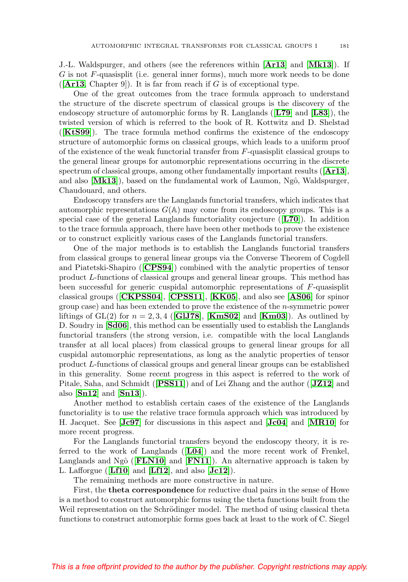J.-L. Waldspurger, and others (see the references within [**[Ar13](#page-55-1)**] and [**[Mk13](#page-61-3)**]). If G is not F-quasisplit (i.e. general inner forms), much more work needs to be done  $([Ar13, Chapter 9])$  $([Ar13, Chapter 9])$  $([Ar13, Chapter 9])$ . It is far from reach if G is of exceptional type.

One of the great outcomes from the trace formula approach to understand the structure of the discrete spectrum of classical groups is the discovery of the endoscopy structure of automorphic forms by R. Langlands ([**[L79](#page-60-2)**] and [**[L83](#page-60-3)**]), the twisted version of which is referred to the book of R. Kottwitz and D. Shelstad ([**[KtS99](#page-60-4)**]). The trace formula method confirms the existence of the endoscopy structure of automorphic forms on classical groups, which leads to a uniform proof of the existence of the weak functorial transfer from  $F$ -quasisplit classical groups to the general linear groups for automorphic representations occurring in the discrete spectrum of classical groups, among other fundamentally important results ([**[Ar13](#page-55-1)**], and also [[Mk13](#page-61-3)]), based on the fundamental work of Laumon, Ngô, Waldspurger, Chaudouard, and others.

Endoscopy transfers are the Langlands functorial transfers, which indicates that automorphic representations  $G(A)$  may come from its endoscopy groups. This is a special case of the general Langlands functoriality conjecture ([**[L70](#page-60-5)**]). In addition to the trace formula approach, there have been other methods to prove the existence or to construct explicitly various cases of the Langlands functorial transfers.

One of the major methods is to establish the Langlands functorial transfers from classical groups to general linear groups via the Converse Theorem of Cogdell and Piatetski-Shapiro ([**[CPS94](#page-55-2)**]) combined with the analytic properties of tensor product L-functions of classical groups and general linear groups. This method has been successful for generic cuspidal automorphic representations of F-quasisplit classical groups ([**[CKPSS04](#page-55-3)**], [**[CPSS11](#page-55-4)**], [**[KK05](#page-60-6)**], and also see [**[AS06](#page-55-5)**] for spinor group case) and has been extended to prove the existence of the n-symmetric power liftings of  $GL(2)$  for  $n = 2, 3, 4$  ([**GIJ78**], [**[KmS02](#page-60-7)**] and [**[Km03](#page-60-8)**]). As outlined by D. Soudry in [**[Sd06](#page-63-0)**], this method can be essentially used to establish the Langlands functorial transfers (the strong version, i.e. compatible with the local Langlands transfer at all local places) from classical groups to general linear groups for all cuspidal automorphic representations, as long as the analytic properties of tensor product L-functions of classical groups and general linear groups can be established in this generality. Some recent progress in this aspect is referred to the work of Pitale, Saha, and Schmidt ([**[PSS11](#page-62-4)**]) and of Lei Zhang and the author ([**[JZ12](#page-59-0)**] and also [**[Sn12](#page-62-5)**] and [**[Sn13](#page-62-6)**]).

Another method to establish certain cases of the existence of the Langlands functoriality is to use the relative trace formula approach which was introduced by H. Jacquet. See [**[Jc97](#page-58-0)**] for discussions in this aspect and [**[Jc04](#page-59-1)**] and [**[MR10](#page-61-4)**] for more recent progress.

For the Langlands functorial transfers beyond the endoscopy theory, it is referred to the work of Langlands ([**[L04](#page-60-9)**]) and the more recent work of Frenkel, Langlands and Ngô ( $[FLN10]$  $[FLN10]$  $[FLN10]$  and  $[FN11]$  $[FN11]$  $[FN11]$ ). An alternative approach is taken by L. Lafforgue ([**[Lf10](#page-60-10)**] and [**[Lf12](#page-60-11)**], and also [**[Jc12](#page-59-2)**]).

The remaining methods are more constructive in nature.

First, the **theta correspondence** for reductive dual pairs in the sense of Howe is a method to construct automorphic forms using the theta functions built from the Weil representation on the Schrödinger model. The method of using classical theta functions to construct automorphic forms goes back at least to the work of C. Siegel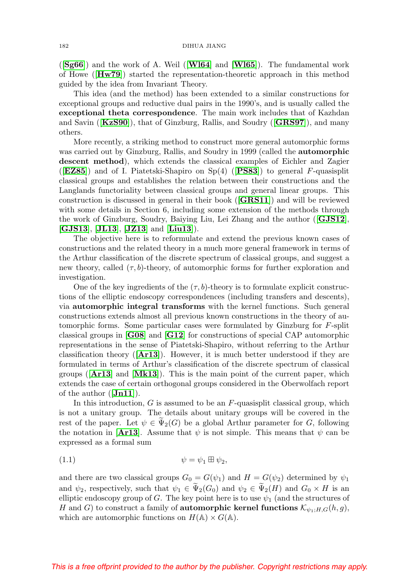([**[Sg66](#page-63-1)**]) and the work of A. Weil ([**[Wl64](#page-63-2)**] and [**[Wl65](#page-63-3)**]). The fundamental work of Howe ([**[Hw79](#page-58-1)**]) started the representation-theoretic approach in this method guided by the idea from Invariant Theory.

This idea (and the method) has been extended to a similar constructions for exceptional groups and reductive dual pairs in the 1990's, and is usually called the **exceptional theta correspondence**. The main work includes that of Kazhdan and Savin ([**[KzS90](#page-59-3)**]), that of Ginzburg, Rallis, and Soudry ([**[GRS97](#page-57-0)**]), and many others.

More recently, a striking method to construct more general automorphic forms was carried out by Ginzburg, Rallis, and Soudry in 1999 (called the **automorphic descent method**), which extends the classical examples of Eichler and Zagier ([**[EZ85](#page-55-8)**]) and of I. Piatetski-Shapiro on Sp(4) ([**[PS83](#page-62-7)**]) to general F-quasisplit classical groups and establishes the relation between their constructions and the Langlands functoriality between classical groups and general linear groups. This construction is discussed in general in their book ([**[GRS11](#page-57-1)**]) and will be reviewed with some details in Section 6, including some extension of the methods through the work of Ginzburg, Soudry, Baiying Liu, Lei Zhang and the author ([**[GJS12](#page-57-2)**], [**[GJS13](#page-57-3)**], [**[JL13](#page-59-4)**], [**[JZ13](#page-59-5)**] and [**[Liu13](#page-61-5)**]).

The objective here is to reformulate and extend the previous known cases of constructions and the related theory in a much more general framework in terms of the Arthur classification of the discrete spectrum of classical groups, and suggest a new theory, called  $(\tau, b)$ -theory, of automorphic forms for further exploration and investigation.

One of the key ingredients of the  $(\tau, b)$ -theory is to formulate explicit constructions of the elliptic endoscopy correspondences (including transfers and descents), via **automorphic integral transforms** with the kernel functions. Such general constructions extends almost all previous known constructions in the theory of automorphic forms. Some particular cases were formulated by Ginzburg for F-split classical groups in [**[G08](#page-56-3)**] and [**[G12](#page-56-4)**] for constructions of special CAP automorphic representations in the sense of Piatetski-Shapiro, without referring to the Arthur classification theory ([**[Ar13](#page-55-1)**]). However, it is much better understood if they are formulated in terms of Arthur's classification of the discrete spectrum of classical groups ([**[Ar13](#page-55-1)**] and [**[Mk13](#page-61-3)**]). This is the main point of the current paper, which extends the case of certain orthogonal groups considered in the Oberwolfach report of the author ([**[Jn11](#page-59-6)**]).

In this introduction,  $G$  is assumed to be an  $F$ -quasisplit classical group, which is not a unitary group. The details about unitary groups will be covered in the rest of the paper. Let  $\psi \in \Psi_2(G)$  be a global Arthur parameter for G, following<br>the patetion in [An12]. Againse that  $\psi$  is not simple. This means that  $\psi$  can be the notation in [**[Ar13](#page-55-1)**]. Assume that  $\psi$  is not simple. This means that  $\psi$  can be expressed as a formal sum

$$
\psi = \psi_1 \boxplus \psi_2,
$$

and there are two classical groups  $G_0 = G(\psi_1)$  and  $H = G(\psi_2)$  determined by  $\psi_1$ and  $\psi_2$ , respectively, such that  $\psi_1 \in \Psi_2(G_0)$  and  $\psi_2 \in \Psi_2(H)$  and  $G_0 \times H$  is an elliptic endoscopy group of G. The key point here is to use  $\psi_1$  (and the structures of H and G) to construct a family of **automorphic kernel functions**  $\mathcal{K}_{\psi_1:H,G}(h,g)$ , which are automorphic functions on  $H(\mathbb{A}) \times G(\mathbb{A})$ .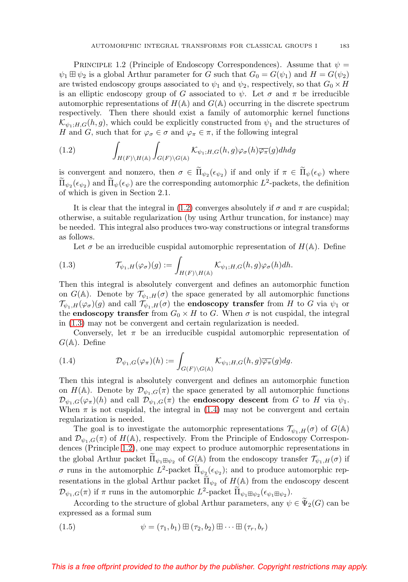<span id="page-4-3"></span>PRINCIPLE 1.2 (Principle of Endoscopy Correspondences). Assume that  $\psi =$  $\psi_1 \boxplus \psi_2$  is a global Arthur parameter for G such that  $G_0 = G(\psi_1)$  and  $H = G(\psi_2)$ are twisted endoscopy groups associated to  $\psi_1$  and  $\psi_2$ , respectively, so that  $G_0 \times H$ is an elliptic endoscopy group of G associated to  $\psi$ . Let  $\sigma$  and  $\pi$  be irreducible automorphic representations of  $H(\mathbb{A})$  and  $G(\mathbb{A})$  occurring in the discrete spectrum respectively. Then there should exist a family of automorphic kernel functions  $\mathcal{K}_{\psi_1;H,G}(h,g)$ , which could be explicitly constructed from  $\psi_1$  and the structures of H and G, such that for  $\varphi_{\sigma} \in \sigma$  and  $\varphi_{\pi} \in \pi$ , if the following integral

<span id="page-4-0"></span>(1.2) 
$$
\int_{H(F)\backslash H(\mathbb{A})}\int_{G(F)\backslash G(\mathbb{A})}\mathcal{K}_{\psi_1;H,G}(h,g)\varphi_{\sigma}(h)\overline{\varphi_{\pi}}(g)dhdg
$$

is convergent and nonzero, then  $\sigma \in \Pi_{\psi}(\epsilon_{\psi_2})$  if and only if  $\pi \in \Pi_{\psi}(\epsilon_{\psi})$  where  $\tilde{\Pi}_{\psi_2}(\epsilon_{\psi_2})$  and  $\tilde{\Pi}_{\psi}(\epsilon_{\psi})$  are the corresponding automorphic  $L^2$ -packets, the definition of which is given in Section 2.1.

It is clear that the integral in [\(1.2\)](#page-4-0) converges absolutely if  $\sigma$  and  $\pi$  are cuspidal; otherwise, a suitable regularization (by using Arthur truncation, for instance) may be needed. This integral also produces two-way constructions or integral transforms as follows.

Let  $\sigma$  be an irreducible cuspidal automorphic representation of  $H(\mathbb{A})$ . Define

<span id="page-4-1"></span>(1.3) 
$$
\mathcal{T}_{\psi_1,H}(\varphi_{\sigma})(g) := \int_{H(F)\backslash H(\mathbb{A})} \mathcal{K}_{\psi_1,H,G}(h,g) \varphi_{\sigma}(h) dh.
$$

Then this integral is absolutely convergent and defines an automorphic function on  $G(\mathbb{A})$ . Denote by  $\mathcal{T}_{\psi_1,H}(\sigma)$  the space generated by all automorphic functions  $\mathcal{T}_{\psi_1,H}(\varphi_{\sigma})(g)$  and call  $\mathcal{T}_{\psi_1,H}(\sigma)$  the **endoscopy transfer** from H to G via  $\psi_1$  or the **endoscopy transfer** from  $G_0 \times H$  to G. When  $\sigma$  is not cuspidal, the integral in [\(1.3\)](#page-4-1) may not be convergent and certain regularization is needed.

Conversely, let  $\pi$  be an irreducible cuspidal automorphic representation of  $G(\mathbb{A})$ . Define

<span id="page-4-2"></span>(1.4) 
$$
\mathcal{D}_{\psi_1,G}(\varphi_{\pi})(h) := \int_{G(F)\backslash G(\mathbb{A})} \mathcal{K}_{\psi_1;H,G}(h,g) \overline{\varphi_{\pi}}(g) dg.
$$

Then this integral is absolutely convergent and defines an automorphic function on  $H(\mathbb{A})$ . Denote by  $\mathcal{D}_{\psi_1,G}(\pi)$  the space generated by all automorphic functions  $\mathcal{D}_{\psi_1,G}(\varphi_{\pi})(h)$  and call  $\mathcal{D}_{\psi_1,G}(\pi)$  the **endoscopy descent** from G to H via  $\psi_1$ . When  $\pi$  is not cuspidal, the integral in [\(1.4\)](#page-4-2) may not be convergent and certain regularization is needed.

The goal is to investigate the automorphic representations  $\mathcal{T}_{\psi_1,H}(\sigma)$  of  $G(\mathbb{A})$ and  $\mathcal{D}_{\psi_1,G}(\pi)$  of  $H(\mathbb{A})$ , respectively. From the Principle of Endoscopy Correspondences (Principle [1.2\)](#page-4-3), one may expect to produce automorphic representations in the global Arthur packet  $\widetilde{\Pi}_{\psi_1 \boxplus \psi_2}$  of  $G(\mathbb{A})$  from the endoscopy transfer  $\mathcal{T}_{\psi_1,H}(\sigma)$  if σ runs in the automorphic  $L^2$ -packet  $\Pi_{\psi_2}(\epsilon_{\psi_2})$ ; and to produce automorphic representations in the global Arthur packet  $\widetilde{\Pi}_{\psi_2}$  of  $H(\mathbb{A})$  from the endoscopy descent  $\mathcal{D}_{\psi_1,G}(\pi)$  if  $\pi$  runs in the automorphic  $L^2$ -packet  $\widetilde{\Pi}_{\psi_1 \boxplus \psi_2}(\epsilon_{\psi_1 \boxplus \psi_2}).$ 

According to the structure of global Arthur parameters, any  $\psi \in \Psi_2(G)$  can be expressed as a formal sum

(1.5) 
$$
\psi = (\tau_1, b_1) \boxplus (\tau_2, b_2) \boxplus \cdots \boxplus (\tau_r, b_r)
$$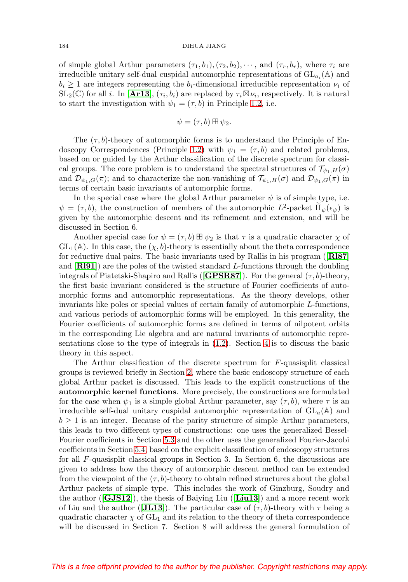of simple global Arthur parameters  $(\tau_1, b_1), (\tau_2, b_2), \cdots$ , and  $(\tau_r, b_r)$ , where  $\tau_i$  are irreducible unitary self-dual cuspidal automorphic representations of  $GL_{a_i}(\mathbb{A})$  and  $b_i \geq 1$  are integers representing the  $b_i$ -dimensional irreducible representation  $\nu_i$  of  $SL_2(\mathbb{C})$  for all i. In [**[Ar13](#page-55-1)**],  $(\tau_i, b_i)$  are replaced by  $\tau_i \boxtimes \nu_i$ , respectively. It is natural to start the investigation with  $\psi_1 = (\tau, b)$  in Principle [1.2,](#page-4-3) i.e.

$$
\psi=(\tau,b)\boxplus\psi_2.
$$

The  $(\tau, b)$ -theory of automorphic forms is to understand the Principle of En-doscopy Correspondences (Principle [1.2\)](#page-4-3) with  $\psi_1 = (\tau, b)$  and related problems, based on or guided by the Arthur classification of the discrete spectrum for classical groups. The core problem is to understand the spectral structures of  $\mathcal{T}_{\psi_1,H}(\sigma)$ and  $\mathcal{D}_{\psi_1,G}(\pi)$ ; and to characterize the non-vanishing of  $\mathcal{T}_{\psi_1,H}(\sigma)$  and  $\mathcal{D}_{\psi_1,G}(\pi)$  in terms of certain basic invariants of automorphic forms.

In the special case where the global Arthur parameter  $\psi$  is of simple type, i.e.  $\psi = (\tau, b)$ , the construction of members of the automorphic  $L^2$ -packet  $\tilde{\Pi}_{\psi}(\epsilon_{\psi})$  is given by the automorphic descent and its refinement and extension, and will be discussed in Section 6.

Another special case for  $\psi = (\tau, b) \boxplus \psi_2$  is that  $\tau$  is a quadratic character  $\chi$  of  $GL_1(\mathbb{A})$ . In this case, the  $(\chi, b)$ -theory is essentially about the theta correspondence for reductive dual pairs. The basic invariants used by Rallis in his program ([**[Rl87](#page-62-8)**] and [**[Rl91](#page-62-9)**]) are the poles of the twisted standard L-functions through the doubling integrals of Piatetski-Shapiro and Rallis ( $[\mathbf{GPSRS7}]$ ). For the general  $(\tau, b)$ -theory, the first basic invariant considered is the structure of Fourier coefficients of automorphic forms and automorphic representations. As the theory develops, other invariants like poles or special values of certain family of automorphic L-functions, and various periods of automorphic forms will be employed. In this generality, the Fourier coefficients of automorphic forms are defined in terms of nilpotent orbits in the corresponding Lie algebra and are natural invariants of automorphic representations close to the type of integrals in [\(1.2\)](#page-4-0). Section [4](#page-15-0) is to discuss the basic theory in this aspect.

The Arthur classification of the discrete spectrum for  $F$ -quasisplit classical groups is reviewed briefly in Section [2,](#page-6-0) where the basic endoscopy structure of each global Arthur packet is discussed. This leads to the explicit constructions of the **automorphic kernel functions**. More precisely, the constructions are formulated for the case when  $\psi_1$  is a simple global Arthur parameter, say  $(\tau, b)$ , where  $\tau$  is an irreducible self-dual unitary cuspidal automorphic representation of  $GL_a(\mathbb{A})$  and  $b \geq 1$  is an integer. Because of the parity structure of simple Arthur parameters, this leads to two different types of constructions: one uses the generalized Bessel-Fourier coefficients in Section [5.3](#page-25-0) and the other uses the generalized Fourier-Jacobi coefficients in Section [5.4,](#page-33-0) based on the explicit classification of endoscopy structures for all F-quasisplit classical groups in Section 3. In Section 6, the discussions are given to address how the theory of automorphic descent method can be extended from the viewpoint of the  $(\tau, b)$ -theory to obtain refined structures about the global Arthur packets of simple type. This includes the work of Ginzburg, Soudry and the author ([**[GJS12](#page-57-2)**]), the thesis of Baiying Liu ([**[Liu13](#page-61-5)**]) and a more recent work of Liu and the author ( $[JL13]$  $[JL13]$  $[JL13]$ ). The particular case of  $(\tau, b)$ -theory with  $\tau$  being a quadratic character  $\chi$  of  $GL_1$  and its relation to the theory of theta correspondence will be discussed in Section 7. Section 8 will address the general formulation of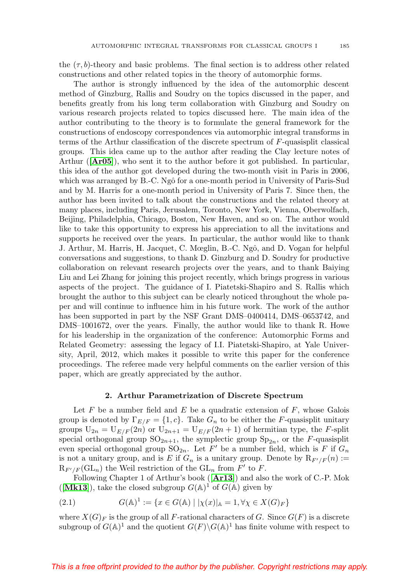the  $(\tau, b)$ -theory and basic problems. The final section is to address other related constructions and other related topics in the theory of automorphic forms.

The author is strongly influenced by the idea of the automorphic descent method of Ginzburg, Rallis and Soudry on the topics discussed in the paper, and benefits greatly from his long term collaboration with Ginzburg and Soudry on various research projects related to topics discussed here. The main idea of the author contributing to the theory is to formulate the general framework for the constructions of endoscopy correspondences via automorphic integral transforms in terms of the Arthur classification of the discrete spectrum of F-quasisplit classical groups. This idea came up to the author after reading the Clay lecture notes of Arthur ([**[Ar05](#page-55-9)**]), who sent it to the author before it got published. In particular, this idea of the author got developed during the two-month visit in Paris in 2006, which was arranged by B.-C. Ngô for a one-month period in University of Paris-Sud and by M. Harris for a one-month period in University of Paris 7. Since then, the author has been invited to talk about the constructions and the related theory at many places, including Paris, Jerusalem, Toronto, New York, Vienna, Oberwolfach, Beijing, Philadelphia, Chicago, Boston, New Haven, and so on. The author would like to take this opportunity to express his appreciation to all the invitations and supports he received over the years. In particular, the author would like to thank J. Arthur, M. Harris, H. Jacquet, C. Mœglin, B.-C. Ngô, and D. Vogan for helpful conversations and suggestions, to thank D. Ginzburg and D. Soudry for productive collaboration on relevant research projects over the years, and to thank Baiying Liu and Lei Zhang for joining this project recently, which brings progress in various aspects of the project. The guidance of I. Piatetski-Shapiro and S. Rallis which brought the author to this subject can be clearly noticed throughout the whole paper and will continue to influence him in his future work. The work of the author has been supported in part by the NSF Grant DMS–0400414, DMS–0653742, and DMS–1001672, over the years. Finally, the author would like to thank R. Howe for his leadership in the organization of the conference: Automorphic Forms and Related Geometry: assessing the legacy of I.I. Piatetski-Shapiro, at Yale University, April, 2012, which makes it possible to write this paper for the conference proceedings. The referee made very helpful comments on the earlier version of this paper, which are greatly appreciated by the author.

### **2. Arthur Parametrization of Discrete Spectrum**

<span id="page-6-0"></span>Let F be a number field and E be a quadratic extension of  $F$ , whose Galois group is denoted by  $\Gamma_{E/F} = \{1, c\}$ . Take  $G_n$  to be either the F-quasisplit unitary groups  $U_{2n} = U_{E/F}(2n)$  or  $U_{2n+1} = U_{E/F}(2n+1)$  of hermitian type, the *F*-split special orthogonal group  $SO_{2n+1}$ , the symplectic group  $Sp_{2n}$ , or the F-quasisplit even special orthogonal group  $\text{SO}_{2n}$ . Let F' be a number field, which is F if  $G_n$ is not a unitary group, and is E if  $G_n$  is a unitary group. Denote by  $R_{F'/F}(n) :=$  $R_{F'/F}(\mathrm{GL}_n)$  the Weil restriction of the  $\mathrm{GL}_n$  from  $F'$  to  $F$ .

Following Chapter 1 of Arthur's book ([**[Ar13](#page-55-1)**]) and also the work of C.-P. Mok ([[Mk13](#page-61-3)]), take the closed subgroup  $G(A)^1$  of  $G(A)$  given by

(2.1) 
$$
G(\mathbb{A})^1 := \{ x \in G(\mathbb{A}) \mid |\chi(x)|_{\mathbb{A}} = 1, \forall \chi \in X(G)_F \}
$$

where  $X(G)<sub>F</sub>$  is the group of all F-rational characters of G. Since  $G(F)$  is a discrete subgroup of  $G(\mathbb{A})^1$  and the quotient  $G(F)\backslash G(\mathbb{A})^1$  has finite volume with respect to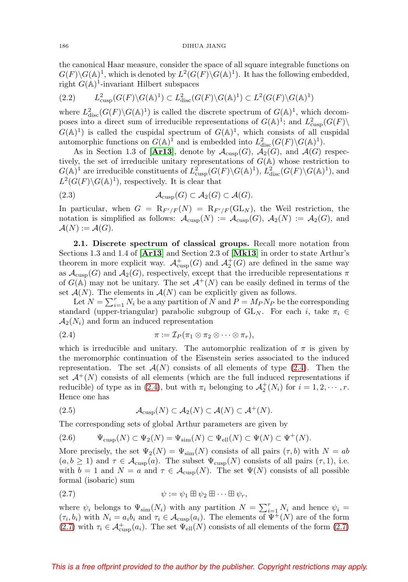the canonical Haar measure, consider the space of all square integrable functions on  $G(F)\backslash G(\mathbb{A})^1$ , which is denoted by  $L^2(G(F)\backslash G(\mathbb{A})^1)$ . It has the following embedded, right  $G(A)^1$ -invariant Hilbert subspaces

$$
(2.2) \qquad L^2_{\text{cusp}}(G(F)\backslash G(\mathbb{A})^1) \subset L^2_{\text{disc}}(G(F)\backslash G(\mathbb{A})^1) \subset L^2(G(F)\backslash G(\mathbb{A})^1)
$$

where  $L^2_{\text{disc}}(G(F) \backslash G(\mathbb{A})^1)$  is called the discrete spectrum of  $G(\mathbb{A})^1$ , which decomposes into a direct sum of irreducible representations of  $G(\mathbb{A})^1$ ; and  $L^2_{\text{cusp}}(G(F))$  $G(\mathbb{A})^1$ ) is called the cuspidal spectrum of  $G(\mathbb{A})^1$ , which consists of all cuspidal automorphic functions on  $G(\mathbb{A})^1$  and is embedded into  $L^2_{\text{disc}}(G(F) \backslash G(\mathbb{A})^1)$ .

As in Section 1.3 of [[Ar13](#page-55-1)], denote by  $\mathcal{A}_{\text{cusp}}(G)$ ,  $\mathcal{A}_2(G)$ , and  $\mathcal{A}(G)$  respectively, the set of irreducible unitary representations of  $G(A)$  whose restriction to  $G(\mathbb{A})^1$  are irreducible constituents of  $L^2_{\text{cusp}}(G(F) \backslash G(\mathbb{A})^1)$ ,  $L^2_{\text{disc}}(G(F) \backslash G(\mathbb{A})^1)$ , and  $L^2(G(F)\backslash G(\mathbb{A})^1)$ , respectively. It is clear that

(2.3) 
$$
\mathcal{A}_{\text{cusp}}(G) \subset \mathcal{A}_2(G) \subset \mathcal{A}(G).
$$

In particular, when  $G = R_{F'/F}(N) = R_{F'/F}(\text{GL}_N)$ , the Weil restriction, the notation is simplified as follows:  $\mathcal{A}_{\text{cusp}}(N) := \mathcal{A}_{\text{cusp}}(G)$ ,  $\mathcal{A}_2(N) := \mathcal{A}_2(G)$ , and  $\mathcal{A}(N) := \mathcal{A}(G).$ 

**2.1. Discrete spectrum of classical groups.** Recall more notation from Sections 1.3 and 1.4 of [**[Ar13](#page-55-1)**] and Section 2.3 of [**[Mk13](#page-61-3)**] in order to state Arthur's theorem in more explicit way.  $\mathcal{A}^+_{\text{cusp}}(G)$  and  $\mathcal{A}^+_2(G)$  are defined in the same way as  $\mathcal{A}_{\text{cusp}}(G)$  and  $\mathcal{A}_2(G)$ , respectively, except that the irreducible representations  $\pi$ of  $G(\mathbb{A})$  may not be unitary. The set  $\mathcal{A}^+(N)$  can be easily defined in terms of the set  $\mathcal{A}(N)$ . The elements in  $\mathcal{A}(N)$  can be explicitly given as follows.

Let  $N = \sum_{i=1}^{r} N_i$  be a any partition of N and  $P = M_P N_P$  be the corresponding standard (upper-triangular) parabolic subgroup of  $GL_N$ . For each i, take  $\pi_i \in$  $\mathcal{A}_2(N_i)$  and form an induced representation

<span id="page-7-0"></span>(2.4) 
$$
\pi := \mathcal{I}_P(\pi_1 \otimes \pi_2 \otimes \cdots \otimes \pi_r),
$$

which is irreducible and unitary. The automorphic realization of  $\pi$  is given by the meromorphic continuation of the Eisenstein series associated to the induced representation. The set  $\mathcal{A}(N)$  consists of all elements of type [\(2.4\)](#page-7-0). Then the set  $\mathcal{A}^+(N)$  consists of all elements (which are the full induced representations if reducible) of type as in [\(2.4\)](#page-7-0), but with  $\pi_i$  belonging to  $\mathcal{A}_2^+(N_i)$  for  $i = 1, 2, \cdots, r$ . Hence one has

(2.5) 
$$
\mathcal{A}_{\text{cusp}}(N) \subset \mathcal{A}_2(N) \subset \mathcal{A}(N) \subset \mathcal{A}^+(N).
$$

The corresponding sets of global Arthur parameters are given by

$$
(2.6) \t\Psi_{\text{cusp}}(N) \subset \Psi_2(N) = \Psi_{\text{sim}}(N) \subset \Psi_{\text{ell}}(N) \subset \Psi(N) \subset \Psi^+(N).
$$

More precisely, the set  $\Psi_2(N)=\Psi_{\text{sim}}(N)$  consists of all pairs  $(\tau,b)$  with  $N = ab$  $(a, b \ge 1)$  and  $\tau \in \mathcal{A}_{\text{cusp}}(a)$ . The subset  $\Psi_{\text{cusp}}(N)$  consists of all pairs  $(\tau, 1)$ , i.e. with  $b = 1$  and  $N = a$  and  $\tau \in \mathcal{A}_{\text{cusp}}(N)$ . The set  $\Psi(N)$  consists of all possible formal (isobaric) sum

<span id="page-7-1"></span>
$$
\psi := \psi_1 \boxplus \psi_2 \boxplus \cdots \boxplus \psi_r,
$$

where  $\psi_i$  belongs to  $\Psi_{\text{sim}}(N_i)$  with any partition  $N = \sum_{i=1}^r N_i$  and hence  $\psi_i =$  $(\tau_i, b_i)$  with  $N_i = a_i b_i$  and  $\tau_i \in \mathcal{A}_{\text{cusp}}(a_i)$ . The elements of  $\Psi^+(N)$  are of the form [\(2.7\)](#page-7-1) with  $\tau_i \in \mathcal{A}_{\text{cusp}}^+(a_i)$ . The set  $\Psi_{\text{ell}}(N)$  consists of all elements of the form (2.7)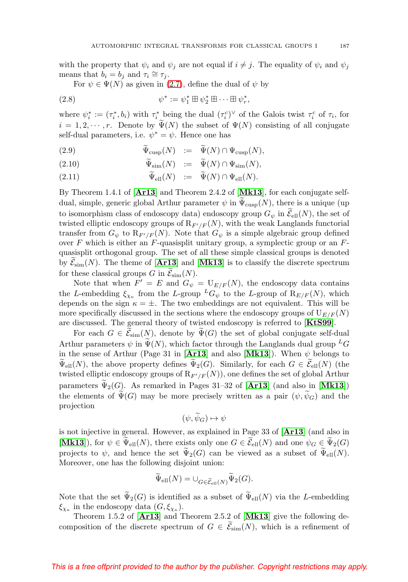with the property that  $\psi_i$  and  $\psi_j$  are not equal if  $i \neq j$ . The equality of  $\psi_i$  and  $\psi_j$ means that  $b_i = b_j$  and  $\tau_i \cong \tau_j$ .

For  $\psi \in \Psi(N)$  as given in [\(2.7\)](#page-7-1), define the dual of  $\psi$  by

(2.8) 
$$
\psi^* := \psi_1^* \boxplus \psi_2^* \boxplus \cdots \boxplus \psi_r^*,
$$

where  $\psi_i^* := (\tau_i^*, b_i)$  with  $\tau_i^*$  being the dual  $(\tau_i^c)^\vee$  of the Galois twist  $\tau_i^c$  of  $\tau_i$ , for  $i = 1, 2, \dots, r$ . Denote by  $\Psi(N)$  the subset of  $\Psi(N)$  consisting of all conjugate self-dual parameters, i.e.  $\psi^* = \psi$ . Hence one has

(2.9) 
$$
\Psi_{\text{cusp}}(N) := \Psi(N) \cap \Psi_{\text{cusp}}(N),
$$

(2.10) 
$$
\Psi_{\text{sim}}(N) := \Psi(N) \cap \Psi_{\text{sim}}(N),
$$

(2.11) 
$$
\Psi_{\text{ell}}(N) := \Psi(N) \cap \Psi_{\text{ell}}(N).
$$

By Theorem 1.4.1 of [**[Ar13](#page-55-1)**] and Theorem 2.4.2 of [**[Mk13](#page-61-3)**], for each conjugate selfdual, simple, generic global Arthur parameter  $\psi$  in  $\Psi_{\text{cusp}}(N)$ , there is a unique (up to isomorphism class of endoscopy data) endoscopy group  $G_{\psi}$  in  $\mathcal{E}_{ell}(N)$ , the set of twisted elliptic endoscopy groups of  $R_{F'/F}(N)$ , with the weak Langlands functorial transfer from  $G_{\psi}$  to  $\mathrm{R}_{F'/F}(N)$ . Note that  $G_{\psi}$  is a simple algebraic group defined over  $F$  which is either an  $F$ -quasisplit unitary group, a symplectic group or an  $F$ quasisplit orthogonal group. The set of all these simple classical groups is denoted by  $\mathcal{E}_{sim}(N)$ . The theme of  $[\textbf{Ar13}]$  $[\textbf{Ar13}]$  $[\textbf{Ar13}]$  and  $[\textbf{Mk13}]$  $[\textbf{Mk13}]$  $[\textbf{Mk13}]$  is to classify the discrete spectrum by  $\mathcal{C}_{\text{sim}}(N)$ . The theme of  $\left[\frac{1}{N}\right]$  and<br>for these classical groups G in  $\widetilde{\mathcal{E}}_{\text{sim}}(N)$ .

Note that when  $F' = E$  and  $G_{\psi} = U_{E/F}(N)$ , the endoscopy data contains the L-embedding  $\xi_{\chi_{\kappa}}$  from the L-group  ${}^L G_{\psi}$  to the L-group of  $R_{E/F}(N)$ , which depends on the sign  $\kappa = \pm$ . The two embeddings are not equivalent. This will be more specifically discussed in the sections where the endoscopy groups of  $U_{E/F}(N)$ are discussed. The general theory of twisted endoscopy is referred to [**[KtS99](#page-60-4)**].

For each  $G \in \mathcal{E}_{sim}(N)$ , denote by  $\Psi(G)$  the set of global conjugate self-dual  $\mathcal{E}_{G}$ Arthur parameters  $\psi$  in  $\widetilde{\Psi}(N)$ , which factor through the Langlands dual group  ${}^L G$ <br>in the gauge of Arthur (Bore 21 in [An12] and also [M112]). When sh halongs to in the sense of Arthur (Page 31 in [[Ar13](#page-55-1)] and also [[Mk13](#page-61-3)]). When  $\psi$  belongs to  $\Psi_{\text{ell}}(N)$ , the above property defines  $\Psi_2(G)$ . Similarly, for each  $G \in \mathcal{E}_{\text{ell}}(N)$  (the truncted alliatio and assess means of B  $(N)$ ) are defines the set of slabel Anthur  $\mathcal{F}_{\text{ell}}(X)$ , the above property defines  $\mathcal{F}_{Z}(G)$ . Similarly, for each  $G \subset \text{Cell}(X)$  (the twisted elliptic endoscopy groups of  $\mathcal{R}_{F'/F}(N)$ ), one defines the set of global Arthur parameters  $\Psi_2(G)$ . As remarked in Pages 31–32 of [**[Ar13](#page-55-1)**] (and also in [**[Mk13](#page-61-3)**]) the elements of  $\Psi(G)$  may be more precisely written as a pair  $(\psi, \psi_G)$  and the projection

$$
(\psi, \widetilde{\psi}_G) \mapsto \psi
$$

is not injective in general. However, as explained in Page 33 of [**[Ar13](#page-55-1)**] (and also in [**[Mk13](#page-61-3)**]), for  $\psi \in \Psi_{\text{ell}}(N)$ , there exists only one  $G \in \mathcal{E}_{\text{ell}}(N)$  and one  $\psi_G \in \Psi_2(G)$ projects to  $\psi$ , and hence the set  $\tilde{\Psi}_2(G)$  can be viewed as a subset of  $\tilde{\Psi}_{ell}(N)$ .<br>Measure we be the following disjoint wing Moreover, one has the following disjoint union:

$$
\Psi_{\text{ell}}(N) = \cup_{G \in \widetilde{\mathcal{E}}_{\text{ell}}(N)} \Psi_2(G).
$$

Note that the set  $\Psi_2(G)$  is identified as a subset of  $\Psi_{ell}(N)$  via the L-embedding  $\xi_{\chi_{\kappa}}$  in the endoscopy data  $(G, \xi_{\chi_{\kappa}})$ .

Theorem 1.5.2 of [**[Ar13](#page-55-1)**] and Theorem 2.5.2 of [**[Mk13](#page-61-3)**] give the following decomposition of the discrete spectrum of  $G \in \mathcal{E}_{sim}(N)$ , which is a refinement of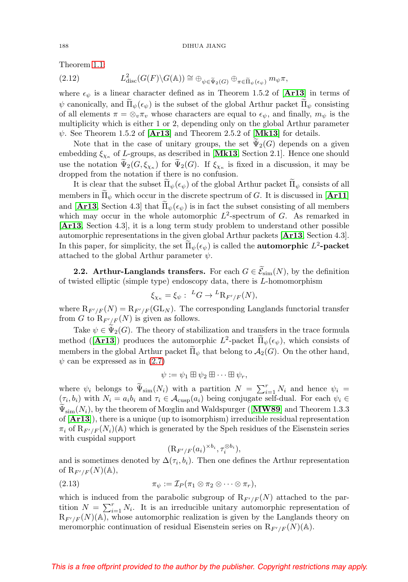<span id="page-9-0"></span>Theorem [1.1:](#page-1-0)

Theorem 1.1:  
\n(2.12) 
$$
L^2_{\text{disc}}(G(F)\backslash G(\mathbb{A})) \cong \bigoplus_{\psi \in \tilde{\Psi}_2(G)} \bigoplus_{\pi \in \tilde{\Pi}_{\psi}(\epsilon_{\psi})} m_{\psi} \pi,
$$

where  $\epsilon_{\psi}$  is a linear character defined as in Theorem 1.5.2 of [[Ar13](#page-55-1)] in terms of  $\psi$  canonically, and  $\Pi_{\psi}(\epsilon_{\psi})$  is the subset of the global Arthur packet  $\Pi_{\psi}$  consisting  $\epsilon_{\psi}$  and  $\epsilon_{\psi}$  is the subset of the global  $\epsilon_{\psi}$  and  $\epsilon_{\psi}$  consisting of all elements  $\pi = \otimes_v \pi_v$  whose characters are equal to  $\epsilon_{\psi}$ , and finally,  $m_{\psi}$  is the multiplicity which is either 1 or 2, depending only on the global Arthur parameter  $\psi$ . See Theorem 1.5.2 of  $[Ar13]$  $[Ar13]$  $[Ar13]$  and Theorem 2.5.2 of  $[Mk13]$  $[Mk13]$  $[Mk13]$  for details.

Note that in the case of unitary groups, the set  $\Psi_2(G)$  depends on a given contained in  $\mathbf{M}$  and  $\mathbf{M}$  Section 2.1. Hence are should embedding  $\xi_{\chi_{\kappa}}$  of L-groups, as described in [[Mk13](#page-61-3), Section 2.1]. Hence one should use the notation  $\Psi_2(G, \xi_{\chi_{\kappa}})$  for  $\Psi_2(G)$ . If  $\xi_{\chi_{\kappa}}$  is fixed in a discussion, it may be drapped from the notation if there is no sonfision dropped from the notation if there is no confusion.

It is clear that the subset  $\Pi_{\psi}(\epsilon_{\psi})$  of the global Arthur packet  $\Pi_{\psi}$  consists of all members in  $\Pi_{\psi}$  which occur in the discrete spectrum of G. It is discussed in [**[Ar11](#page-55-10)**] and [**[Ar13](#page-55-1)**, Section 4.3] that  $\Pi_{\psi}(\epsilon_{\psi})$  is in fact the subset consisting of all members which was accurated in which may occur in the whole automorphic  $L^2$ -spectrum of G. As remarked in [**[Ar13](#page-55-1)**, Section 4.3], it is a long term study problem to understand other possible automorphic representations in the given global Arthur packets [**[Ar13](#page-55-1)**, Section 4.3]. In this paper, for simplicity, the set  $\Pi_{\psi}(\epsilon_{\psi})$  is called the **automorphic**  $L^2$ -**packet** attached to the global Arthur parameter  $\psi$ .

**2.2.** Arthur-Langlands transfers. For each  $G \in \mathcal{E}_{sim}(N)$ , by the definition 2.2. The that  $\text{Laplace}$  is taken the contract  $\text{C} \subset \text{Sim}(T^*)$ , by the dependence of twisted elliptic (simple type) endoscopy data, there is *L*-homomorphism

$$
\xi_{\chi_{\kappa}} = \xi_{\psi} : {}^{L}G \to {}^{L}\mathrm{R}_{F'/F}(N),
$$

where  $R_{F'/F}(N) = R_{F'/F}(\mathrm{GL}_N)$ . The corresponding Langlands functorial transfer from G to  $\mathrm{R}_{F'/F}(N)$  is given as follows.

Take  $\psi \in \Psi_2(G)$ . The theory of stabilization and transfers in the trace formula method ([**[Ar13](#page-55-1)**]) produces the automorphic  $L^2$ -packet  $\tilde{\Pi}_{\psi}(\epsilon_{\psi})$ , which consists of members in the global Arthur packet  $\Pi_{\psi}$  that belong to  $\mathcal{A}_2(G)$ . On the other hand,  $\psi$  can be expressed as in [\(2.7\)](#page-7-1)

$$
\psi := \psi_1 \boxplus \psi_2 \boxplus \cdots \boxplus \psi_r,
$$

where  $\psi_i$  belongs to  $\widetilde{\Psi}_{sim}(N_i)$  with a partition  $N = \sum_{i=1}^r N_i$  and hence  $\psi_i = (e, h)$  with  $N = e, h$  and  $\tau \in \mathcal{A}$  (c) being conjugate solf dual. For sock  $\psi_i \in \mathcal{A}$  $(\tau_i, b_i)$  with  $N_i = a_i b_i$  and  $\tau_i \in \mathcal{A}_{\text{cusp}}(a_i)$  being conjugate self-dual. For each  $\psi_i \in \mathcal{A}_{\text{cusp}}$  $\Psi_{sim}(N_i)$ , by the theorem of Mœglin and Waldspurger ([**[MW89](#page-61-0)**] and Theorem 1.3.3 of [**[Ar13](#page-55-1)**]), there is a unique (up to isomorphism) irreducible residual representation  $\pi_i$  of  $\mathrm{R}_{F'/F}(N_i)(\mathbb{A})$  which is generated by the Speh residues of the Eisenstein series with cuspidal support

$$
(\mathrm{R}_{F'/F}(a_i)^{\times b_i}, \tau_i^{\otimes b_i}),
$$

and is sometimes denoted by  $\Delta(\tau_i, b_i)$ . Then one defines the Arthur representation of  $R_{F'/F}(N)(\mathbb{A}),$ 

(2.13) 
$$
\pi_{\psi} := \mathcal{I}_P(\pi_1 \otimes \pi_2 \otimes \cdots \otimes \pi_r),
$$

which is induced from the parabolic subgroup of  $R_{F'/F}(N)$  attached to the partition  $N = \sum_{i=1}^{r} N_i$ . It is an irreducible unitary automorphic representation of  $R_{F'/F}(N)(\mathbb{A})$ , whose automorphic realization is given by the Langlands theory on meromorphic continuation of residual Eisenstein series on  $\mathbb{R}_{F'/F}(N)(\mathbb{A})$ .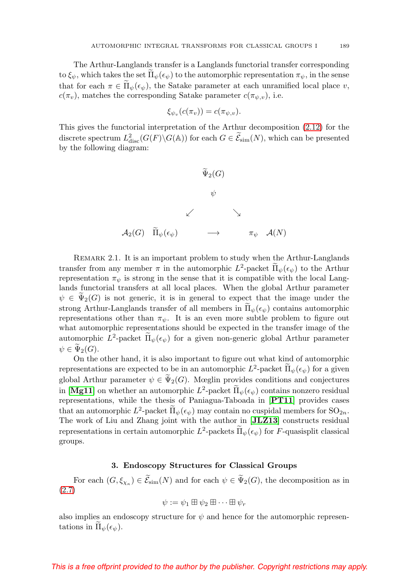The Arthur-Langlands transfer is a Langlands functorial transfer corresponding to  $\xi_{\psi}$ , which takes the set  $\Pi_{\psi}(\epsilon_{\psi})$  to the automorphic representation  $\pi_{\psi}$ , in the sense that for each  $\pi \in \Pi_{\psi}(\epsilon_{\psi})$ , the Satake parameter at each unramified local place v,  $c(\pi_v)$ , matches the corresponding Satake parameter  $c(\pi_{\psi,v})$ , i.e.

$$
\xi_{\psi_v}(c(\pi_v)) = c(\pi_{\psi,v}).
$$

This gives the functorial interpretation of the Arthur decomposition [\(2.12\)](#page-9-0) for the discrete spectrum  $L^2_{\text{disc}}(G(F) \backslash G(\mathbb{A}))$  for each  $G \in \widetilde{\mathcal{E}}_{\text{sim}}(N)$ , which can be presented by the following diagram:



Remark 2.1. It is an important problem to study when the Arthur-Langlands transfer from any member  $\pi$  in the automorphic  $L^2$ -packet  $\tilde{\Pi}_{\psi}(\epsilon_{\psi})$  to the Arthur representation  $\pi_{\psi}$  is strong in the sense that it is compatible with the local Langlands functorial transfers at all local places. When the global Arthur parameter  $\psi \in \Psi_2(G)$  is not generic, it is in general to expect that the image under the strong Arthur-Langlands transfer of all members in  $\Pi_{\psi}(\epsilon_{\psi})$  contains automorphic representations other than  $\pi_{\psi}$ . It is an even more subtle problem to figure out what automorphic representations should be expected in the transfer image of the automorphic  $L^2$ -packet  $\Pi_{\psi}(\epsilon_{\psi})$  for a given non-generic global Arthur parameter  $\psi \in \Psi_2(G)$ .<br>On the

On the other hand, it is also important to figure out what kind of automorphic representations are expected to be in an automorphic  $L^2$ -packet  $\tilde{\Pi}_{\psi}(\epsilon_{\psi})$  for a given global Arthur parameter  $\psi \in \Psi_2(G)$ . Mœglin provides conditions and conjectures in [**[Mg11](#page-61-6)**] on whether an automorphic  $L^2$ -packet  $\Pi_{\psi}(\epsilon_{\psi})$  contains nonzero residual representations, while the thesis of Paniagua-Taboada in [**[PT11](#page-62-10)**] provides cases that an automorphic  $L^2$ -packet  $\Pi_{\psi}(\epsilon_{\psi})$  may contain no cuspidal members for  $SO_{2n}$ .<br>The work of Liu and Zhang isint with the outbon in [H **712**] constructs residual The work of Liu and Zhang joint with the author in [**[JLZ13](#page-59-7)**] constructs residual representations in certain automorphic  $L^2$ -packets  $\Pi_{\psi}(\epsilon_{\psi})$  for F-quasisplit classical groups.

## **3. Endoscopy Structures for Classical Groups**

For each  $(G, \xi_{\chi_{\kappa}}) \in \mathcal{E}_{sim}(N)$  and for each  $\psi \in \Psi_2(G)$ , the decomposition as in [\(2.7\)](#page-7-1)

$$
\psi := \psi_1 \boxplus \psi_2 \boxplus \cdots \boxplus \psi_r
$$

also implies an endoscopy structure for  $\psi$  and hence for the automorphic representations in  $\Pi_{\psi}(\epsilon_{\psi}).$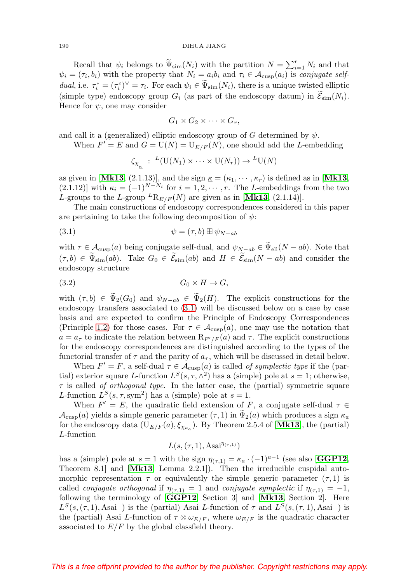#### 190 DIHUA JIANG

Recall that  $\psi_i$  belongs to  $\widetilde{\Psi}_{sim}(N_i)$  with the partition  $N = \sum_{i=1}^r N_i$  and that  $\psi_i = (\tau_i, b_i)$  with the property that  $N_i = a_i b_i$  and  $\tau_i \in \mathcal{A}_{\text{cusp}}(a_i)$  is conjugate selfdual, i.e.  $\tau_i^* = (\tau_i^c)^\vee = \tau_i$ . For each  $\psi_i \in \tilde{\Psi}_{\text{sim}}(N_i)$ , there is a unique twisted elliptic (simple type) endoscopy group  $G_i$  (as part of the endoscopy datum) in  $\mathcal{E}_{sim}(N_i)$ . Hence for  $\psi$ , one may consider

$$
G_1 \times G_2 \times \cdots \times G_r,
$$

and call it a (generalized) elliptic endoscopy group of G determined by  $\psi$ .

When  $F' = E$  and  $G = U(N) = U_{E/F}(N)$ , one should add the L-embedding

$$
\zeta_{\underline{X}_{\underline{\kappa}}} : L(U(N_1) \times \cdots \times U(N_r)) \to L(U(N))
$$

as given in [[Mk13](#page-61-3), (2.1.13)], and the sign  $\underline{\kappa} = (\kappa_1, \dots, \kappa_r)$  is defined as in [Mk13, (2.1.12)] with  $\kappa_i = (-1)^{N-N_i}$  for  $i = 1, 2, \cdots, r$ . The L-embeddings from the two L-groups to the L-group  ${}^L\text{R}_{E/F}(N)$  are given as in [[Mk13](#page-61-3), (2.1.14)].

The main constructions of endoscopy correspondences considered in this paper are pertaining to take the following decomposition of  $\psi$ :

<span id="page-11-0"></span>
$$
\psi = (\tau, b) \boxplus \psi_{N-ab}
$$

with  $\tau \in \mathcal{A}_{\text{cusp}}(a)$  being conjugate self-dual, and  $\psi_{N-ab} \in \Psi_{\text{ell}}(N-ab)$ . Note that  $(\tau, b) \in \Psi_{\text{sim}}(ab)$ . Take  $G_0 \in \mathcal{E}_{\text{sim}}(ab)$  and  $H \in \mathcal{E}_{\text{sim}}(N - ab)$  and consider the endoscopy structure

$$
(3.2) \tG_0 \times H \to G,
$$

with  $(\tau, b) \in \Psi_2(G_0)$  and  $\psi_{N-ab} \in \Psi_2(H)$ . The explicit constructions for the endoscopy transfers associated to [\(3.1\)](#page-11-0) will be discussed below on a case by case basis and are expected to confirm the Principle of Endoscopy Correspondences (Principle [1.2\)](#page-4-3) for those cases. For  $\tau \in \mathcal{A}_{\text{cusp}}(a)$ , one may use the notation that  $a = a_{\tau}$  to indicate the relation between  $\mathcal{R}_{F'/F}(a)$  and  $\tau$ . The explicit constructions for the endoscopy correspondences are distinguished according to the types of the functorial transfer of  $\tau$  and the parity of  $a_{\tau}$ , which will be discussed in detail below.

When  $F' = F$ , a self-dual  $\tau \in \mathcal{A}_{\text{cusp}}(a)$  is called of symplectic type if the (partial) exterior square L-function  $L^{S}(s, \tau, \wedge^{2})$  has a (simple) pole at  $s = 1$ ; otherwise,  $\tau$  is called of orthogonal type. In the latter case, the (partial) symmetric square L-function  $L^{S}(s, \tau, \text{sym}^2)$  has a (simple) pole at  $s = 1$ .

When  $F' = E$ , the quadratic field extension of F, a conjugate self-dual  $\tau \in$  $\mathcal{A}_{\text{cusp}}(a)$  yields a simple generic parameter  $(\tau, 1)$  in  $\Psi_2(a)$  which produces a sign  $\kappa_a$ <br>for the endosement data (U<sub>1</sub> (a) f<sub>or</sub>). By Theorem 2.5 4 of  $[\mathbf{M} \cdot \mathbf{1} \cdot \mathbf{2}]$  the (portial) for the endoscopy data  $(U_{E/F}(a), \xi_{\chi_{\kappa}})$ . By Theorem 2.5.4 of [[Mk13](#page-61-3)], the (partial) L-function

 $L(s, (\tau, 1), \text{Asai}^{\eta_{(\tau,1)}})$ 

has a (simple) pole at  $s = 1$  with the sign  $\eta_{(\tau,1)} = \kappa_a \cdot (-1)^{a-1}$  (see also [**[GGP12](#page-56-6)**, Theorem 8.1] and [**[Mk13](#page-61-3)**, Lemma 2.2.1]). Then the irreducible cuspidal automorphic representation  $\tau$  or equivalently the simple generic parameter  $(\tau, 1)$  is called *conjugate orthogonal* if  $\eta_{(\tau,1)} = 1$  and *conjugate symplectic* if  $\eta_{(\tau,1)} = -1$ , following the terminology of [**[GGP12](#page-56-6)**, Section 3] and [**[Mk13](#page-61-3)**, Section 2]. Here  $L^{S}(s,(\tau,1),\text{Asai}^{+})$  is the (partial) Asai L-function of  $\tau$  and  $L^{S}(s,(\tau,1),\text{Asai}^{-})$  is the (partial) Asai L-function of  $\tau \otimes \omega_{E/F}$ , where  $\omega_{E/F}$  is the quadratic character associated to  $E/F$  by the global classfield theory.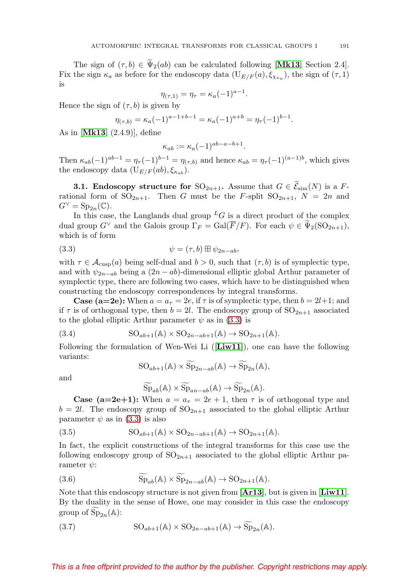The sign of  $(\tau, b) \in \Psi_2(ab)$  can be calculated following [**[Mk13](#page-61-3)**, Section 2.4]. Fix the sign  $\kappa_a$  as before for the endoscopy data  $(U_{E/F}(a), \xi_{\chi_{\kappa_a}})$ , the sign of  $(\tau, 1)$ is

$$
\eta_{(\tau,1)} = \eta_{\tau} = \kappa_a (-1)^{a-1}.
$$

Hence the sign of  $(\tau, b)$  is given by

$$
\eta_{(\tau,b)} = \kappa_a (-1)^{a-1+b-1} = \kappa_a (-1)^{a+b} = \eta_\tau (-1)^{b-1}.
$$

As in [**[Mk13](#page-61-3)**, (2.4.9)], define

$$
\kappa_{ab} := \kappa_a (-1)^{ab-a-b+1}.
$$

Then  $\kappa_{ab}(-1)^{ab-1} = \eta_{\tau}(-1)^{b-1} = \eta_{(\tau,b)}$  and hence  $\kappa_{ab} = \eta_{\tau}(-1)^{(a-1)b}$ , which gives the endoscopy data  $(\mathbf{U}_{E/F}(ab), \xi_{\kappa_{ab}}).$ 

**3.1. Endoscopy structure for**  $SO_{2n+1}$ . Assume that  $G \in \mathcal{E}_{sim}(N)$  is a Frational form of  $SO_{2n+1}$ . Then G must be the F-split  $SO_{2n+1}$ ,  $N = 2n$  and  $G^{\vee} = \mathrm{Sp}_{2n}(\mathbb{C}).$ 

In this case, the Langlands dual group  ${}^L G$  is a direct product of the complex dual group  $G^{\vee}$  and the Galois group  $\Gamma_F = \text{Gal}(F/F)$ . For each  $\psi \in \Psi_2(\text{SO}_{2n+1}),$ which is of form

<span id="page-12-0"></span>(3.3) 
$$
\psi = (\tau, b) \boxplus \psi_{2n-ab},
$$

with  $\tau \in \mathcal{A}_{\text{cusp}}(a)$  being self-dual and  $b > 0$ , such that  $(\tau, b)$  is of symplectic type, and with  $\psi_{2n-ab}$  being a  $(2n-ab)$ -dimensional elliptic global Arthur parameter of symplectic type, there are following two cases, which have to be distinguished when constructing the endoscopy correspondences by integral transforms.

**Case (a=2e):** When  $a = a_{\tau} = 2e$ , if  $\tau$  is of symplectic type, then  $b = 2l+1$ ; and if  $\tau$  is of orthogonal type, then  $b = 2l$ . The endoscopy group of  $SO_{2n+1}$  associated to the global elliptic Arthur parameter  $\psi$  as in [\(3.3\)](#page-12-0) is

(3.4) 
$$
SO_{ab+1}(\mathbb{A}) \times SO_{2n-ab+1}(\mathbb{A}) \to SO_{2n+1}(\mathbb{A}).
$$

Following the formulation of Wen-Wei Li ([**[Liw11](#page-61-7)**]), one can have the following variants:

$$
SO_{ab+1}(\mathbb{A}) \times \widetilde{Sp}_{2n-ab}(\mathbb{A}) \to \widetilde{Sp}_{2n}(\mathbb{A}),
$$

and

$$
\widetilde{\mathrm{Sp}}_{ab}(\mathbb{A}) \times \widetilde{\mathrm{Sp}}_{an-ab}(\mathbb{A}) \to \widetilde{\mathrm{Sp}}_{2n}(\mathbb{A}).
$$

**Case (a=2e+1):** When  $a = a_{\tau} = 2e + 1$ , then  $\tau$  is of orthogonal type and  $b = 2l$ . The endoscopy group of  $SO_{2n+1}$  associated to the global elliptic Arthur parameter  $\psi$  as in [\(3.3\)](#page-12-0) is also

(3.5) 
$$
SO_{ab+1}(\mathbb{A}) \times SO_{2n-ab+1}(\mathbb{A}) \to SO_{2n+1}(\mathbb{A}).
$$

In fact, the explicit constructions of the integral transforms for this case use the following endoscopy group of  $SO_{2n+1}$  associated to the global elliptic Arthur parameter  $\psi$ :

(3.6) 
$$
\widetilde{\mathrm{Sp}}_{ab}(\mathbb{A}) \times \widetilde{\mathrm{Sp}}_{2n-ab}(\mathbb{A}) \to \mathrm{SO}_{2n+1}(\mathbb{A}).
$$

Note that this endoscopy structure is not given from [**[Ar13](#page-55-1)**], but is given in [**[Liw11](#page-61-7)**]. By the duality in the sense of Howe, one may consider in this case the endoscopy group of  $Sp_{2n}(\mathbb{A})$ :

(3.7) 
$$
SO_{ab+1}(\mathbb{A}) \times SO_{2n-ab+1}(\mathbb{A}) \to \widetilde{Sp}_{2n}(\mathbb{A}).
$$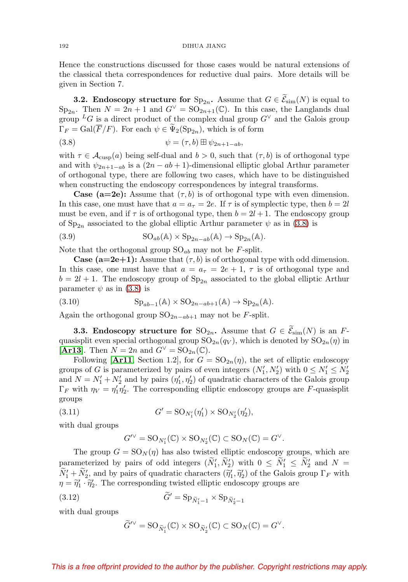Hence the constructions discussed for those cases would be natural extensions of the classical theta correspondences for reductive dual pairs. More details will be given in Section 7.

**3.2. Endoscopy structure for**  $Sp_{2n}$ . Assume that  $G \in \mathcal{E}_{sim}(N)$  is equal to  $Sp_{2n}$ . Then  $N = 2n + 1$  and  $G^{\vee} = SO_{2n+1}(\mathbb{C})$ . In this case, the Langlands dual group <sup>L</sup>G is a direct product of the complex dual group  $G^{\vee}$  and the Galois group  $\Gamma_F = \text{Gal}(\overline{F}/F)$ . For each  $\psi \in \Psi_2(\text{Sp}_{2n})$ , which is of form

<span id="page-13-0"></span>(3.8) 
$$
\psi = (\tau, b) \boxplus \psi_{2n+1-ab},
$$

with  $\tau \in \mathcal{A}_{\text{cusp}}(a)$  being self-dual and  $b > 0$ , such that  $(\tau, b)$  is of orthogonal type and with  $\psi_{2n+1-ab}$  is a  $(2n-ab+1)$ -dimensional elliptic global Arthur parameter of orthogonal type, there are following two cases, which have to be distinguished when constructing the endoscopy correspondences by integral transforms.

**Case (a=2e):** Assume that  $(\tau, b)$  is of orthogonal type with even dimension. In this case, one must have that  $a = a_{\tau} = 2e$ . If  $\tau$  is of symplectic type, then  $b = 2l$ must be even, and if  $\tau$  is of orthogonal type, then  $b = 2l + 1$ . The endoscopy group of  $Sp_{2n}$  associated to the global elliptic Arthur parameter  $\psi$  as in [\(3.8\)](#page-13-0) is

(3.9) 
$$
SO_{ab}(\mathbb{A}) \times Sp_{2n-ab}(\mathbb{A}) \to Sp_{2n}(\mathbb{A}).
$$

Note that the orthogonal group  $\mathrm{SO}_{ab}$  may not be F-split.

**Case (a=2e+1):** Assume that  $(\tau, b)$  is of orthogonal type with odd dimension. In this case, one must have that  $a = a_{\tau} = 2e + 1$ ,  $\tau$  is of orthogonal type and  $b = 2l + 1$ . The endoscopy group of  $Sp_{2n}$  associated to the global elliptic Arthur parameter  $\psi$  as in [\(3.8\)](#page-13-0) is

(3.10) 
$$
\mathrm{Sp}_{ab-1}(\mathbb{A}) \times \mathrm{SO}_{2n-ab+1}(\mathbb{A}) \to \mathrm{Sp}_{2n}(\mathbb{A}).
$$

Again the orthogonal group  $\mathrm{SO}_{2n-ab+1}$  may not be F-split.

**3.3. Endoscopy structure for**  $\mathrm{SO}_{2n}$ . Assume that  $G \in \mathcal{E}_{\mathrm{sim}}(N)$  is an Fquasisplit even special orthogonal group  $SO_{2n}(q_V)$ , which is denoted by  $SO_{2n}(\eta)$  in [**[Ar13](#page-55-1)**]. Then  $N = 2n$  and  $G^{\vee} = SO_{2n}(\mathbb{C})$ .

Following [[Ar11](#page-55-10), Section 1.2], for  $G = SO_{2n}(\eta)$ , the set of elliptic endoscopy groups of G is parameterized by pairs of even integers  $(N'_1, N'_2)$  with  $0 \le N'_1 \le N'_2$ and  $N = N'_1 + N'_2$  and by pairs  $(\eta'_1, \eta'_2)$  of quadratic characters of the Galois group  $\Gamma_F$  with  $\eta_V = \eta'_1 \eta'_2$ . The corresponding elliptic endoscopy groups are F-quasisplit groups

(3.11) 
$$
G' = \mathrm{SO}_{N'_1}(\eta'_1) \times \mathrm{SO}_{N'_2}(\eta'_2),
$$

with dual groups

$$
G^{\prime\vee} = \mathrm{SO}_{N'_1}(\mathbb{C}) \times \mathrm{SO}_{N'_2}(\mathbb{C}) \subset \mathrm{SO}_N(\mathbb{C}) = G^{\vee}.
$$

The group  $G = SO_N(\eta)$  has also twisted elliptic endoscopy groups, which are parameterized by pairs of odd integers  $(N'_1, N'_2)$  with  $0 \le N'_1 \le N'_2$  and  $N = \tilde{N}'$ .  $N'_1 + N'_2$ , and by pairs of quadratic characters  $(\tilde{\eta}'_1, \tilde{\eta}'_2)$  of the Galois group  $\Gamma_F$  with  $n = \tilde{\eta}'_1 \cdot \tilde{\eta}'_2$ . The corresponding twisted elliptic endoscopy groups are  $\eta = \tilde{\eta}_1' \cdot \tilde{\eta}_2'$ . The corresponding twisted elliptic endoscopy groups are Figure 2.1 at the state of  $\eta_1$ <br>  $\eta_2$  twisted elliptic end<br>  $\eta_1 = \text{Sp}_{\widetilde{N}_1-1} \times \text{Sp}_{\widetilde{N}_2}$ 

(3.12) 
$$
\tilde{G}' = \text{Sp}_{\tilde{N}'_1-1} \times \text{Sp}_{\tilde{N}'_2-1}
$$

with dual groups

$$
\widetilde{G}^{\prime\vee} = \mathrm{SO}_{\widetilde{N}_{1}^{\prime}}(\mathbb{C}) \times \mathrm{SO}_{\widetilde{N}_{2}^{\prime}}(\mathbb{C}) \subset \mathrm{SO}_{N}(\mathbb{C}) = G^{\vee}.
$$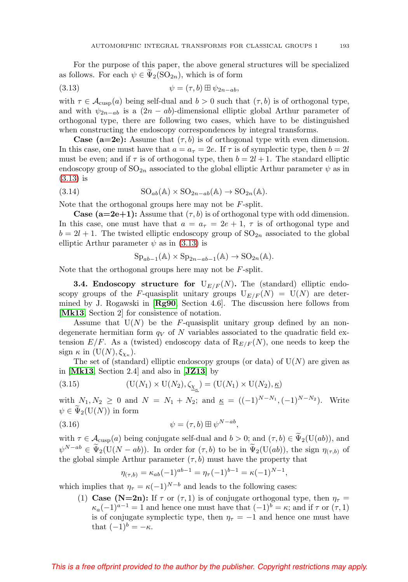For the purpose of this paper, the above general structures will be specialized as follows. For each  $\psi \in \Psi_2(\mathrm{SO}_{2n})$ , which is of form

<span id="page-14-0"></span>(3.13) 
$$
\psi = (\tau, b) \boxplus \psi_{2n-ab},
$$

with  $\tau \in \mathcal{A}_{\text{cusp}}(a)$  being self-dual and  $b > 0$  such that  $(\tau, b)$  is of orthogonal type, and with  $\psi_{2n-ab}$  is a  $(2n-ab)$ -dimensional elliptic global Arthur parameter of orthogonal type, there are following two cases, which have to be distinguished when constructing the endoscopy correspondences by integral transforms.

**Case (a=2e):** Assume that  $(\tau, b)$  is of orthogonal type with even dimension. In this case, one must have that  $a = a_{\tau} = 2e$ . If  $\tau$  is of symplectic type, then  $b = 2l$ must be even; and if  $\tau$  is of orthogonal type, then  $b = 2l + 1$ . The standard elliptic endoscopy group of  $\text{SO}_{2n}$  associated to the global elliptic Arthur parameter  $\psi$  as in [\(3.13\)](#page-14-0) is

(3.14) 
$$
SO_{ab}(\mathbb{A}) \times SO_{2n-ab}(\mathbb{A}) \to SO_{2n}(\mathbb{A}).
$$

Note that the orthogonal groups here may not be F-split.

**Case (a=2e+1):** Assume that  $(\tau, b)$  is of orthogonal type with odd dimension. In this case, one must have that  $a = a_{\tau} = 2e + 1$ ,  $\tau$  is of orthogonal type and  $b = 2l + 1$ . The twisted elliptic endoscopy group of  $SO_{2n}$  associated to the global elliptic Arthur parameter  $\psi$  as in [\(3.13\)](#page-14-0) is

$$
Sp_{ab-1}(\mathbb{A}) \times Sp_{2n-ab-1}(\mathbb{A}) \to SO_{2n}(\mathbb{A}).
$$

Note that the orthogonal groups here may not be F-split.

**3.4. Endoscopy structure for**  $U_{E/F}(N)$ . The (standard) elliptic endoscopy groups of the F-quasisplit unitary groups  $U_{E/F}(N) = U(N)$  are determined by J. Rogawski in [**[Rg90](#page-62-11)**, Section 4.6]. The discussion here follows from [**[Mk13](#page-61-3)**, Section 2] for consistence of notation.

Assume that  $U(N)$  be the F-quasisplit unitary group defined by an nondegenerate hermitian form  $q_V$  of N variables associated to the quadratic field extension  $E/F$ . As a (twisted) endoscopy data of  $R_{E/F}(N)$ , one needs to keep the sign  $\kappa$  in  $(U(N), \xi_{\chi_{\kappa}})$ .

The set of (standard) elliptic endoscopy groups (or data) of  $U(N)$  are given as in [**[Mk13](#page-61-3)**, Section 2.4] and also in [**[JZ13](#page-59-5)**] by

(3.15) 
$$
(\mathrm{U}(N_1) \times \mathrm{U}(N_2), \zeta_{\underline{\chi}_{\underline{\kappa}}}) = (\mathrm{U}(N_1) \times \mathrm{U}(N_2), \underline{\kappa})
$$

with  $N_1, N_2 \geq 0$  and  $N = N_1 + N_2$ ; and  $K = ((-1)^{N-N_1}, (-1)^{N-N_2})$ . Write  $\psi \in \Psi_2(\mathrm{U}(N))$  in form

<span id="page-14-1"></span>(3.16) 
$$
\psi = (\tau, b) \boxplus \psi^{N - ab},
$$

with  $\tau \in \mathcal{A}_{\text{cusp}}(a)$  being conjugate self-dual and  $b > 0$ ; and  $(\tau, b) \in \Psi_2(\text{U}(ab))$ , and  $\widetilde{\mathcal{A}}_{\tau}(X(a,b)) \subseteq \widetilde{\mathcal{A}}_{\tau}(X(a,b))$ .  $\psi^{N-ab} \in \Psi_2(\mathcal{U}(N-ab))$ . In order for  $(\tau, b)$  to be in  $\Psi_2(\mathcal{U}(ab))$ , the sign  $\eta_{(\tau,b)}$  of the global simple Arthur parameter  $(\tau, b)$  must have the property that

$$
\eta_{(\tau,b)} = \kappa_{ab}(-1)^{ab-1} = \eta_{\tau}(-1)^{b-1} = \kappa(-1)^{N-1},
$$

which implies that  $\eta_{\tau} = \kappa (-1)^{N-b}$  and leads to the following cases:

(1) **Case (N=2n):** If  $\tau$  or  $(\tau, 1)$  is of conjugate orthogonal type, then  $\eta_{\tau}$  =  $\kappa_a(-1)^{a-1} = 1$  and hence one must have that  $(-1)^b = \kappa$ ; and if  $\tau$  or  $(\tau, 1)$ is of conjugate symplectic type, then  $\eta_{\tau} = -1$  and hence one must have that  $(-1)^b = -\kappa$ .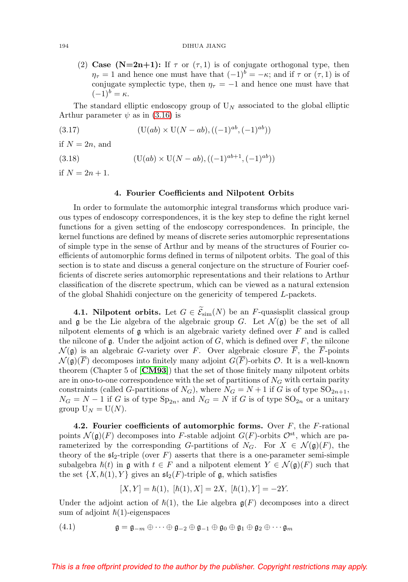#### 194 DIHUA JIANG

(2) **Case (N=2n+1):** If  $\tau$  or  $(\tau, 1)$  is of conjugate orthogonal type, then  $\eta_{\tau} = 1$  and hence one must have that  $(-1)^{b} = -\kappa$ ; and if  $\tau$  or  $(\tau, 1)$  is of conjugate symplectic type, then  $\eta_{\tau} = -1$  and hence one must have that  $(-1)^b = \kappa.$ 

The standard elliptic endoscopy group of  $U_N$  associated to the global elliptic Arthur parameter  $\psi$  as in [\(3.16\)](#page-14-1) is

(3.17) 
$$
(U(ab) \times U(N-ab), ((-1)^{ab}, (-1)^{ab}))
$$

if  $N = 2n$ , and

(3.18) 
$$
(U(ab) \times U(N-ab), ((-1)^{ab+1}, (-1)^{ab}))
$$

<span id="page-15-0"></span>if  $N = 2n + 1$ .

## **4. Fourier Coefficients and Nilpotent Orbits**

In order to formulate the automorphic integral transforms which produce various types of endoscopy correspondences, it is the key step to define the right kernel functions for a given setting of the endoscopy correspondences. In principle, the kernel functions are defined by means of discrete series automorphic representations of simple type in the sense of Arthur and by means of the structures of Fourier coefficients of automorphic forms defined in terms of nilpotent orbits. The goal of this section is to state and discuss a general conjecture on the structure of Fourier coefficients of discrete series automorphic representations and their relations to Arthur classification of the discrete spectrum, which can be viewed as a natural extension of the global Shahidi conjecture on the genericity of tempered L-packets.

**4.1. Nilpotent orbits.** Let  $G \in \mathcal{E}_{sim}(N)$  be an F-quasisplit classical group and g be the Lie algebra of the algebraic group  $G$ . Let  $\mathcal{N}(\mathfrak{g})$  be the set of all nilpotent elements of  $\mathfrak g$  which is an algebraic variety defined over  $F$  and is called the nilcone of  $\mathfrak g$ . Under the adjoint action of  $G$ , which is defined over  $F$ , the nilcone  $\mathcal{N}(\mathfrak{g})$  is an algebraic G-variety over F. Over algebraic closure  $\overline{F}$ , the F-points  $\mathcal{N}(\mathfrak{g})(\overline{F})$  decomposes into finitely many adjoint  $G(\overline{F})$ -orbits  $\mathcal{O}$ . It is a well-known theorem (Chapter 5 of [**[CM93](#page-55-11)**]) that the set of those finitely many nilpotent orbits are in ono-to-one correspondence with the set of partitions of  $N<sub>G</sub>$  with certain parity constraints (called G-partitions of  $N_G$ ), where  $N_G = N + 1$  if G is of type  $SO_{2n+1}$ ,  $N_G = N - 1$  if G is of type  $Sp_{2n}$ , and  $N_G = N$  if G is of type  $SO_{2n}$  or a unitary group  $U_N = U(N)$ .

**4.2. Fourier coefficients of automorphic forms.** Over F, the F-rational points  $\mathcal{N}(\mathfrak{g})(F)$  decomposes into F-stable adjoint  $G(F)$ -orbits  $\mathcal{O}^{\text{st}}$ , which are parameterized by the corresponding G-partitions of  $N_G$ . For  $X \in \mathcal{N}(\mathfrak{g})(F)$ , the theory of the  $\mathfrak{sl}_2$ -triple (over F) asserts that there is a one-parameter semi-simple subalgebra  $\hslash(t)$  in g with  $t \in F$  and a nilpotent element  $Y \in \mathcal{N}(\mathfrak{g})(F)$  such that the set  $\{X, \hbar(1), Y\}$  gives an  $\mathfrak{sl}_2(F)$ -triple of g, which satisfies

$$
[X,Y]=\hbar(1),\,\,[\hbar(1),X]=2X,\,\,[\hbar(1),Y]=-2Y.
$$

Under the adjoint action of  $\hbar(1)$ , the Lie algebra  $\mathfrak{g}(F)$  decomposes into a direct sum of adjoint  $\hbar(1)$ -eigenspaces

<span id="page-15-1"></span>(4.1) 
$$
\mathfrak{g} = \mathfrak{g}_{-m} \oplus \cdots \oplus \mathfrak{g}_{-2} \oplus \mathfrak{g}_{-1} \oplus \mathfrak{g}_0 \oplus \mathfrak{g}_1 \oplus \mathfrak{g}_2 \oplus \cdots \mathfrak{g}_m
$$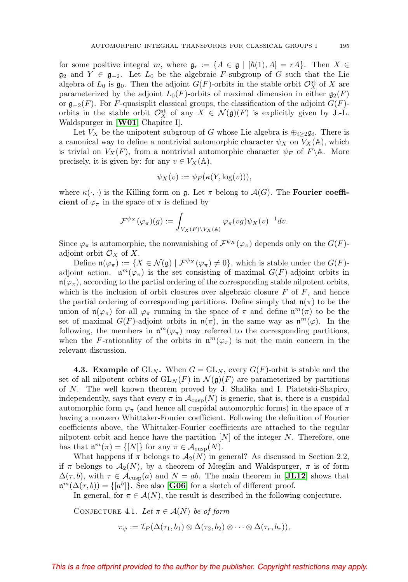for some positive integral m, where  $\mathfrak{g}_r := \{A \in \mathfrak{g} \mid [\hbar(1), A] = rA\}$ . Then  $X \in$  $\mathfrak{g}_2$  and  $Y \in \mathfrak{g}_{-2}$ . Let  $L_0$  be the algebraic F-subgroup of G such that the Lie algebra of  $L_0$  is  $\mathfrak{g}_0$ . Then the adjoint  $G(F)$ -orbits in the stable orbit  $\mathcal{O}_X^{\text{st}}$  of X are parameterized by the adjoint  $L_0(F)$ -orbits of maximal dimension in either  $\mathfrak{g}_2(F)$ or  $\mathfrak{g}_{-2}(F)$ . For F-quasisplit classical groups, the classification of the adjoint  $G(F)$ orbits in the stable orbit  $\mathcal{O}_X^{\text{st}}$  of any  $X \in \mathcal{N}(\mathfrak{g})(F)$  is explicitly given by J.-L. Waldspurger in [**[W01](#page-63-4)**, Chapitre I].

Let  $V_X$  be the unipotent subgroup of G whose Lie algebra is  $\bigoplus_{i\geq 2} \mathfrak{g}_i$ . There is a canonical way to define a nontrivial automorphic character  $\psi_X$  on  $V_X(\mathbb{A})$ , which is trivial on  $V_X(F)$ , from a nontrivial automorphic character  $\psi_F$  of  $F \backslash \mathbb{A}$ . More precisely, it is given by: for any  $v \in V_X(\mathbb{A})$ ,

$$
\psi_X(v) := \psi_F(\kappa(Y, \log(v))),
$$

where  $\kappa(\cdot, \cdot)$  is the Killing form on g. Let  $\pi$  belong to  $\mathcal{A}(G)$ . The **Fourier coefficient** of  $\varphi_{\pi}$  in the space of  $\pi$  is defined by

$$
\mathcal{F}^{\psi_X}(\varphi_\pi)(g):=\int_{V_X(F)\backslash V_X(\mathbb{A})}\varphi_\pi(vg)\psi_X(v)^{-1}dv.
$$

Since  $\varphi_{\pi}$  is automorphic, the nonvanishing of  $\mathcal{F}^{\psi_{X}}(\varphi_{\pi})$  depends only on the  $G(F)$ adjoint orbit  $\mathcal{O}_X$  of X.

Define  $\mathfrak{n}(\varphi_{\pi}) := \{ X \in \mathcal{N}(\mathfrak{g}) \mid \mathcal{F}^{\psi_X}(\varphi_{\pi}) \neq 0 \}$ , which is stable under the  $G(F)$ adjoint action.  $\mathfrak{n}^m(\varphi_{\pi})$  is the set consisting of maximal  $G(F)$ -adjoint orbits in  $\mathfrak{n}(\varphi_{\pi})$ , according to the partial ordering of the corresponding stable nilpotent orbits, which is the inclusion of orbit closures over algebraic closure  $\overline{F}$  of F, and hence the partial ordering of corresponding partitions. Define simply that  $\mathfrak{n}(\pi)$  to be the union of  $\mathfrak{n}(\varphi_{\pi})$  for all  $\varphi_{\pi}$  running in the space of  $\pi$  and define  $\mathfrak{n}^m(\pi)$  to be the set of maximal  $G(F)$ -adjoint orbits in  $\mathfrak{n}(\pi)$ , in the same way as  $\mathfrak{n}^m(\varphi)$ . In the following, the members in  $\mathfrak{n}^m(\varphi_{\pi})$  may referred to the corresponding partitions, when the F-rationality of the orbits in  $\mathfrak{n}^m(\varphi_{\pi})$  is not the main concern in the relevant discussion.

**4.3. Example of**  $GL_N$ . When  $G = GL_N$ , every  $G(F)$ -orbit is stable and the set of all nilpotent orbits of  $GL_N(F)$  in  $\mathcal{N}(\mathfrak{g})(F)$  are parameterized by partitions of N. The well known theorem proved by J. Shalika and I. Piatetski-Shapiro, independently, says that every  $\pi$  in  $\mathcal{A}_{\text{cusp}}(N)$  is generic, that is, there is a cuspidal automorphic form  $\varphi_{\pi}$  (and hence all cuspidal automorphic forms) in the space of  $\pi$ having a nonzero Whittaker-Fourier coefficient. Following the definition of Fourier coefficients above, the Whittaker-Fourier coefficients are attached to the regular nilpotent orbit and hence have the partition  $[N]$  of the integer N. Therefore, one has that  $\mathfrak{n}^m(\pi) = \{[N]\}\$ for any  $\pi \in \mathcal{A}_{\text{cusp}}(N)$ .

What happens if  $\pi$  belongs to  $\mathcal{A}_2(N)$  in general? As discussed in Section 2.2, if  $\pi$  belongs to  $\mathcal{A}_2(N)$ , by a theorem of Mœglin and Waldspurger,  $\pi$  is of form  $\Delta(\tau,b)$ , with  $\tau \in \mathcal{A}_{\text{cusp}}(a)$  and  $N = ab$ . The main theorem in [**[JL12](#page-59-8)**] shows that  $\mathfrak{n}^m(\Delta(\tau,b)) = \{ [a^b] \}.$  See also [**[G06](#page-56-7)**] for a sketch of different proof.

In general, for  $\pi \in \mathcal{A}(N)$ , the result is described in the following conjecture.

<span id="page-16-0"></span>CONJECTURE 4.1. Let  $\pi \in \mathcal{A}(N)$  be of form

$$
\pi_{\psi} := \mathcal{I}_P(\Delta(\tau_1, b_1) \otimes \Delta(\tau_2, b_2) \otimes \cdots \otimes \Delta(\tau_r, b_r)),
$$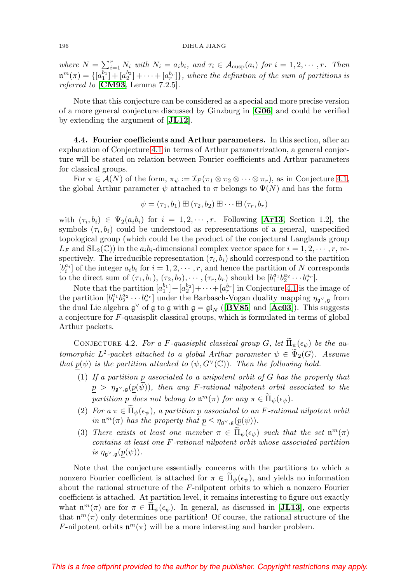where  $N = \sum_{i=1}^r N_i$  with  $N_i = a_i b_i$ , and  $\tau_i \in \mathcal{A}_{\text{cusp}}(a_i)$  for  $i = 1, 2, \dots, r$ . Then  $\mathfrak{m}^m(\pi) = \{ [a_1^{b_1}] + [a_2^{b_2}] + \cdots + [a_r^{b_r}] \}$ , where the definition of the sum of partitions is referred to [**[CM93](#page-55-11)**, Lemma 7.2.5].

Note that this conjecture can be considered as a special and more precise version of a more general conjecture discussed by Ginzburg in [**[G06](#page-56-7)**] and could be verified by extending the argument of [**[JL12](#page-59-8)**].

**4.4. Fourier coefficients and Arthur parameters.** In this section, after an explanation of Conjecture [4.1](#page-16-0) in terms of Arthur parametrization, a general conjecture will be stated on relation between Fourier coefficients and Arthur parameters for classical groups.

For  $\pi \in \mathcal{A}(N)$  of the form,  $\pi_{\psi} := \mathcal{I}_P(\pi_1 \otimes \pi_2 \otimes \cdots \otimes \pi_r)$ , as in Conjecture [4.1,](#page-16-0) the global Arthur parameter  $\psi$  attached to  $\pi$  belongs to  $\Psi(N)$  and has the form

$$
\psi = (\tau_1, b_1) \boxplus (\tau_2, b_2) \boxplus \cdots \boxplus (\tau_r, b_r)
$$

with  $(\tau_i, b_i) \in \Psi_2(a_i b_i)$  for  $i = 1, 2, \dots, r$ . Following [**[Ar13](#page-55-1)**, Section 1.2], the symbols  $(\tau_i, b_i)$  could be understood as representations of a general, unspecified topological group (which could be the product of the conjectural Langlands group  $L_F$  and  $SL_2(\mathbb{C})$  in the  $a_i b_i$ -dimensional complex vector space for  $i = 1, 2, \cdots, r$ , respectively. The irreducible representation  $(\tau_i, b_i)$  should correspond to the partition  $[b_i^{a_i}]$  of the integer  $a_i b_i$  for  $i = 1, 2, \cdots, r$ , and hence the partition of N corresponds to the direct sum of  $(\tau_1, b_1), (\tau_2, b_2), \cdots, (\tau_r, b_r)$  should be  $[b_1^{a_1} b_2^{a_2} \cdots b_r^{a_r}].$ 

Note that the partition  $[a_1^{b_1}] + [a_2^{b_2}] + \cdots + [a_r^{b_r}]$  in Conjecture [4.1](#page-16-0) is the image of the partition  $[b_1^{a_1} b_2^{a_2} \cdots b_r^{a_r}]$  under the Barbasch-Vogan duality mapping  $\eta_{\mathfrak{g}^\vee,\mathfrak{g}}$  from the dual Lie algebra  $\mathfrak{g}^{\vee}$  of  $\mathfrak{g}$  to  $\mathfrak{g}$  with  $\mathfrak{g} = \mathfrak{gl}_N$  ([**[BV85](#page-55-12)**] and [**[Ac03](#page-54-0)**]). This suggests a conjecture for F-quasisplit classical groups, which is formulated in terms of global Arthur packets.

<span id="page-17-0"></span>CONJECTURE 4.2. For a F-quasisplit classical group G, let  $\widetilde{\Pi}_{\psi}(\epsilon_{\psi})$  be the automorphic  $L^2$ -packet attached to a global Arthur parameter  $\psi \in \tilde{\Psi}_2(G)$ . Assume that  $p(\psi)$  is the partition attached to  $(\psi, G^{\vee}(\mathbb{C}))$ . Then the following hold.

- (1) If a partition p associated to a unipotent orbit of G has the property that  $p > \eta_{\mathfrak{g}^{\vee},\mathfrak{g}}(p(\psi))$ , then any F-rational nilpotent orbit associated to the partition  $\underline{p}$  does not belong to  $\mathfrak{n}^m(\pi)$  for any  $\pi \in \widetilde{\Pi}_{\psi}(\epsilon_{\psi})$ .
- (2) For  $a \pi \in \Pi_{\psi}(\epsilon_{\psi})$ , a partition p associated to an F-rational nilpotent orbit in  $\mathfrak{n}^m(\pi)$  has the property that  $p \leq \eta_{\mathfrak{g}^\vee, \mathfrak{g}}(p(\psi)).$
- (3) There exists at least one member  $\pi \in \tilde{\Pi}_{\psi}(\epsilon_{\psi})$  such that the set  $\mathfrak{n}^m(\pi)$ contains at least one F-rational nilpotent orbit whose associated partition is  $\eta_{\mathfrak{g}^\vee,\mathfrak{g}}(p(\psi)).$

Note that the conjecture essentially concerns with the partitions to which a nonzero Fourier coefficient is attached for  $\pi \in \Pi_{\psi}(\epsilon_{\psi})$ , and yields no information<br>clear the actional structure of the Euclidean which to which a non-zero Fausian about the rational structure of the F-nilpotent orbits to which a nonzero Fourier coefficient is attached. At partition level, it remains interesting to figure out exactly what  $\mathbf{n}^m(\pi)$  are for  $\pi \in \Pi_{\psi}(\epsilon_{\psi})$ . In general, as discussed in [**[JL13](#page-59-4)**], one expects that  $\mathfrak{n}^m(\pi)$  only determines one partition! Of course, the rational structure of the F-nilpotent orbits  $\mathfrak{n}^m(\pi)$  will be a more interesting and harder problem.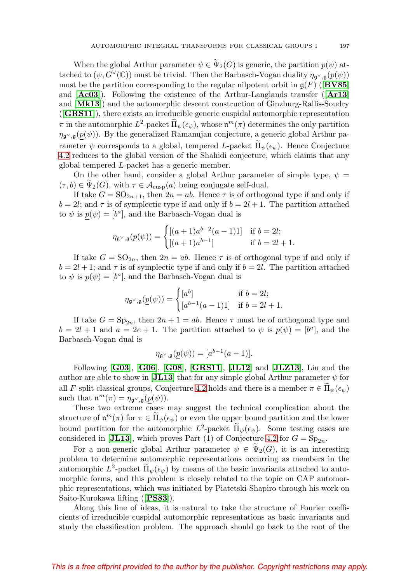When the global Arthur parameter  $\psi \in \Psi_2(G)$  is generic, the partition  $p(\psi)$  at-<br>  $\psi$  ( $\psi(G)$ ) went be trivial. Then the Parkage Means here in  $\mathcal{L}(\psi(\psi))$ tached to  $(\psi, G^{\vee}(\mathbb{C}))$  must be trivial. Then the Barbasch-Vogan duality  $\eta_{\mathfrak{q}^{\vee},\mathfrak{q}}(p(\psi))$ must be the partition corresponding to the regular nilpotent orbit in  $g(F)$  ([**[BV85](#page-55-12)**] and [**[Ac03](#page-54-0)**]). Following the existence of the Arthur-Langlands transfer ([**[Ar13](#page-55-1)**] and [**[Mk13](#page-61-3)**]) and the automorphic descent construction of Ginzburg-Rallis-Soudry ([**[GRS11](#page-57-1)**]), there exists an irreducible generic cuspidal automorphic representation  $\pi$  in the automorphic  $L^2$ -packet  $\tilde{\Pi}_{\psi}(\epsilon_{\psi})$ , whose  $\mathfrak{n}^m(\pi)$  determines the only partition  $\eta_{\mathfrak{q}^\vee,\mathfrak{q}}(p(\psi))$ . By the generalized Ramanujan conjecture, a generic global Arthur parameter  $\psi$  corresponds to a global, tempered L-packet  $\Pi_{\psi}(\epsilon_{\psi})$ . Hence Conjecture [4.2](#page-17-0) reduces to the global version of the Shahidi conjecture, which claims that any global tempered L-packet has a generic member.

On the other hand, consider a global Arthur parameter of simple type,  $\psi =$  $(\tau, b) \in \Psi_2(G)$ , with  $\tau \in \mathcal{A}_{\text{cusp}}(a)$  being conjugate self-dual.

If take  $G = SO_{2n+1}$ , then  $2n = ab$ . Hence  $\tau$  is of orthogonal type if and only if  $b = 2l$ ; and  $\tau$  is of symplectic type if and only if  $b = 2l + 1$ . The partition attached to  $\psi$  is  $p(\psi)=[b^a]$ , and the Barbasch-Vogan dual is

$$
\eta_{\mathfrak{g}^\vee, \mathfrak{g}}(\underline{p}(\psi)) = \begin{cases} [(a+1)a^{b-2}(a-1)1] & \text{if } b = 2l; \\ [(a+1)a^{b-1}] & \text{if } b = 2l+1. \end{cases}
$$

If take  $G = SO_{2n}$ , then  $2n = ab$ . Hence  $\tau$  is of orthogonal type if and only if  $b = 2l + 1$ ; and  $\tau$  is of symplectic type if and only if  $b = 2l$ . The partition attached to  $\psi$  is  $p(\psi)=[b^a]$ , and the Barbasch-Vogan dual is

$$
\eta_{\mathfrak{g}^{\vee},\mathfrak{g}}(\underline{p}(\psi)) = \begin{cases} [a^b] & \text{if } b = 2l; \\ [a^{b-1}(a-1)1] & \text{if } b = 2l + 1. \end{cases}
$$

If take  $G = \text{Sp}_{2n}$ , then  $2n + 1 = ab$ . Hence  $\tau$  must be of orthogonal type and  $b = 2l + 1$  and  $a = 2e + 1$ . The partition attached to  $\psi$  is  $p(\psi) = [b^a]$ , and the Barbasch-Vogan dual is

$$
\eta_{\mathfrak{g}^\vee, \mathfrak{g}}(\underline{p}(\psi)) = [a^{b-1}(a-1)].
$$

Following [**[G03](#page-56-8)**], [**[G06](#page-56-7)**], [**[G08](#page-56-3)**], [**[GRS11](#page-57-1)**], [**[JL12](#page-59-8)**] and [**[JLZ13](#page-59-7)**], Liu and the author are able to show in [**[JL13](#page-59-4)**] that for any simple global Arthur parameter  $\psi$  for all F-split classical groups, Conjecture [4.2](#page-17-0) holds and there is a member  $\pi \in \Pi_{\psi}(\epsilon_{\psi})$ such that  $\mathfrak{n}^m(\pi) = \eta_{\mathfrak{g}^\vee, \mathfrak{g}}(p(\psi)).$ 

These two extreme cases may suggest the technical complication about the structure of  $\mathfrak{n}^m(\pi)$  for  $\pi \in \Pi_{\psi}(\epsilon_{\psi})$  or even the upper bound partition and the lower bound partition for the automorphic  $L^2$ -packet  $\tilde{\Pi}_{\psi}(\epsilon_{\psi})$ . Some testing cases are considered in [[JL13](#page-59-4)], which proves Part (1) of Conjecture [4.2](#page-17-0) for  $G = Sp_{2n}$ .

For a non-generic global Arthur parameter  $\psi \in \Psi_2(G)$ , it is an interesting<br>them to determine automorphic parameterisms assuming as mambass in the problem to determine automorphic representations occurring as members in the automorphic  $L^2$ -packet  $\tilde{\Pi}_{\psi}(\epsilon_{\psi})$  by means of the basic invariants attached to auto-<br>we write forms and this worklow is shocked to the taris on  $\tilde{G}$ AD subseques morphic forms, and this problem is closely related to the topic on CAP automorphic representations, which was initiated by Piatetski-Shapiro through his work on Saito-Kurokawa lifting ([**[PS83](#page-62-7)**]).

Along this line of ideas, it is natural to take the structure of Fourier coefficients of irreducible cuspidal automorphic representations as basic invariants and study the classification problem. The approach should go back to the root of the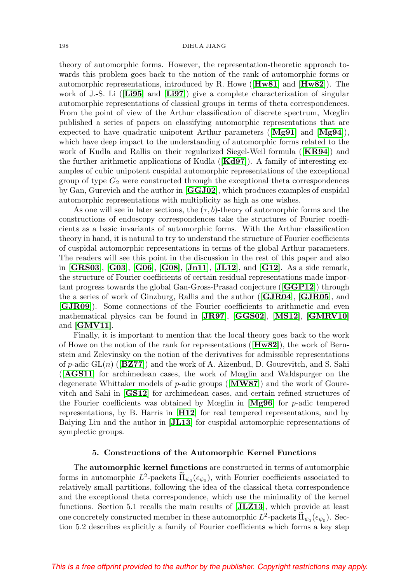theory of automorphic forms. However, the representation-theoretic approach towards this problem goes back to the notion of the rank of automorphic forms or automorphic representations, introduced by R. Howe ([**[Hw81](#page-58-2)**] and [**[Hw82](#page-58-3)**]). The work of J.-S. Li ([**[Li95](#page-61-1)**] and [**[Li97](#page-61-2)**]) give a complete characterization of singular automorphic representations of classical groups in terms of theta correspondences. From the point of view of the Arthur classification of discrete spectrum, Mœglin published a series of papers on classifying automorphic representations that are expected to have quadratic unipotent Arthur parameters ([**[Mg91](#page-61-8)**] and [**[Mg94](#page-61-9)**]), which have deep impact to the understanding of automorphic forms related to the work of Kudla and Rallis on their regularized Siegel-Weil formula ([**[KR94](#page-60-12)**]) and the further arithmetic applications of Kudla ([**[Kd97](#page-60-13)**]). A family of interesting examples of cubic unipotent cuspidal automorphic representations of the exceptional group of type  $G_2$  were constructed through the exceptional theta correspondences by Gan, Gurevich and the author in [**[GGJ02](#page-56-0)**], which produces examples of cuspidal automorphic representations with multiplicity as high as one wishes.

As one will see in later sections, the  $(\tau, b)$ -theory of automorphic forms and the constructions of endoscopy correspondences take the structures of Fourier coefficients as a basic invariants of automorphic forms. With the Arthur classification theory in hand, it is natural to try to understand the structure of Fourier coefficients of cuspidal automorphic representations in terms of the global Arthur parameters. The readers will see this point in the discussion in the rest of this paper and also in [**[GRS03](#page-57-4)**], [**[G03](#page-56-8)**], [**[G06](#page-56-7)**], [**[G08](#page-56-3)**], [**[Jn11](#page-59-6)**], [**[JL12](#page-59-8)**], and [**[G12](#page-56-4)**]. As a side remark, the structure of Fourier coefficients of certain residual representations made important progress towards the global Gan-Gross-Prasad conjecture ([**[GGP12](#page-56-6)**]) through the a series of work of Ginzburg, Rallis and the author ([**[GJR04](#page-56-9)**], [**[GJR05](#page-56-10)**], and [**[GJR09](#page-56-11)**]). Some connections of the Fourier coefficients to arithmetic and even mathematical physics can be found in [**[JR97](#page-59-9)**], [**[GGS02](#page-56-12)**], [**[MS12](#page-61-10)**], [**[GMRV10](#page-57-5)**] and [**[GMV11](#page-57-6)**].

Finally, it is important to mention that the local theory goes back to the work of Howe on the notion of the rank for representations ([**[Hw82](#page-58-3)**]), the work of Bernstein and Zelevinsky on the notion of the derivatives for admissible representations of p-adic GL(n) ([**[BZ77](#page-55-13)**]) and the work of A. Aizenbud, D. Gourevitch, and S. Sahi ([**[AGS11](#page-55-14)**] for archimedean cases, the work of Mœglin and Waldspurger on the degenerate Whittaker models of p-adic groups ([**[MW87](#page-61-11)**]) and the work of Gourevitch and Sahi in [**[GS12](#page-57-7)**] for archimedean cases, and certain refined structures of the Fourier coefficients was obtained by Mœglin in [**[Mg96](#page-61-12)**] for p-adic tempered representations, by B. Harris in [**[H12](#page-57-8)**] for real tempered representations, and by Baiying Liu and the author in [**[JL13](#page-59-4)**] for cuspidal automorphic representations of symplectic groups.

## **5. Constructions of the Automorphic Kernel Functions**

The **automorphic kernel functions** are constructed in terms of automorphic forms in automorphic  $L^2$ -packets  $\Pi_{\psi_0}(\epsilon_{\psi_0})$ , with Fourier coefficients associated to relatively small partitions, following the idea of the classical theta correspondence and the exceptional theta correspondence, which use the minimality of the kernel functions. Section 5.1 recalls the main results of [**[JLZ13](#page-59-7)**], which provide at least one concretely constructed member in these automorphic  $L^2$ -packets  $\Pi_{\psi_0}(\epsilon_{\psi_0})$ . Sec-<br>tion 5.2 december conligibly a family of Fourier seefficients which forms a love stan tion 5.2 describes explicitly a family of Fourier coefficients which forms a key step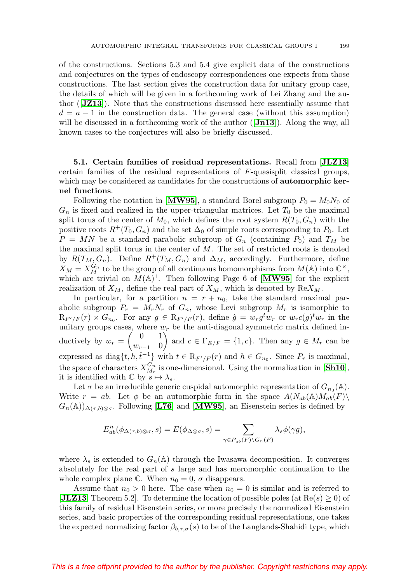of the constructions. Sections 5.3 and 5.4 give explicit data of the constructions and conjectures on the types of endoscopy correspondences one expects from those constructions. The last section gives the construction data for unitary group case, the details of which will be given in a forthcoming work of Lei Zhang and the author ([**[JZ13](#page-59-5)**]). Note that the constructions discussed here essentially assume that  $d = a - 1$  in the construction data. The general case (without this assumption) will be discussed in a forthcoming work of the author ([**[Jn13](#page-59-10)**]). Along the way, all known cases to the conjectures will also be briefly discussed.

**5.1. Certain families of residual representations.** Recall from [**[JLZ13](#page-59-7)**] certain families of the residual representations of F-quasisplit classical groups, which may be considered as candidates for the constructions of **automorphic kernel functions**.

Following the notation in [**[MW95](#page-61-13)**], a standard Borel subgroup  $P_0 = M_0N_0$  of  $G_n$  is fixed and realized in the upper-triangular matrices. Let  $T_0$  be the maximal split torus of the center of  $M_0$ , which defines the root system  $R(T_0, G_n)$  with the positive roots  $R^+(T_0, G_n)$  and the set  $\Delta_0$  of simple roots corresponding to  $P_0$ . Let  $P = MN$  be a standard parabolic subgroup of  $G_n$  (containing  $P_0$ ) and  $T_M$  be the maximal split torus in the center of M. The set of restricted roots is denoted by  $R(T_M, G_n)$ . Define  $R^+(T_M, G_n)$  and  $\Delta_M$ , accordingly. Furthermore, define  $X_M = X_M^{G_n}$  to be the group of all continuous homomorphisms from  $M(\mathbb{A})$  into  $\mathbb{C}^{\times}$ , which are trivial on  $M(\mathbb{A})^1$ . Then following Page 6 of [**[MW95](#page-61-13)**] for the explicit realization of  $X_M$ , define the real part of  $X_M$ , which is denoted by  $\text{Re}X_M$ .

In particular, for a partition  $n = r + n_0$ , take the standard maximal parabolic subgroup  $P_r = M_r N_r$  of  $G_n$ , whose Levi subgroup  $M_r$  is isomorphic to  $\mathcal{R}_{F'/F}(r) \times G_{n_0}$ . For any  $g \in \mathcal{R}_{F'/F}(r)$ , define  $\hat{g} = w_r g^t w_r$  or  $w_r c(g)^t w_r$  in the unitary groups cases, where  $w_r$  be the anti-diagonal symmetric matrix defined inductively by  $w_r = \begin{pmatrix} 0 & 1 \\ w & 0 \end{pmatrix}$  $w_{r-1}$  0 and  $c \in \Gamma_{E/F} = \{1, c\}$ . Then any  $g \in M_r$  can be expressed as  $diag\{t, h, \hat{t}^{-1}\}\$  with  $t \in R_{F'/F}(r)$  and  $h \in G_{n_0}$ . Since  $P_r$  is maximal, the space of characters  $X_{M_r}^{G_n}$  is one-dimensional. Using the normalization in [**[Sh10](#page-62-12)**], it is identified with  $\mathbb C$  by  $s \mapsto \lambda_s$ .

Let  $\sigma$  be an irreducible generic cuspidal automorphic representation of  $G_{n_0}(\mathbb{A})$ . Write  $r = ab$ . Let  $\phi$  be an automorphic form in the space  $A(N_{ab}(\mathbb{A})M_{ab}(F))$  $G_n(\mathbb{A}))_{\Delta(\tau,b)\otimes\sigma}$ . Following [**[L76](#page-60-14)**] and [**[MW95](#page-61-13)**], an Eisenstein series is defined by

$$
E_{ab}^n(\phi_{\Delta(\tau,b)\otimes\sigma},s) = E(\phi_{\Delta\otimes\sigma},s) = \sum_{\gamma \in P_{ab}(F) \backslash G_n(F)} \lambda_s \phi(\gamma g),
$$

where  $\lambda_s$  is extended to  $G_n(\mathbb{A})$  through the Iwasawa decomposition. It converges absolutely for the real part of s large and has meromorphic continuation to the whole complex plane C. When  $n_0 = 0$ ,  $\sigma$  disappears.

Assume that  $n_0 > 0$  here. The case when  $n_0 = 0$  is similar and is referred to **[[JLZ13](#page-59-7)**, Theorem 5.2]. To determine the location of possible poles (at  $\text{Re}(s) \geq 0$ ) of this family of residual Eisenstein series, or more precisely the normalized Eisenstein series, and basic properties of the corresponding residual representations, one takes the expected normalizing factor  $\beta_{b,\tau,\sigma}(s)$  to be of the Langlands-Shahidi type, which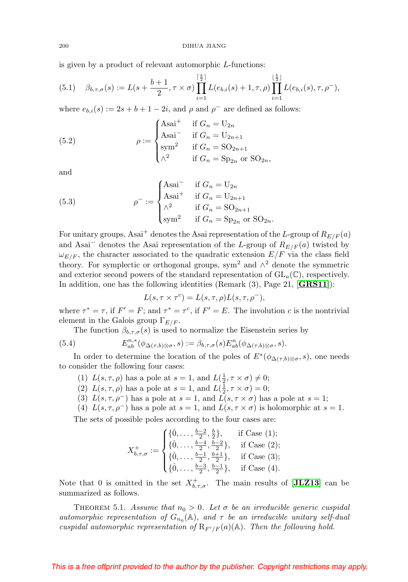200 DIHUA JIANG

is given by a product of relevant automorphic L-functions:

$$
(5.1) \quad \beta_{b,\tau,\sigma}(s) := L(s + \frac{b+1}{2}, \tau \times \sigma) \prod_{i=1}^{\lceil \frac{b}{2} \rceil} L(e_{b,i}(s) + 1, \tau, \rho) \prod_{i=1}^{\lfloor \frac{b}{2} \rfloor} L(e_{b,i}(s), \tau, \rho^{-}),
$$

where  $e_{b,i}(s) := 2s + b + 1 - 2i$ , and  $\rho$  and  $\rho^-$  are defined as follows:

(5.2) 
$$
\rho := \begin{cases} \text{Asai}^+ & \text{if } G_n = U_{2n} \\ \text{Asai}^- & \text{if } G_n = U_{2n+1} \\ \text{sym}^2 & \text{if } G_n = \text{SO}_{2n+1} \\ \wedge^2 & \text{if } G_n = \text{Sp}_{2n} \text{ or } \text{SO}_{2n}, \end{cases}
$$

and

(5.3) 
$$
\rho^{-} := \begin{cases} \text{Asai}^{-} & \text{if } G_n = U_{2n} \\ \text{Asai}^{+} & \text{if } G_n = U_{2n+1} \\ \wedge^2 & \text{if } G_n = \text{SO}_{2n+1} \\ \text{sym}^2 & \text{if } G_n = \text{Sp}_{2n} \text{ or } \text{SO}_{2n}. \end{cases}
$$

For unitary groups, Asai<sup>+</sup> denotes the Asai representation of the L-group of  $R_{E/F}(a)$ and Asai<sup>-</sup> denotes the Asai representation of the L-group of  $R_{E/F}(a)$  twisted by  $\omega_{E/F}$ , the character associated to the quadratic extension  $E/F$  via the class field theory. For symplectic or orthogonal groups, sym<sup>2</sup> and  $\wedge^2$  denote the symmetric and exterior second powers of the standard representation of  $GL_a(\mathbb{C})$ , respectively. In addition, one has the following identities (Remark (3), Page 21, [**[GRS11](#page-57-1)**]):

$$
L(s, \tau \times \tau^c) = L(s, \tau, \rho) L(s, \tau, \rho^-),
$$

where  $\tau^* = \tau$ , if  $F' = F$ ; and  $\tau^* = \tau^c$ , if  $F' = E$ . The involution c is the nontrivial element in the Galois group  $\Gamma_{E/F}$ .

The function  $\beta_{b,\tau,\sigma}(s)$  is used to normalize the Eisenstein series by

(5.4) 
$$
E_{ab}^{n,*}(\phi_{\Delta(\tau,b)\otimes\sigma},s) := \beta_{b,\tau,\sigma}(s)E_{ab}^n(\phi_{\Delta(\tau,b)\otimes\sigma},s).
$$

In order to determine the location of the poles of  $E^*(\phi_{\Delta(\tau,b)\otimes \sigma},s)$ , one needs to consider the following four cases:

- (1)  $L(s, \tau, \rho)$  has a pole at  $s = 1$ , and  $L(\frac{1}{2}, \tau \times \sigma) \neq 0$ ;
- (2)  $L(s, \tau, \rho)$  has a pole at  $s = 1$ , and  $L(\frac{1}{2}, \tau \times \sigma) = 0$ ;
- (3)  $L(s, \tau, \rho^-)$  has a pole at  $s = 1$ , and  $L(s, \tau \times \sigma)$  has a pole at  $s = 1$ ;
- (4)  $L(s, \tau, \rho^{-})$  has a pole at  $s = 1$ , and  $L(s, \tau \times \sigma)$  is holomorphic at  $s = 1$ .

The sets of possible poles according to the four cases are:

$$
X_{b,\tau,\sigma}^{+} := \begin{cases} \{ \hat{0},\ldots,\frac{b-2}{2},\frac{b}{2} \}, & \text{if Case (1);} \\ \{ \hat{0},\ldots,\frac{b-4}{2},\frac{b-2}{2} \}, & \text{if Case (2);} \\ \{ \hat{0},\ldots,\frac{b-1}{2},\frac{b+1}{2} \}, & \text{if Case (3);} \\ \{ \hat{0},\ldots,\frac{b-3}{2},\frac{b-1}{2} \}, & \text{if Case (4).} \end{cases}
$$

Note that 0 is omitted in the set  $X^{\dagger}_{b,\tau,\sigma}$ . The main results of [**[JLZ13](#page-59-7)**] can be summarized as follows.

THEOREM 5.1. Assume that  $n_0 > 0$ . Let  $\sigma$  be an irreducible generic cuspidal automorphic representation of  $G_{n_0}(\mathbb{A})$ , and  $\tau$  be an irreducible unitary self-dual cuspidal automorphic representation of  $R_{F'/F}(a)(A)$ . Then the following hold.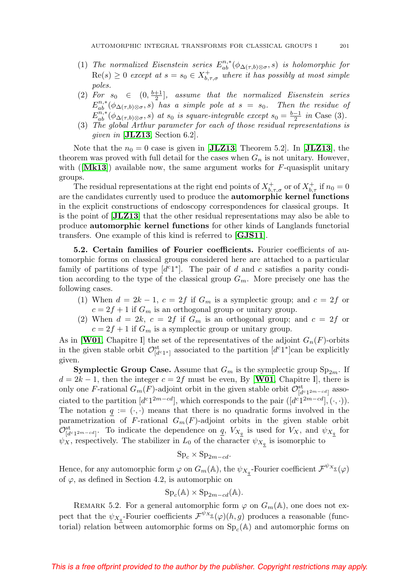- (1) The normalized Eisenstein series  $E_{ab}^{n,*}(\phi_{\Delta(\tau,b)\otimes \sigma},s)$  is holomorphic for  $\text{Re}(s) \geq 0$  except at  $s = s_0 \in X_{b,\tau,\sigma}^+$  where it has possibly at most simple poles.
- (2) For  $s_0 \in (0, \frac{b+1}{2}]$ , assume that the normalized Eisenstein series  $E_{ab}^{n,*}(\phi_{\Delta(\tau,b)\otimes\sigma},s)$  has a simple pole at  $s=s_0$ . Then the residue of  $E_{ab}^{n,*}(\phi_{\Delta(\tau,b)\otimes\sigma},s)$  at s<sub>0</sub> is square-integrable except  $s_0 = \frac{b-1}{2}$  in Case (3).
- (3) The global Arthur parameter for each of those residual representations is given in  $[\textbf{JLZ13}, \text{Section 6.2}].$  $[\textbf{JLZ13}, \text{Section 6.2}].$  $[\textbf{JLZ13}, \text{Section 6.2}].$

Note that the  $n_0 = 0$  case is given in [[JLZ13](#page-59-7), Theorem 5.2]. In [JLZ13], the theorem was proved with full detail for the cases when  $G_n$  is not unitary. However, with  $\textbf{[Mk13]}$  $\textbf{[Mk13]}$  $\textbf{[Mk13]}$  available now, the same argument works for F-quasisplit unitary groups.

The residual representations at the right end points of  $X^+_{b,\tau,\sigma}$  or of  $X^+_{b,\tau}$  if  $n_0 = 0$ are the candidates currently used to produce the **automorphic kernel functions** in the explicit constructions of endoscopy correspondences for classical groups. It is the point of [**[JLZ13](#page-59-7)**] that the other residual representations may also be able to produce **automorphic kernel functions** for other kinds of Langlands functorial transfers. One example of this kind is referred to [**[GJS11](#page-57-9)**].

**5.2. Certain families of Fourier coefficients.** Fourier coefficients of automorphic forms on classical groups considered here are attached to a particular family of partitions of type  $[d<sup>c</sup>1<sup>*</sup>]$ . The pair of d and c satisfies a parity condition according to the type of the classical group  $G_m$ . More precisely one has the following cases.

- (1) When  $d = 2k 1$ ,  $c = 2f$  if  $G_m$  is a symplectic group; and  $c = 2f$  or  $c = 2f + 1$  if  $G_m$  is an orthogonal group or unitary group.
- (2) When  $d = 2k$ ,  $c = 2f$  if  $G_m$  is an orthogonal group; and  $c = 2f$  or  $c = 2f + 1$  if  $G_m$  is a symplectic group or unitary group.

As in [**[W01](#page-63-4)**, Chapitre I] the set of the representatives of the adjoint  $G_n(F)$ -orbits in the given stable orbit  $\mathcal{O}^{\text{st}}_{[d^c1^*]}$  associated to the partition  $[d^c1^*]$ can be explicitly given.

**Symplectic Group Case.** Assume that  $G_m$  is the symplectic group  $\text{Sp}_{2m}$ . If  $d = 2k - 1$ , then the integer  $c = 2f$  must be even, By [**[W01](#page-63-4)**, Chapitre I], there is only one F-rational  $G_m(F)$ -adjoint orbit in the given stable orbit  $\mathcal{O}^{\text{st}}_{[d^c1^{2m-cd}]}$  associated to the partition  $[d^{c}1^{2m-cd}]$ , which corresponds to the pair  $([d^{c}1^{2m-cd}], (\cdot, \cdot)).$ The notation  $q := (\cdot, \cdot)$  means that there is no quadratic forms involved in the parametrization of F-rational  $G_m(F)$ -adjoint orbits in the given stable orbit  $\mathcal{O}^{\text{st}}_{[d^c1^{2m-cd}]}.$  To indicate the dependence on  $\underline{q}$ ,  $V_{X_{\underline{q}}}$  is used for  $V_X$ , and  $\psi_{X_{\underline{q}}}$  for  $\psi_X$ , respectively. The stabilizer in  $L_0$  of the character  $\psi_{X_q}$  is isomorphic to

$$
Sp_c \times Sp_{2m-cd}.
$$

Hence, for any automorphic form  $\varphi$  on  $G_m(\mathbb{A})$ , the  $\psi_{X_q}$ -Fourier coefficient  $\mathcal{F}^{\psi_{X_q}}(\varphi)$ of  $\varphi$ , as defined in Section 4.2, is automorphic on

$$
Spc(A) \times Sp2m-cd(A).
$$

REMARK 5.2. For a general automorphic form  $\varphi$  on  $G_m(\mathbb{A})$ , one does not expect that the  $\psi_{X_q}$ -Fourier coefficients  $\mathcal{F}^{\psi_{X_q}}(\varphi)(h,g)$  produces a reasonable (functorial) relation between automorphic forms on  $Sp<sub>c</sub>(A)$  and automorphic forms on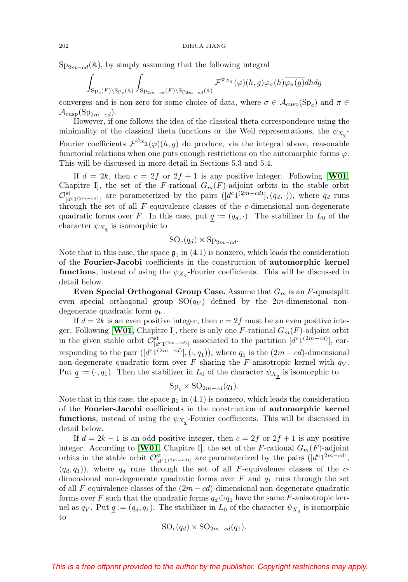$Sp_{2m-cd}(\mathbb{A})$ , by simply assuming that the following integral

$$
\int_{\mathrm{Sp}_c(F)\backslash \mathrm{Sp}_c(\mathbb{A})}\int_{\mathrm{Sp}_{2m-cd}(F)\backslash \mathrm{Sp}_{2m-cd}(\mathbb{A})}\mathcal{F}^{\psi_{X_{\mathcal{A}}}(\varphi)}(h,g)\varphi_\sigma(h)\overline{\varphi_\pi(g)}dhdg
$$

converges and is non-zero for some choice of data, where  $\sigma \in \mathcal{A}_{\text{cusp}}(\text{Sp}_c)$  and  $\pi \in$  $\mathcal{A}_{\text{cusp}}(\text{Sp}_{2m-cd}).$ 

However, if one follows the idea of the classical theta correspondence using the minimality of the classical theta functions or the Weil representations, the  $\psi_{X_q}$ -Fourier coefficients  $\mathcal{F}^{\psi_{X_{\underline{q}}}(\varphi)}(h,g)$  do produce, via the integral above, reasonable functorial relations when one puts enough restrictions on the automorphic forms  $\varphi$ . This will be discussed in more detail in Sections 5.3 and 5.4.

If  $d = 2k$ , then  $c = 2f$  or  $2f + 1$  is any positive integer. Following [**[W01](#page-63-4)**, Chapitre I], the set of the F-rational  $G_m(F)$ -adjoint orbits in the stable orbit  $\mathcal{O}^{\rm st}_{[d^{c_1(2m-cd)}]}$  are parameterized by the pairs  $([d^{c_1(2m-cd)}],(q_d, \cdot)),$  where  $q_d$  runs through the set of all  $F$ -equivalence classes of the  $c$ -dimensional non-degenerate quadratic forms over F. In this case, put  $q := (q_d, \cdot)$ . The stabilizer in  $L_0$  of the character  $\psi_{X_q}$  is isomorphic to

$$
SO_c(q_d) \times Sp_{2m-cd}.
$$

Note that in this case, the space  $\mathfrak{g}_1$  in (4.1) is nonzero, which leads the consideration of the **Fourier-Jacobi** coefficients in the construction of **automorphic kernel functions**, instead of using the  $\psi_{X_a}$ -Fourier coefficients. This will be discussed in detail below.

**Even Special Orthogonal Group Case.** Assume that  $G_m$  is an  $F$ -quasisplit even special orthogonal group  $SO(q_V)$  defined by the 2m-dimensional nondegenerate quadratic form  $q_V$ .

If  $d = 2k$  is an even positive integer, then  $c = 2f$  must be an even positive integer. Following **[[W01](#page-63-4)**, Chapitre I], there is only one F-rational  $G_m(F)$ -adjoint orbit in the given stable orbit  $\mathcal{O}_{[d^c1^{(2m-cd)}]}^{\text{st}}$  associated to the partition  $[d^c1^{(2m-cd)}]$ , corresponding to the pair  $([d^c1^{(2m-cd)}], (\cdot, q_1))$ , where  $q_1$  is the  $(2m-cd)$ -dimensional non-degenerate quadratic form over F sharing the F-anisotropic kernel with  $q_V$ . Put  $q := (\cdot, q_1)$ . Then the stabilizer in  $L_0$  of the character  $\psi_{X_q}$  is isomorphic to

$$
Sp_c \times SO_{2m-cd}(q_1).
$$

Note that in this case, the space  $\mathfrak{g}_1$  in (4.1) is nonzero, which leads the consideration of the **Fourier-Jacobi** coefficients in the construction of **automorphic kernel functions**, instead of using the  $\psi_{X_q}$ -Fourier coefficients. This will be discussed in detail below.

If  $d = 2k - 1$  is an odd positive integer, then  $c = 2f$  or  $2f + 1$  is any positive integer. According to [**[W01](#page-63-4)**, Chapitre I], the set of the F-rational  $G_m(F)$ -adjoint orbits in the stable orbit  $\mathcal{O}^{\text{st}}_{[d^c1^{(2m-cd)}]}$  are parameterized by the pairs  $([d^{c}1^{2m-cd}],$  $(q_d, q_1)$ , where  $q_d$  runs through the set of all F-equivalence classes of the cdimensional non-degenerate quadratic forms over  $F$  and  $q_1$  runs through the set of all F-equivalence classes of the  $(2m - cd)$ -dimensional non-degenerate quadratic forms over F such that the quadratic forms  $q_d \oplus q_1$  have the same F-anisotropic kernel as  $q_V$ . Put  $q := (q_d, q_1)$ . The stabilizer in  $L_0$  of the character  $\psi_{X_q}$  is isomorphic to

$$
SO_c(q_d) \times SO_{2m-cd}(q_1).
$$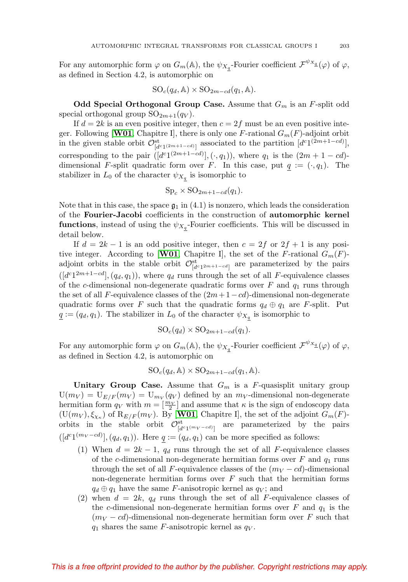For any automorphic form  $\varphi$  on  $G_m(\mathbb{A})$ , the  $\psi_{X_q}$ -Fourier coefficient  $\mathcal{F}^{\psi_{X_q}}(\varphi)$  of  $\varphi$ , as defined in Section 4.2, is automorphic on

$$
SO_c(q_d, \mathbb{A}) \times SO_{2m-cd}(q_1, \mathbb{A}).
$$

**Odd Special Orthogonal Group Case.** Assume that  $G_m$  is an F-split odd special orthogonal group  $SO_{2m+1}(q_V)$ .

If  $d = 2k$  is an even positive integer, then  $c = 2f$  must be an even positive integer. Following [**[W01](#page-63-4)**, Chapitre I], there is only one F-rational  $G_m(F)$ -adjoint orbit in the given stable orbit  $\mathcal{O}^{\text{st}}_{[d^c1^{(2m+1-cd)}]}$  associated to the partition  $[d^c1^{(2m+1-cd)}],$ corresponding to the pair  $([d^{c_1(2m+1-cd)}], (\cdot, q_1))$ , where  $q_1$  is the  $(2m + 1 - cd)$ dimensional F-split quadratic form over F. In this case, put  $q := (\cdot, q_1)$ . The stabilizer in  $L_0$  of the character  $\psi_{X_q}$  is isomorphic to

$$
Sp_c \times SO_{2m+1-cd}(q_1).
$$

Note that in this case, the space  $\mathfrak{g}_1$  in (4.1) is nonzero, which leads the consideration of the **Fourier-Jacobi** coefficients in the construction of **automorphic kernel functions**, instead of using the  $\psi_{X_q}$ -Fourier coefficients. This will be discussed in detail below.

If  $d = 2k - 1$  is an odd positive integer, then  $c = 2f$  or  $2f + 1$  is any positive integer. According to [**[W01](#page-63-4)**, Chapitre I], the set of the F-rational  $G_m(F)$ adjoint orbits in the stable orbit  $\mathcal{O}^{st}_{[d^c1^{2m+1-cd}]}$  are parameterized by the pairs  $([d<sup>c</sup>1<sup>2m+1-cd</sup>], (q<sub>d</sub>, q<sub>1</sub>)),$  where  $q<sub>d</sub>$  runs through the set of all F-equivalence classes of the c-dimensional non-degenerate quadratic forms over  $F$  and  $q_1$  runs through the set of all F-equivalence classes of the  $(2m+1-cd)$ -dimensional non-degenerate quadratic forms over F such that the quadratic forms  $q_d \oplus q_1$  are F-split. Put  $q := (q_d, q_1)$ . The stabilizer in  $L_0$  of the character  $\psi_{X_q}$  is isomorphic to

$$
SO_c(q_d) \times SO_{2m+1-cd}(q_1).
$$

For any automorphic form  $\varphi$  on  $G_m(\mathbb{A})$ , the  $\psi_{X_q}$ -Fourier coefficient  $\mathcal{F}^{\psi_{X_q}}(\varphi)$  of  $\varphi$ , as defined in Section 4.2, is automorphic on

$$
SO_c(q_d, \mathbb{A}) \times SO_{2m+1-cd}(q_1, \mathbb{A}).
$$

**Unitary Group Case.** Assume that  $G_m$  is a F-quasisplit unitary group  $U(m_V) = U_{E/F}(m_V) = U_{m_V} (q_V)$  defined by an  $m_V$ -dimensional non-degenerate hermitian form  $q_V$  with  $m = \left[\frac{m_V}{2}\right]$  and assume that  $\kappa$  is the sign of endoscopy data  $(U(m_V), \xi_{\chi_K})$  of  $R_{E/F}(m_V)$ . By [**[W01](#page-63-4)**, Chapitre I], the set of the adjoint  $G_m(F)$ orbits in the stable orbit  $\mathcal{O}^{\text{st}}_{[d^c1^{(m_V-cd)}]}$  are parameterized by the pairs  $([d<sup>c</sup>1<sup>(m<sub>V</sub>-cd)</sup>], (q<sub>d</sub>, q<sub>1</sub>)).$  Here  $q := (q<sub>d</sub>, q<sub>1</sub>)$  can be more specified as follows:

- (1) When  $d = 2k 1$ ,  $q_d$  runs through the set of all F-equivalence classes of the c-dimensional non-degenerate hermitian forms over  $F$  and  $q_1$  runs through the set of all F-equivalence classes of the  $(m_V - cd)$ -dimensional non-degenerate hermitian forms over  $F$  such that the hermitian forms  $q_d \oplus q_1$  have the same F-anisotropic kernel as  $q_V$ ; and
- (2) when  $d = 2k$ ,  $q_d$  runs through the set of all F-equivalence classes of the c-dimensional non-degenerate hermitian forms over  $F$  and  $q_1$  is the  $(m_V - cd)$ -dimensional non-degenerate hermitian form over F such that  $q_1$  shares the same F-anisotropic kernel as  $q_V$ .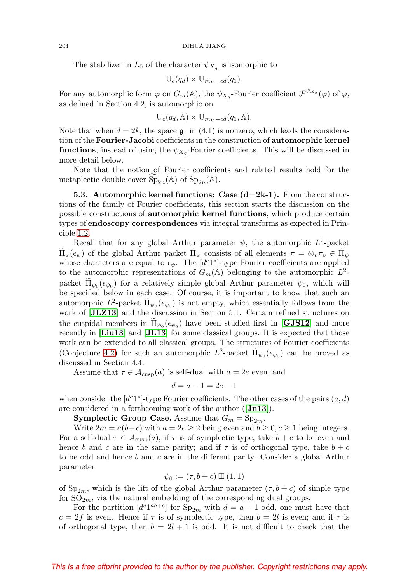The stabilizer in  $L_0$  of the character  $\psi_{X_q}$  is isomorphic to

$$
U_c(q_d) \times U_{m_V - cd}(q_1).
$$

For any automorphic form  $\varphi$  on  $G_m(\mathbb{A})$ , the  $\psi_{X_q}$ -Fourier coefficient  $\mathcal{F}^{\psi_{X_q}}(\varphi)$  of  $\varphi$ , as defined in Section 4.2, is automorphic on

$$
U_c(q_d, A) \times U_{m_V - cd}(q_1, A).
$$

Note that when  $d = 2k$ , the space  $\mathfrak{g}_1$  in (4.1) is nonzero, which leads the consideration of the **Fourier-Jacobi** coefficients in the construction of **automorphic kernel functions**, instead of using the  $\psi_{X_q}$ -Fourier coefficients. This will be discussed in more detail below.

Note that the notion of Fourier coefficients and related results hold for the metaplectic double cover  $\text{Sp}_{2n}(\mathbb{A})$  of  $\text{Sp}_{2n}(\mathbb{A})$ .

<span id="page-25-0"></span>**5.3. Automorphic kernel functions: Case (d=2k-1).** From the constructions of the family of Fourier coefficients, this section starts the discussion on the possible constructions of **automorphic kernel functions**, which produce certain types of **endoscopy correspondences** via integral transforms as expected in Principle [1.2.](#page-4-3)

Recall that for any global Arthur parameter  $\psi$ , the automorphic  $L^2$ -packet  $\Pi_{\psi}(\epsilon_{\psi})$  of the global Arthur packet  $\Pi_{\psi}$  consists of all elements  $\pi = \otimes_v \pi_v \in \Pi_{\psi}$ whose characters are equal to  $\epsilon_{\psi}$ . The [d<sup>c</sup>1<sup>\*</sup>]-type Fourier coefficients are applied to the automorphic representations of  $G_m(\mathbb{A})$  belonging to the automorphic  $L^2$ packet  $\Pi_{\psi_0}(\epsilon_{\psi_0})$  for a relatively simple global Arthur parameter  $\psi_0$ , which will be specified below in each case. Of course, it is important to know that such an automorphic  $L^2$ -packet  $\prod_{\psi_0} (\epsilon_{\psi_0})$  is not empty, which essentially follows from the work of [[JLZ13](#page-59-7)] and the discussion in Section 5.1. Certain refined structures on the cuspidal members in  $\Pi_{\psi_0}(\epsilon_{\psi_0})$  have been studied first in [**[GJS12](#page-57-2)**] and more recently in [**[Liu13](#page-61-5)**] and [**[JL13](#page-59-4)**] for some classical groups. It is expected that those work can be extended to all classical groups. The structures of Fourier coefficients (Conjecture [4.2\)](#page-17-0) for such an automorphic  $L^2$ -packet  $\tilde{\Pi}_{\psi_0}(\epsilon_{\psi_0})$  can be proved as discussed in Section 4.4.

Assume that  $\tau \in \mathcal{A}_{\text{cusp}}(a)$  is self-dual with  $a = 2e$  even, and

$$
d = a - 1 = 2e - 1
$$

when consider the  $[d<sup>c</sup>1<sup>*</sup>]$ -type Fourier coefficients. The other cases of the pairs  $(a, d)$ are considered in a forthcoming work of the author ([**[Jn13](#page-59-10)**]).

**Symplectic Group Case.** Assume that  $G_m = \text{Sp}_{2m}$ .

Write  $2m = a(b+c)$  with  $a = 2e \ge 2$  being even and  $b \ge 0, c \ge 1$  being integers. For a self-dual  $\tau \in \mathcal{A}_{\text{cusp}}(a)$ , if  $\tau$  is of symplectic type, take  $b + c$  to be even and hence b and c are in the same parity; and if  $\tau$  is of orthogonal type, take  $b + c$ to be odd and hence  $b$  and  $c$  are in the different parity. Consider a global Arthur parameter

$$
\psi_0 := (\tau, b + c) \boxplus (1, 1)
$$

of  $Sp_{2m}$ , which is the lift of the global Arthur parameter  $(\tau, b + c)$  of simple type for  $SO_{2m}$ , via the natural embedding of the corresponding dual groups.

For the partition  $[d^{c_1ab+c}]$  for  $Sp_{2m}$  with  $d = a - 1$  odd, one must have that  $c = 2f$  is even. Hence if  $\tau$  is of symplectic type, then  $b = 2l$  is even; and if  $\tau$  is of orthogonal type, then  $b = 2l + 1$  is odd. It is not difficult to check that the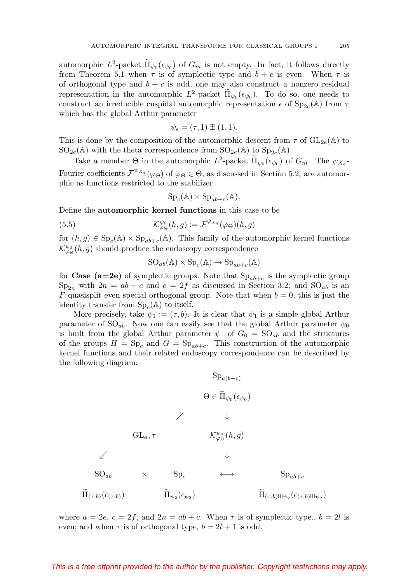automorphic  $L^2$ -packet  $\tilde{\Pi}_{\psi_0}(\epsilon_{\psi_0})$  of  $G_m$  is not empty. In fact, it follows directly from Theorem 5.1 when  $\tau$  is of symplectic type and  $b + c$  is even. When  $\tau$  is of orthogonal type and  $b + c$  is odd, one may also construct a nonzero residual representation in the automorphic  $L^2$ -packet  $\tilde{\Pi}_{\psi_0}(\epsilon_{\psi_0})$ . To do so, one needs to construct an irreducible cuspidal automorphic representation  $\epsilon$  of  $Sp_{2e}(\mathbb{A})$  from  $\tau$ which has the global Arthur parameter

$$
\psi_{\epsilon} = (\tau, 1) \boxplus (1, 1).
$$

This is done by the composition of the automorphic descent from  $\tau$  of  $GL_{2e}(\mathbb{A})$  to  $SO_{2e}(\mathbb{A})$  with the theta correspondence from  $SO_{2e}(\mathbb{A})$  to  $Sp_{2e}(\mathbb{A})$ .

Take a member  $\Theta$  in the automorphic  $L^2$ -packet  $\Pi_{\psi_0}(\epsilon_{\psi_0})$  of  $G_m$ . The  $\psi_{X_q}$ -Fourier coefficients  $\mathcal{F}^{\psi_{X_{\mathcal{I}}}}(\varphi_{\Theta})$  of  $\varphi_{\Theta} \in \Theta$ , as discussed in Section 5.2, are automorphic as functions restricted to the stabilizer

$$
Sp_c(\mathbb{A}) \times Sp_{ab+c}(\mathbb{A}).
$$

Define the **automorphic kernel functions** in this case to be

(5.5) 
$$
\mathcal{K}_{\varphi_{\Theta}}^{\psi_{0}}(h,g) := \mathcal{F}^{\psi_{X_{\underline{q}}}}(\varphi_{\Theta})(h,g)
$$

for  $(h, g) \in \text{Sp}_c(\mathbb{A}) \times \text{Sp}_{ab+c}(\mathbb{A})$ . This family of the automorphic kernel functions  $\mathcal{K}^{\psi_{0}}_{\varphi_{\Theta}}(h,g)$  should produce the endoscopy correspondence

$$
SO_{ab}(\mathbb{A}) \times Sp_c(\mathbb{A}) \to Sp_{ab+c}(\mathbb{A})
$$

for **Case** ( $a=2e$ ) of symplectic groups. Note that  $Sp_{ab+c}$  is the symplectic group  $Sp_{2n}$  with  $2n = ab + c$  and  $c = 2f$  as discussed in Section 3.2; and  $SO_{ab}$  is an F-quasisplit even special orthogonal group. Note that when  $b = 0$ , this is just the identity transfer from  $Sp<sub>c</sub>(A)$  to itself.

More precisely, take  $\psi_1 := (\tau, b)$ . It is clear that  $\psi_1$  is a simple global Arthur parameter of  $SO_{ab}$ . Now one can easily see that the global Arthur parameter  $\psi_0$ is built from the global Arthur parameter  $\psi_1$  of  $G_0 = SO_{ab}$  and the structures of the groups  $H = \text{Sp}_c$  and  $G = \text{Sp}_{ab+c}$ . This construction of the automorphic kernel functions and their related endoscopy correspondence can be described by the following diagram:

$$
\begin{array}{ccc}\n & \mathrm{Sp}_{a(b+c)} \\
 & \Theta \in \widetilde{\Pi}_{\psi_0}(\epsilon_{\psi_0}) \\
 & \nearrow & \downarrow\n\end{array}
$$
\n
$$
\begin{array}{ccc}\n & \text{GL}_a, \tau & \mathcal{K}^{\psi_0}_{\varphi_{\Theta}}(h, g) \\
 & \downarrow & \downarrow\n\end{array}
$$
\n
$$
\begin{array}{ccc}\n & \text{SL}_a, \tau & \mathcal{K}^{\psi_0}_{\varphi_{\Theta}}(h, g) \\
 & \downarrow & \downarrow\n\end{array}
$$
\n
$$
\begin{array}{ccc}\n & \text{SO}_{ab} & \times & \text{Sp}_c & \longleftrightarrow & \text{Sp}_{ab+c} \\
 & \widetilde{\Pi}_{(\tau, b)(\epsilon(\tau, b))} & \widetilde{\Pi}_{\psi_2}(\epsilon_{\psi_2}) & \widetilde{\Pi}_{(\tau, b) \boxplus \psi_2}(\epsilon_{(\tau, b) \boxplus \psi_2})\n\end{array}
$$

where  $a = 2e$ ,  $c = 2f$ , and  $2n = ab + c$ . When  $\tau$  is of symplectic type.,  $b = 2l$  is even; and when  $\tau$  is of orthogonal type,  $b = 2l + 1$  is odd.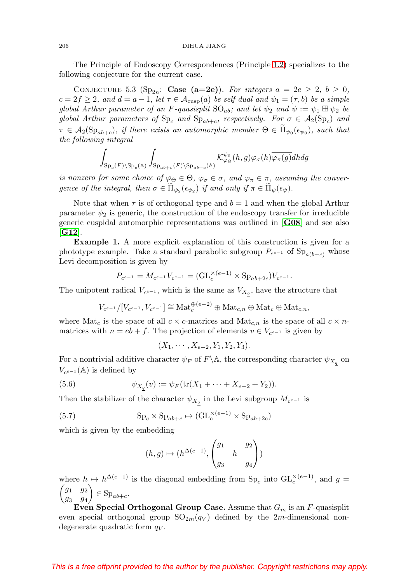The Principle of Endoscopy Correspondences (Principle [1.2\)](#page-4-3) specializes to the following conjecture for the current case.

CONJECTURE 5.3 (Sp<sub>2n</sub>: Case (a=2e)). For integers  $a = 2e \geq 2$ ,  $b \geq 0$ ,  $c = 2f \geq 2$ , and  $d = a - 1$ , let  $\tau \in \mathcal{A}_{cusp}(a)$  be self-dual and  $\psi_1 = (\tau, b)$  be a simple global Arthur parameter of an F-quasisplit  $SO_{ab}$ ; and let  $\psi_2$  and  $\psi := \psi_1 \boxplus \psi_2$  be global Arthur parameters of  $\text{Sp}_c$  and  $\text{Sp}_{ab+c}$ , respectively. For  $\sigma \in \mathcal{A}_2(\text{Sp}_c)$  and  $\pi \in A_2(\mathrm{Sp}_{ab+c}),$  if there exists an automorphic member  $\Theta \in \Pi_{\psi_0}(\epsilon_{\psi_0}),$  such that the following integral

$$
\int_{\mathrm{Sp}_c(F)\backslash\mathrm{Sp}_c(\mathbb{A})}\int_{\mathrm{Sp}_{ab+c}(F)\backslash\mathrm{Sp}_{ab+c}(\mathbb{A})}\mathcal{K}^{\psi_0}_{\varphi_{\Theta}}(h,g)\varphi_{\sigma}(h)\overline{\varphi_{\pi}(g)}dhdg
$$

is nonzero for some choice of  $\varphi_{\Theta} \in \Theta$ ,  $\varphi_{\sigma} \in \sigma$ , and  $\varphi_{\pi} \in \pi$ , assuming the convergence of the integral, then  $\sigma \in \Pi_{\psi_2}(\epsilon_{\psi_2})$  if and only if  $\pi \in \Pi_{\psi}(\epsilon_{\psi})$ .

Note that when  $\tau$  is of orthogonal type and  $b = 1$  and when the global Arthur parameter  $\psi_2$  is generic, the construction of the endoscopy transfer for irreducible generic cuspidal automorphic representations was outlined in [**[G08](#page-56-3)**] and see also [**[G12](#page-56-4)**].

**Example 1.** A more explicit explanation of this construction is given for a phototype example. Take a standard parabolic subgroup  $P_{c^{e-1}}$  of  $Sp_{a(b+c)}$  whose Levi decomposition is given by

$$
P_{c^{e-1}} = M_{c^{e-1}} V_{c^{e-1}} = (\mathrm{GL}_c^{\times (e-1)} \times \mathrm{Sp}_{ab+2c}) V_{c^{e-1}}.
$$

The unipotent radical  $V_{c^{e-1}}$ , which is the same as  $V_{X_q}$ , have the structure that

$$
V_{c^{e-1}}/[V_{c^{e-1}}, V_{c^{e-1}}] \cong \text{Mat}_{c}^{\oplus (e-2)} \oplus \text{Mat}_{c,n} \oplus \text{Mat}_{c} \oplus \text{Mat}_{c,n},
$$

where  $\text{Mat}_c$  is the space of all  $c \times c$ -matrices and  $\text{Mat}_{c,n}$  is the space of all  $c \times n$ matrices with  $n = eb + f$ . The projection of elements  $v \in V_{ce-1}$  is given by

$$
(X_1, \cdots, X_{e-2}, Y_1, Y_2, Y_3).
$$

For a nontrivial additive character  $\psi_F$  of  $F \backslash \mathbb{A}$ , the corresponding character  $\psi_{X_q}$  on  $V_{c^{e-1}}(\mathbb{A})$  is defined by

(5.6) 
$$
\psi_{X_2}(v) := \psi_F(\text{tr}(X_1 + \dots + X_{e-2} + Y_2)).
$$

Then the stabilizer of the character  $\psi_{X_q}$  in the Levi subgroup  $M_{c^{e-1}}$  is

(5.7) 
$$
Sp_c \times Sp_{ab+c} \mapsto (GL_c^{\times (e-1)} \times Sp_{ab+2c})
$$

which is given by the embedding

$$
(h,g)\mapsto (h^{\Delta(e-1)}, \begin{pmatrix} g_1 & g_2 \\ & h & \\ g_3 & & g_4 \end{pmatrix})
$$

where  $h \mapsto h^{\Delta(e-1)}$  is the diagonal embedding from  $\text{Sp}_c$  into  $\text{GL}_c^{\times(e-1)}$ , and  $g =$  $\int g_1$   $g_2$ g<sup>3</sup> g<sup>4</sup>  $\Big) \in \mathrm{Sp}_{ab+c}.$ 

**Even Special Orthogonal Group Case.** Assume that  $G_m$  is an  $F$ -quasisplit even special orthogonal group  $SO_{2m}(q_V)$  defined by the 2m-dimensional nondegenerate quadratic form  $q_V$ .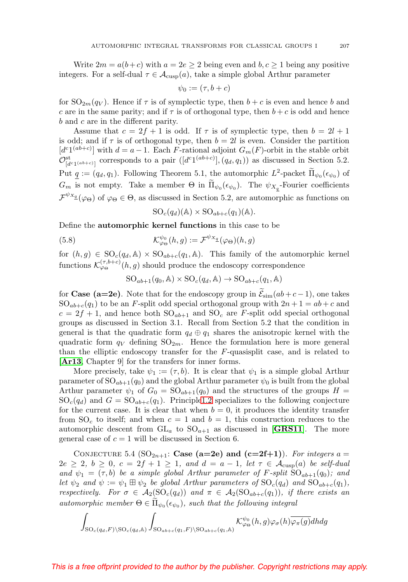Write  $2m = a(b+c)$  with  $a = 2e \ge 2$  being even and  $b, c \ge 1$  being any positive integers. For a self-dual  $\tau \in \mathcal{A}_{\text{cusp}}(a)$ , take a simple global Arthur parameter

$$
\psi_0 := (\tau, b + c)
$$

for  $SO_{2m}(q_V)$ . Hence if  $\tau$  is of symplectic type, then  $b + c$  is even and hence b and c are in the same parity; and if  $\tau$  is of orthogonal type, then  $b + c$  is odd and hence b and c are in the different parity.

Assume that  $c = 2f + 1$  is odd. If  $\tau$  is of symplectic type, then  $b = 2l + 1$ is odd; and if  $\tau$  is of orthogonal type, then  $b = 2l$  is even. Consider the partition  $[d^{c_1(ab+c)}]$  with  $d = a - 1$ . Each F-rational adjoint  $G_m(F)$ -orbit in the stable orbit  $\mathcal{O}^{\text{st}}_{[d^{c_1(a b+c)}]}$  corresponds to a pair  $([d^{c_1(a b+c)}], (q_d, q_1))$  as discussed in Section 5.2. Put  $q := (q_d, q_1)$ . Following Theorem 5.1, the automorphic  $L^2$ -packet  $\Pi_{\psi_0}(\epsilon_{\psi_0})$  of  $G_m$  is not empty. Take a member  $\Theta$  in  $\Pi_{\psi_0}(\epsilon_{\psi_0})$ . The  $\psi_{X_q}$ -Fourier coefficients  $\mathcal{F}^{\psi_{X_{\underline{q}}}(\varphi_{\Theta})}$  of  $\varphi_{\Theta} \in \Theta$ , as discussed in Section 5.2, are automorphic as functions on

$$
SO_c(q_d)(\mathbb{A}) \times SO_{ab+c}(q_1)(\mathbb{A}).
$$

Define the **automorphic kernel functions** in this case to be

(5.8) 
$$
\mathcal{K}^{\psi_0}_{\varphi_{\Theta}}(h,g) := \mathcal{F}^{\psi_{X_{\underline{q}}}}(\varphi_{\Theta})(h,g)
$$

for  $(h, g) \in SO_c(q_d, \mathbb{A}) \times SO_{ab+c}(q_1, \mathbb{A})$ . This family of the automorphic kernel functions  $\mathcal{K}^{(\tau,b+c)}_{\varphi\Theta}(h,g)$  should produce the endoscopy correspondence

$$
SO_{ab+1}(q_0, A) \times SO_c(q_d, A) \to SO_{ab+c}(q_1, A)
$$

for **Case (a=2e)**. Note that for the endoscopy group in  $\mathcal{E}_{sim}(ab+c-1)$ , one takes  $SO_{ab+c}(q_1)$  to be an F-split odd special orthogonal group with  $2n+1= ab+c$  and  $c = 2f + 1$ , and hence both  $SO_{ab+1}$  and  $SO_c$  are F-split odd special orthogonal groups as discussed in Section 3.1. Recall from Section 5.2 that the condition in general is that the quadratic form  $q_d \oplus q_1$  shares the anisotropic kernel with the quadratic form  $q_V$  defining  $SO_{2m}$ . Hence the formulation here is more general than the elliptic endoscopy transfer for the  $F$ -quasisplit case, and is related to [**[Ar13](#page-55-1)**, Chapter 9] for the transfers for inner forms.

More precisely, take  $\psi_1 := (\tau, b)$ . It is clear that  $\psi_1$  is a simple global Arthur parameter of  $SO_{ab+1}(q_0)$  and the global Arthur parameter  $\psi_0$  is built from the global Arthur parameter  $\psi_1$  of  $G_0 = SO_{ab+1}(q_0)$  and the structures of the groups  $H =$  $SO_c(q_d)$  and  $G = SO_{ab+c}(q_1)$ . Principl[e1.2](#page-4-3) specializes to the following conjecture for the current case. It is clear that when  $b = 0$ , it produces the identity transfer from SO<sub>c</sub> to itself; and when  $c = 1$  and  $b = 1$ , this construction reduces to the automorphic descent from  $GL_a$  to  $SO_{a+1}$  as discussed in [**[GRS11](#page-57-1)**]. The more general case of  $c = 1$  will be discussed in Section 6.

CONJECTURE 5.4 ( $SO_{2n+1}$ : **Case (a=2e) and (c=2f+1)**). For integers a =  $2e \geq 2, b \geq 0, c = 2f + 1 \geq 1, and d = a - 1, let \tau \in \mathcal{A}_{\text{cusp}}(a)$  be self-dual and  $\psi_1 = (\tau, b)$  be a simple global Arthur parameter of F-split  $SO_{ab+1}(q_0)$ ; and let  $\psi_2$  and  $\psi := \psi_1 \boxplus \psi_2$  be global Arthur parameters of  $\mathrm{SO}_c(q_d)$  and  $\mathrm{SO}_{ab+c}(q_1)$ , respectively. For  $\sigma \in A_2(SO_c(q_d))$  and  $\pi \in A_2(SO_{ab+c}(q_1))$ , if there exists an automorphic member  $\Theta \in \Pi_{\psi_0}(\epsilon_{\psi_0})$ , such that the following integral

$$
\int_{\mathrm{SO}_c(q_d,F)\backslash \mathrm{SO}_c(q_d,\mathbb{A})}\int_{\mathrm{SO}_{ab+c}(q_1,F)\backslash \mathrm{SO}_{ab+c}(q_1,\mathbb{A})}\mathcal{K}^{\psi_0}_{\varphi\Theta}(h,g)\varphi_\sigma(h)\overline{\varphi_\pi(g)}dhdg
$$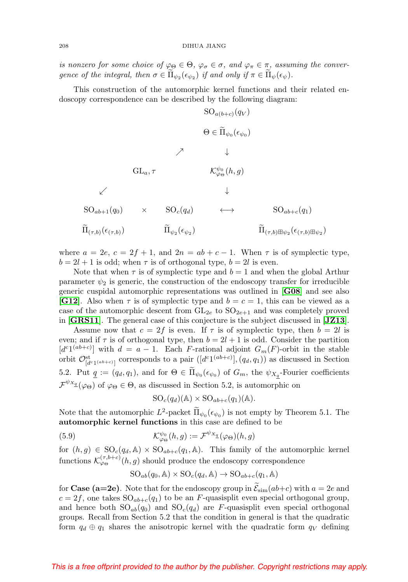is nonzero for some choice of  $\varphi_{\Theta} \in \Theta$ ,  $\varphi_{\sigma} \in \sigma$ , and  $\varphi_{\pi} \in \pi$ , assuming the convergence of the integral, then  $\sigma \in \Pi_{\psi_2}(\epsilon_{\psi_2})$  if and only if  $\pi \in \Pi_{\psi}(\epsilon_{\psi})$ .

This construction of the automorphic kernel functions and their related endoscopy correspondence can be described by the following diagram:

$$
\begin{array}{ccc}\n & \mathrm{SO}_{a(b+c)}(q_V) \\
 & \Theta \in \widetilde{\Pi}_{\psi_0}(\epsilon_{\psi_0}) \\
 & \nearrow & \downarrow\n\end{array}
$$
\n
$$
\begin{array}{ccc}\n & \times & \downarrow & \\
 & \mathrm{GL}_{a,\tau} & \mathcal{K}^{\psi_0}_{\varphi_0}(h,g) \\
 & \downarrow & \downarrow\n\end{array}
$$
\n
$$
\begin{array}{ccc}\n & \downarrow & \\
 & \downarrow & \\
 & \mathrm{SO}_{ab+1}(q_0) & \times & \mathrm{SO}_{c}(q_d) & \leftrightarrow & \mathrm{SO}_{ab+c}(q_1) \\
 & \widetilde{\Pi}_{(\tau,b)}(\epsilon_{(\tau,b)}) & \widetilde{\Pi}_{\psi_2}(\epsilon_{\psi_2}) & \widetilde{\Pi}_{(\tau,b)\boxplus\psi_2}(\epsilon_{(\tau,b)\boxplus\psi_2})\n\end{array}
$$

where  $a = 2e$ ,  $c = 2f + 1$ , and  $2n = ab + c - 1$ . When  $\tau$  is of symplectic type,  $b = 2l + 1$  is odd; when  $\tau$  is of orthogonal type,  $b = 2l$  is even.

Note that when  $\tau$  is of symplectic type and  $b = 1$  and when the global Arthur parameter  $\psi_2$  is generic, the construction of the endoscopy transfer for irreducible generic cuspidal automorphic representations was outlined in [**[G08](#page-56-3)**] and see also **[[G12](#page-56-4)**]. Also when  $\tau$  is of symplectic type and  $b = c = 1$ , this can be viewed as a case of the automorphic descent from  $GL_{2e}$  to  $SO_{2e+1}$  and was completely proved in [**[GRS11](#page-57-1)**]. The general case of this conjecture is the subject discussed in [**[JZ13](#page-59-5)**].

Assume now that  $c = 2f$  is even. If  $\tau$  is of symplectic type, then  $b = 2l$  is even; and if  $\tau$  is of orthogonal type, then  $b = 2l + 1$  is odd. Consider the partition  $[d^{c_1(ab+c)}]$  with  $d = a - 1$ . Each F-rational adjoint  $G_m(F)$ -orbit in the stable orbit  $\mathcal{O}^{\text{st}}_{[d^c1^{(ab+c)}]}$  corresponds to a pair  $([d^c1^{(ab+c)}],(q_d,q_1))$  as discussed in Section 5.2. Put  $\underline{q} := (q_d, q_1)$ , and for  $\Theta \in \Pi_{\psi_0}(\epsilon_{\psi_0})$  of  $G_m$ , the  $\psi_{X_{\underline{q}}}$ -Fourier coefficients  $\mathcal{F}^{\psi_{X_{\underline{q}}}}(\varphi_{\Theta})$  of  $\varphi_{\Theta} \in \Theta$ , as discussed in Section 5.2, is automorphic on

$$
SO_c(q_d)(\mathbb{A}) \times SO_{ab+c}(q_1)(\mathbb{A}).
$$

Note that the automorphic  $L^2$ -packet  $\tilde{\Pi}_{\psi_0}(\epsilon_{\psi_0})$  is not empty by Theorem 5.1. The **automorphic kernel functions** in this case are defined to be

(5.9) 
$$
\mathcal{K}^{\psi_0}_{\varphi_{\Theta}}(h,g) := \mathcal{F}^{\psi_{X_{\underline{a}}}}(\varphi_{\Theta})(h,g)
$$

for  $(h, g) \in SO_c(q_d, \mathbb{A}) \times SO_{ab+c}(q_1, \mathbb{A})$ . This family of the automorphic kernel functions  $\mathcal{K}^{(\tau,b+c)}_{\varphi\Theta}(h,g)$  should produce the endoscopy correspondence

$$
SO_{ab}(q_0, \mathbb{A}) \times SO_c(q_d, \mathbb{A}) \to SO_{ab+c}(q_1, \mathbb{A})
$$

for **Case (a=2e)**. Note that for the endoscopy group in  $\mathcal{E}_{sim}(ab+c)$  with  $a = 2e$  and  $c = 2f$ , one takes  $SO_{ab+c}(q_1)$  to be an F-quasisplit even special orthogonal group, and hence both  $SO_{ab}(q_0)$  and  $SO_c(q_d)$  are F-quasisplit even special orthogonal groups. Recall from Section 5.2 that the condition in general is that the quadratic form  $q_d \oplus q_1$  shares the anisotropic kernel with the quadratic form  $q_V$  defining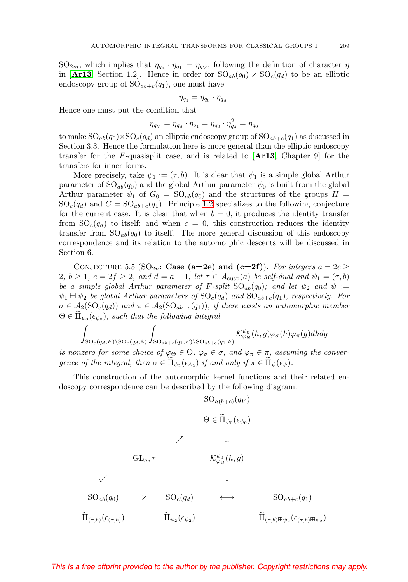$SO_{2m}$ , which implies that  $\eta_{q_d} \cdot \eta_{q_1} = \eta_{q_V}$ , following the definition of character  $\eta$ in [**[Ar13](#page-55-1)**, Section 1.2]. Hence in order for  $SO_{ab}(q_0) \times SO_c(q_d)$  to be an elliptic endoscopy group of  $SO_{ab+c}(q_1)$ , one must have

$$
\eta_{q_1} = \eta_{q_0} \cdot \eta_{q_d}.
$$

Hence one must put the condition that

$$
\eta_{q_V} = \eta_{q_d} \cdot \eta_{q_1} = \eta_{q_0} \cdot \eta_{q_d}^2 = \eta_{q_0}
$$

to make  $SO_{ab}(q_0)\times SO_c(q_d)$  an elliptic endoscopy group of  $SO_{ab+c}(q_1)$  as discussed in Section 3.3. Hence the formulation here is more general than the elliptic endoscopy transfer for the F-quasisplit case, and is related to [**[Ar13](#page-55-1)**, Chapter 9] for the transfers for inner forms.

More precisely, take  $\psi_1 := (\tau, b)$ . It is clear that  $\psi_1$  is a simple global Arthur parameter of  $SO_{ab}(q_0)$  and the global Arthur parameter  $\psi_0$  is built from the global Arthur parameter  $\psi_1$  of  $G_0 = SO_{ab}(q_0)$  and the structures of the groups  $H =$  $SO_c(q_d)$  and  $G = SO_{ab+c}(q_1)$ . Principle [1.2](#page-4-3) specializes to the following conjecture for the current case. It is clear that when  $b = 0$ , it produces the identity transfer from  $SO_c(q_d)$  to itself; and when  $c = 0$ , this construction reduces the identity transfer from  $SO_{ab}(q_0)$  to itself. The more general discussion of this endoscopy correspondence and its relation to the automorphic descents will be discussed in Section 6.

CONJECTURE 5.5 (SO<sub>2n</sub>: **Case (a=2e) and (c=2f)**). For integers  $a = 2e \ge$ 2,  $b \geq 1$ ,  $c = 2f \geq 2$ , and  $d = a - 1$ , let  $\tau \in \mathcal{A}_{\text{cusp}}(a)$  be self-dual and  $\psi_1 = (\tau, b)$ be a simple global Arthur parameter of F-split  $SO_{ab}(q_0)$ ; and let  $\psi_2$  and  $\psi :=$  $\psi_1 \boxplus \psi_2$  be global Arthur parameters of  $\mathrm{SO}_c(q_d)$  and  $\mathrm{SO}_{ab+c}(q_1)$ , respectively. For  $\sigma \in A_2(SO_c(q_d))$  and  $\pi \in A_2(SO_{ab+c}(q_1))$ , if there exists an automorphic member  $\Theta \in \Pi_{\psi_0}(\epsilon_{\psi_0}),$  such that the following integral

$$
\int_{\mathrm{SO}_c(q_d,F)\backslash \mathrm{SO}_c(q_d,\mathbb{A})}\int_{\mathrm{SO}_{ab+c}(q_1,F)\backslash \mathrm{SO}_{ab+c}(q_1,\mathbb{A})}\mathcal{K}^{\psi_0}_{\varphi_{\Theta}}(h,g)\varphi_{\sigma}(h)\overline{\varphi_{\pi}(g)}dhdg
$$

is nonzero for some choice of  $\varphi_{\Theta} \in \Theta$ ,  $\varphi_{\sigma} \in \sigma$ , and  $\varphi_{\pi} \in \pi$ , assuming the convergence of the integral, then  $\sigma \in \Pi_{\psi_2}(\epsilon_{\psi_2})$  if and only if  $\pi \in \Pi_{\psi}(\epsilon_{\psi})$ .

This construction of the automorphic kernel functions and their related endoscopy correspondence can be described by the following diagram:

$$
SO_{a(b+c)}(q_V)
$$
\n
$$
\Theta \in \widetilde{\Pi}_{\psi_0}(\epsilon_{\psi_0})
$$
\n
$$
\nearrow \qquad \downarrow
$$
\n
$$
GL_a, \tau \qquad \qquad K^{\psi_0}_{\varphi_0}(h, g)
$$
\n
$$
\swarrow \qquad \qquad \downarrow
$$
\n
$$
SO_{ab}(q_0) \qquad \times \qquad SO_c(q_d) \qquad \longleftrightarrow \qquad SO_{ab+c}(q_1)
$$
\n
$$
\widetilde{\Pi}_{(\tau,b)}(\epsilon_{(\tau,b)}) \qquad \qquad \widetilde{\Pi}_{\psi_2}(\epsilon_{\psi_2}) \qquad \qquad \widetilde{\Pi}_{(\tau,b)\boxplus \psi_2}(\epsilon_{(\tau,b)\boxplus \psi_2})
$$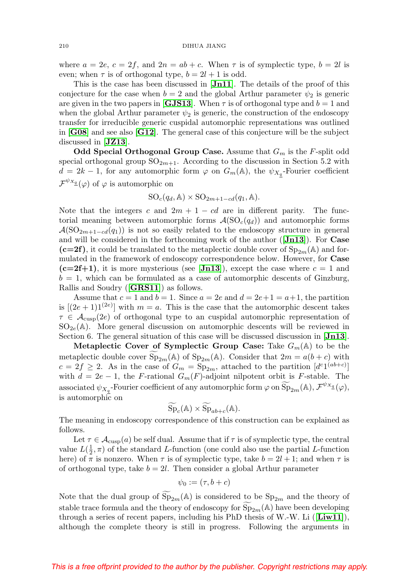where  $a = 2e$ ,  $c = 2f$ , and  $2n = ab + c$ . When  $\tau$  is of symplectic type,  $b = 2l$  is even; when  $\tau$  is of orthogonal type,  $b = 2l + 1$  is odd.

This is the case has been discussed in [**[Jn11](#page-59-6)**]. The details of the proof of this conjecture for the case when  $b = 2$  and the global Arthur parameter  $\psi_2$  is generic are given in the two papers in **[[GJS13](#page-57-3)**]. When  $\tau$  is of orthogonal type and  $b = 1$  and when the global Arthur parameter  $\psi_2$  is generic, the construction of the endoscopy transfer for irreducible generic cuspidal automorphic representations was outlined in [**[G08](#page-56-3)**] and see also [**[G12](#page-56-4)**]. The general case of this conjecture will be the subject discussed in [**[JZ13](#page-59-5)**].

**Odd Special Orthogonal Group Case.** Assume that  $G_m$  is the F-split odd special orthogonal group  $SO_{2m+1}$ . According to the discussion in Section 5.2 with  $d = 2k - 1$ , for any automorphic form  $\varphi$  on  $G_m(\mathbb{A})$ , the  $\psi_{X_q}$ -Fourier coefficient  $\mathcal{F}^{\psi_{X_{\underline{q}}}(\varphi)}$  of  $\varphi$  is automorphic on

$$
SO_c(q_d, \mathbb{A}) \times SO_{2m+1-cd}(q_1, \mathbb{A}).
$$

Note that the integers c and  $2m + 1 - cd$  are in different parity. The functorial meaning between automorphic forms  $A(SO_{c}(q_{d}))$  and automorphic forms  $\mathcal{A}(\text{SO}_{2m+1-cd}(q_1))$  is not so easily related to the endoscopy structure in general and will be considered in the forthcoming work of the author ([**[Jn13](#page-59-10)**]). For **Case**  $(c=2f)$ , it could be translated to the metaplectic double cover of  $Sp_{2m}(\mathbb{A})$  and formulated in the framework of endoscopy correspondence below. However, for **Case**  $(c=2f+1)$ , it is more mysterious (see [**[Jn13](#page-59-10)**]), except the case where  $c=1$  and  $b = 1$ , which can be formulated as a case of automorphic descents of Ginzburg, Rallis and Soudry ([**[GRS11](#page-57-1)**]) as follows.

Assume that  $c = 1$  and  $b = 1$ . Since  $a = 2e$  and  $d = 2e+1 = a+1$ , the partition is  $[(2e+1)1^{(2e)}]$  with  $m = a$ . This is the case that the automorphic descent takes  $\tau \in \mathcal{A}_{\text{cusp}}(2e)$  of orthogonal type to an cuspidal automorphic representation of  $SO_{2e}(\mathbb{A})$ . More general discussion on automorphic descents will be reviewed in Section 6. The general situation of this case will be discussed discussion in [**[Jn13](#page-59-10)**].

**Metaplectic Cover of Symplectic Group Case:** Take  $G_m(\mathbb{A})$  to be the metaplectic double cover  $\widetilde{\mathrm{Sp}}_{2m}(\mathbb{A})$  of  $\mathrm{Sp}_{2m}(\mathbb{A})$ . Consider that  $2m = a(b+c)$  with  $c = 2f \geq 2$ . As in the case of  $G_m = \text{Sp}_{2m}$ , attached to the partition  $[d^{c_1(ab+c)}]$ with  $d = 2e - 1$ , the F-rational  $G_m(F)$ -adjoint nilpotent orbit is F-stable. The associated  $\psi_{X_q}$ -Fourier coefficient of any automorphic form  $\varphi$  on  $\widetilde{\mathrm{Sp}}_{2m}(\mathbb{A}), \mathcal{F}^{\psi_{X_q}}(\varphi)$ , is automorphic on

$$
\widetilde{\mathrm{Sp}}_c(\mathbb{A}) \times \widetilde{\mathrm{Sp}}_{ab+c}(\mathbb{A}).
$$

The meaning in endoscopy correspondence of this construction can be explained as follows.

Let  $\tau \in \mathcal{A}_{\text{cusp}}(a)$  be self dual. Assume that if  $\tau$  is of symplectic type, the central value  $L(\frac{1}{2}, \pi)$  of the standard L-function (one could also use the partial L-function here) of  $\pi$  is nonzero. When  $\tau$  is of symplectic type, take  $b = 2l + 1$ ; and when  $\tau$  is of orthogonal type, take  $b = 2l$ . Then consider a global Arthur parameter

$$
\psi_0 := (\tau, b + c)
$$

Note that the dual group of  $\overline{\text{Sp}}_{2m}(\mathbb{A})$  is considered to be  $\text{Sp}_{2m}$  and the theory of stable trace formula and the theory of endoscopy for  $Sp_{2m}(\mathbb{A})$  have been developing through a series of recent papers, including his PhD thesis of W.-W. Li ([**[Liw11](#page-61-7)**]), although the complete theory is still in progress. Following the arguments in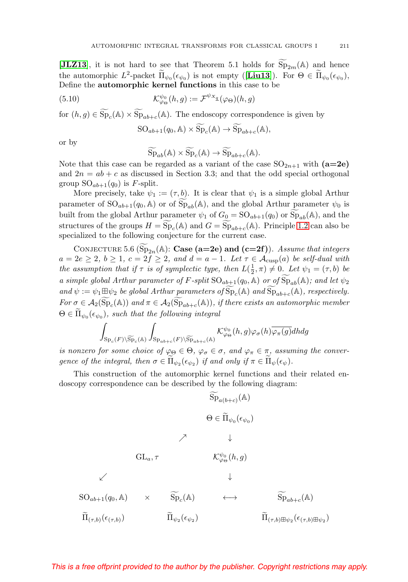[**[JLZ13](#page-59-7)**], it is not hard to see that Theorem 5.1 holds for  $Sp_{2m}(\mathbb{A})$  and hence the automorphic  $L^2$ -packet  $\tilde{\Pi}_{\psi_0}(\epsilon_{\psi_0})$  is not empty ([**[Liu13](#page-61-5)**]). For  $\Theta \in \tilde{\Pi}_{\psi_0}(\epsilon_{\psi_0})$ , Define the **automorphic kernel functions** in this case to be

(5.10) 
$$
\mathcal{K}_{\varphi_{\Theta}}^{\psi_{0}}(h,g) := \mathcal{F}^{\psi_{X_{\underline{q}}}}(\varphi_{\Theta})(h,g)
$$

for  $(h, g) \in \widetilde{\mathrm{Sp}}_c(\mathbb{A}) \times \widetilde{\mathrm{Sp}}_{ab+c}(\mathbb{A})$ . The endoscopy correspondence is given by

$$
SO_{ab+1}(q_0, A) \times \widetilde{Sp}_c(A) \to \widetilde{Sp}_{ab+c}(A),
$$

or by

$$
\widetilde{\mathrm{Sp}}_{ab}(\mathbb{A}) \times \widetilde{\mathrm{Sp}}_c(\mathbb{A}) \to \widetilde{\mathrm{Sp}}_{ab+c}(\mathbb{A}).
$$

Note that this case can be regarded as a variant of the case  $SO_{2n+1}$  with  $(a=2e)$ and  $2n = ab + c$  as discussed in Section 3.3; and that the odd special orthogonal group  $SO_{ab+1}(q_0)$  is F-split.

More precisely, take  $\psi_1 := (\tau, b)$ . It is clear that  $\psi_1$  is a simple global Arthur parameter of  $SO_{ab+1}(q_0, A)$  or of  $Sp_{ab}(A)$ , and the global Arthur parameter  $\psi_0$  is built from the global Arthur parameter  $\psi_1$  of  $G_0 = SO_{ab+1}(q_0)$  or  $Sp_{ab}(\mathbb{A})$ , and the structures of the groups  $H = Sp<sub>c</sub>(A)$  and  $G = Sp<sub>ab+c</sub>(A)$ . Principle [1.2](#page-4-3) can also be specialized to the following conjecture for the current case.

CONJECTURE 5.6 ( $\overline{\text{Sp}}_{2n}(\mathbb{A})$ : **Case (a=2e)** and (c=2f)). Assume that integers  $a = 2e \geq 2, b \geq 1, c = 2f \geq 2, and d = a - 1.$  Let  $\tau \in \mathcal{A}_{\text{cusp}}(a)$  be self-dual with the assumption that if  $\tau$  is of symplectic type, then  $L(\frac{1}{2}, \pi) \neq 0$ . Let  $\psi_1 = (\tau, b)$  be a simple global Arthur parameter of F-split  $SO_{ab+1}(q_0, A)$  or of  $Sp_{ab}(A)$ ; and let  $\psi_2$ and  $\psi := \psi_1 \boxplus \psi_2$  be global Arthur parameters of  $\widetilde{\mathrm{Sp}}_c(\mathbb{A})$  and  $\widetilde{\mathrm{Sp}}_{ab+c}(\mathbb{A})$ , respectively. For  $\sigma \in \mathcal{A}_2(\widetilde{\mathrm{Sp}}_c(\mathbb{A}))$  and  $\pi \in \mathcal{A}_2(\widetilde{\mathrm{Sp}}_{ab+c}(\mathbb{A}))$ , if there exists an automorphic member

$$
\Theta \in \Pi_{\psi_0}(\epsilon_{\psi_0}), \text{ such that the following integral}
$$

$$
\int_{\text{Sp}_c(F)\backslash \widetilde{\text{Sp}}_c(\mathbb{A})} \int_{\text{Sp}_{ab+c}(F)\backslash \widetilde{\text{Sp}}_{ab+c}(\mathbb{A})} \mathcal{K}_{\varphi_\Theta}^{\psi_0}(h,g) \varphi_\sigma(h) \overline{\varphi_\pi(g)} dh dg
$$

is nonzero for some choice of  $\varphi_{\Theta} \in \Theta$ ,  $\varphi_{\sigma} \in \sigma$ , and  $\varphi_{\pi} \in \pi$ , assuming the convergence of the integral, then  $\sigma \in \Pi_{\psi_2}(\epsilon_{\psi_2})$  if and only if  $\pi \in \Pi_{\psi}(\epsilon_{\psi})$ .

This construction of the automorphic kernel functions and their related endoscopy correspondence can be described by the following diagram:

$$
\widetilde{\mathrm{Sp}}_{a(b+c)}(\mathbb{A})
$$
\n
$$
\Theta \in \widetilde{\Pi}_{\psi_0}(\epsilon_{\psi_0})
$$
\n
$$
\nearrow \qquad \downarrow
$$
\n
$$
\mathrm{GL}_a, \tau \qquad \qquad \mathcal{K}^{\psi_0}_{\varphi_{\Theta}}(h, g)
$$
\n
$$
\swarrow \qquad \qquad \downarrow
$$
\n
$$
\mathrm{SO}_{ab+1}(q_0, \mathbb{A}) \qquad \times \qquad \widetilde{\mathrm{Sp}}_c(\mathbb{A}) \qquad \longleftrightarrow \qquad \widetilde{\mathrm{Sp}}_{ab+c}(\mathbb{A})
$$
\n
$$
\widetilde{\Pi}_{(\tau, b)}(\epsilon_{(\tau, b)}) \qquad \qquad \widetilde{\Pi}_{\psi_2}(\epsilon_{\psi_2}) \qquad \qquad \widetilde{\Pi}_{(\tau, b) \boxplus \psi_2}(\epsilon_{(\tau, b) \boxplus \psi_2})
$$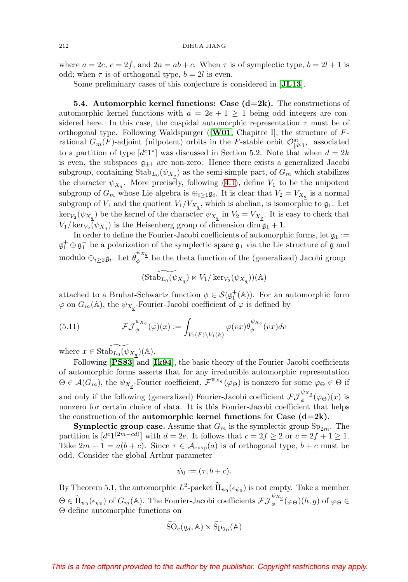where  $a = 2e$ ,  $c = 2f$ , and  $2n = ab + c$ . When  $\tau$  is of symplectic type,  $b = 2l + 1$  is odd; when  $\tau$  is of orthogonal type,  $b = 2l$  is even.

Some preliminary cases of this conjecture is considered in [**[JL13](#page-59-4)**].

<span id="page-33-0"></span>**5.4. Automorphic kernel functions: Case**  $(d=2k)$ **.** The constructions of automorphic kernel functions with  $a = 2e + 1 > 1$  being odd integers are considered here. In this case, the cuspidal automorphic representation  $\tau$  must be of orthogonal type. Following Waldspurger ([**[W01](#page-63-4)**, Chapitre I], the structure of Frational  $G_m(F)$ -adjoint (nilpotent) orbits in the F-stable orbit  $\mathcal{O}^{\text{st}}_{[d^c1^*]}$  associated to a partition of type  $[d<sup>c</sup>1<sup>*</sup>]$  was discussed in Section 5.2. Note that when  $d = 2k$ is even, the subspaces  $\mathfrak{g}_{\pm 1}$  are non-zero. Hence there exists a generalized Jacobi subgroup, containing  $\text{Stab}_{L_0}(\psi_{X_q})$  as the semi-simple part, of  $G_m$  which stabilizes the character  $\psi_{X_q}$ . More precisely, following [\(4.1\)](#page-15-1), define  $V_1$  to be the unipotent subgroup of  $G_m$  whose Lie algebra is  $\bigoplus_{i\geq 1}\mathfrak{g}_i$ . It is clear that  $V_2 = V_{X_q}$  is a normal subgroup of  $V_1$  and the quotient  $V_1/V_{X_q}$ , which is abelian, is isomorphic to  $\mathfrak{g}_1$ . Let  $\ker_{V_2}(\psi_{X_q})$  be the kernel of the character  $\psi_{X_q}$  in  $V_2 = V_{X_q}$ . It is easy to check that  $V_1/\ker_{V_2}(\psi_{X_q})$  is the Heisenberg group of dimension dim  $\mathfrak{g}_1 + 1$ .

In order to define the Fourier-Jacobi coefficients of automorphic forms, let  $\mathfrak{g}_1 :=$  $\mathfrak{g}_1^+ \oplus \mathfrak{g}_1^-$  be a polarization of the symplectic space  $\mathfrak{g}_1$  via the Lie structure of  $\mathfrak g$  and modulo  $\oplus_{i\geq 2}\mathfrak{g}_i$ . Let  $\theta_{\phi}^{\psi_{X_q}}$  be the theta function of the (generalized) Jacobi group

$$
\widetilde{(\mathrm{Stab}_{L_0}(\psi_{X_{\underline{q}}})\ltimes V_1/\ker_{V_2}(\psi_{X_{\underline{q}}}))}(\mathbb{A})
$$

attached to a Bruhat-Schwartz function  $\phi \in \mathcal{S}(\mathfrak{g}_1^+(\mathbb{A}))$ . For an automorphic form  $\varphi$  on  $G_m(\mathbb{A})$ , the  $\psi_{X_q}$ -Fourier-Jacobi coefficient of  $\varphi$  is defined by

(5.11) 
$$
\mathcal{FJ}_{\phi}^{\psi_{X_q}}(\varphi)(x) := \int_{V_1(F)\backslash V_1(\mathbb{A})} \varphi(vx) \overline{\theta_{\phi}^{\psi_{X_q}}(vx)} dv
$$

where  $x \in \text{Stab}_{L_0}(\psi_{X_q})(\mathbb{A}).$ 

Following [**[PS83](#page-62-7)**] and [**[Ik94](#page-58-4)**], the basic theory of the Fourier-Jacobi coefficients of automorphic forms asserts that for any irreducible automorphic representation  $\Theta \in \mathcal{A}(G_m)$ , the  $\psi_{X_q}$ -Fourier coefficient,  $\mathcal{F}^{\psi_{X_q}}(\varphi_{\Theta})$  is nonzero for some  $\varphi_{\Theta} \in \Theta$  if and only if the following (generalized) Fourier-Jacobi coefficient  $\mathcal{FJ}^{\psi_{X_q}}_{\phi}(\varphi_{\Theta})(x)$  is nonzero for certain choice of data. It is this Fourier-Jacobi coefficient that helps the construction of the **automorphic kernel functions** for **Case (d=2k)**.

**Symplectic group case.** Assume that  $G_m$  is the symplectic group  $Sp_{2m}$ . The partition is  $[d^{c_1(2m-cd)}]$  with  $d=2e$ . It follows that  $c=2f\geq 2$  or  $c=2f+1\geq 1$ . Take  $2m + 1 = a(b + c)$ . Since  $\tau \in \mathcal{A}_{cusp}(a)$  is of orthogonal type,  $b + c$  must be odd. Consider the global Arthur parameter

$$
\psi_0 := (\tau, b + c).
$$

By Theorem 5.1, the automorphic  $L^2$ -packet  $\Pi_{\psi_0}(\epsilon_{\psi_0})$  is not empty. Take a member  $\Theta \in \widetilde{\Pi}_{\psi_0}(\epsilon_{\psi_0})$  of  $G_m(\mathbb{A})$ . The Fourier-Jacobi coefficients  $\mathcal{FJ}_{\phi}^{\psi_{X_q}}(\varphi_{\Theta})(h,g)$  of  $\varphi_{\Theta} \in$ Θ define automorphic functions on

$$
\widetilde{\mathrm{SO}}_c(q_d, \mathbb{A}) \times \widetilde{\mathrm{Sp}}_{2n}(\mathbb{A})
$$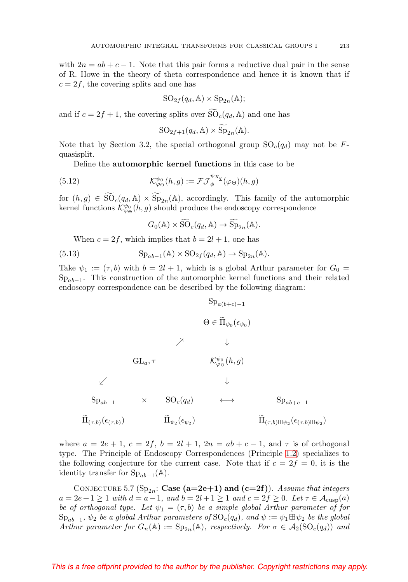with  $2n = ab + c - 1$ . Note that this pair forms a reductive dual pair in the sense of R. Howe in the theory of theta correspondence and hence it is known that if  $c = 2f$ , the covering splits and one has

$$
SO_{2f}(q_d, A) \times Sp_{2n}(A);
$$

and if  $c = 2f + 1$ , the covering splits over  $SO_c(q_d, A)$  and one has

$$
SO_{2f+1}(q_d, A) \times \widetilde{Sp}_{2n}(A).
$$

Note that by Section 3.2, the special orthogonal group  $SO_c(q_d)$  may not be Fquasisplit.

Define the **automorphic kernel functions** in this case to be

(5.12) 
$$
\mathcal{K}^{\psi_0}_{\varphi_{\Theta}}(h,g) := \mathcal{F}\mathcal{J}_{\phi}^{\psi_{X_q}}(\varphi_{\Theta})(h,g)
$$

for  $(h, g) \in SO_c(q_d, \mathbb{A}) \times Sp_{2n}(\mathbb{A})$ , accordingly. This family of the automorphic kernel functions  $\mathcal{K}^{\psi_{0}}_{\varphi_{\Theta}}(h,g)$  should produce the endoscopy correspondence

$$
G_0(\mathbb{A}) \times \widetilde{\mathrm{SO}}_c(q_d, \mathbb{A}) \to \widetilde{\mathrm{Sp}}_{2n}(\mathbb{A}).
$$

When  $c = 2f$ , which implies that  $b = 2l + 1$ , one has

(5.13) 
$$
\mathrm{Sp}_{ab-1}(\mathbb{A}) \times \mathrm{SO}_{2f}(q_d, \mathbb{A}) \to \mathrm{Sp}_{2n}(\mathbb{A}).
$$

Take  $\psi_1 := (\tau, b)$  with  $b = 2l + 1$ , which is a global Arthur parameter for  $G_0 =$  $Sp_{ab-1}$ . This construction of the automorphic kernel functions and their related endoscopy correspondence can be described by the following diagram:

$$
Sp_{a(b+c)-1}
$$
\n
$$
\Theta \in \widetilde{\Pi}_{\psi_0}(\epsilon_{\psi_0})
$$
\n
$$
\nearrow \qquad \downarrow
$$
\n
$$
GL_a, \tau \qquad \qquad K_{\varphi_{\Theta}}^{\psi_0}(h, g)
$$
\n
$$
\swarrow \qquad \qquad \downarrow
$$
\n
$$
Sp_{ab-1} \qquad \times \qquad SO_c(q_d) \qquad \longleftrightarrow \qquad \qquad Sp_{ab+c-1}
$$
\n
$$
\widetilde{\Pi}_{(\tau, b)}(\epsilon_{(\tau, b)}) \qquad \qquad \widetilde{\Pi}_{\psi_2}(\epsilon_{\psi_2}) \qquad \qquad \widetilde{\Pi}_{(\tau, b) \boxplus \psi_2}(\epsilon_{(\tau, b) \boxplus \psi_2})
$$

where  $a = 2e + 1$ ,  $c = 2f$ ,  $b = 2l + 1$ ,  $2n = ab + c - 1$ , and  $\tau$  is of orthogonal type. The Principle of Endoscopy Correspondences (Principle [1.2\)](#page-4-3) specializes to the following conjecture for the current case. Note that if  $c = 2f = 0$ , it is the identity transfer for  $Sp_{ab-1}(\mathbb{A})$ .

CONJECTURE 5.7 ( $Sp_{2n}$ : **Case (a=2e+1) and (c=2f)**). Assume that integers  $a = 2e + 1 \ge 1$  with  $d = a - 1$ , and  $b = 2l + 1 \ge 1$  and  $c = 2f \ge 0$ . Let  $\tau \in \mathcal{A}_{cusp}(a)$ be of orthogonal type. Let  $\psi_1 = (\tau, b)$  be a simple global Arthur parameter of for  $\text{Sp}_{ab-1}$ ,  $\psi_2$  be a global Arthur parameters of  $\text{SO}_c(q_d)$ , and  $\psi := \psi_1 \boxplus \psi_2$  be the global Arthur parameter for  $G_n(\mathbb{A}) := \text{Sp}_{2n}(\mathbb{A})$ , respectively. For  $\sigma \in \mathcal{A}_2(\text{SO}_c(q_d))$  and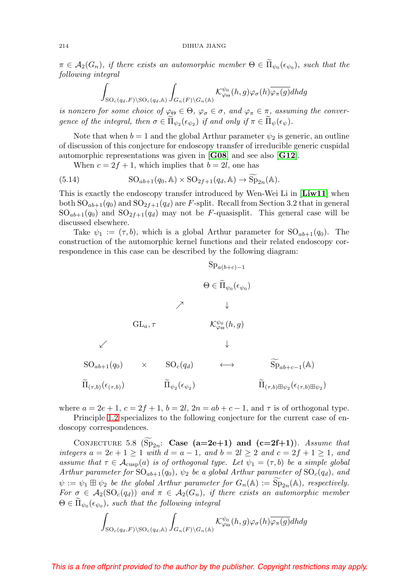$\pi \in A_2(G_n)$ , if there exists an automorphic member  $\Theta \in \Pi_{\psi_0}(\epsilon_{\psi_0})$ , such that the following integral

$$
\int_{\mathrm{SO}_c(q_d,F)\backslash \mathrm{SO}_c(q_d,\mathbb{A})} \int_{G_n(F)\backslash G_n(\mathbb{A})} \mathcal{K}_{\varphi_{\Theta}}^{\psi_0}(h,g) \varphi_{\sigma}(h) \overline{\varphi_{\pi}(g)} dh dg
$$

is nonzero for some choice of  $\varphi_{\Theta} \in \Theta$ ,  $\varphi_{\sigma} \in \sigma$ , and  $\varphi_{\pi} \in \pi$ , assuming the convergence of the integral, then  $\sigma \in \Pi_{\psi_2}(\epsilon_{\psi_2})$  if and only if  $\pi \in \Pi_{\psi}(\epsilon_{\psi})$ .

Note that when  $b = 1$  and the global Arthur parameter  $\psi_2$  is generic, an outline of discussion of this conjecture for endoscopy transfer of irreducible generic cuspidal automorphic representations was given in [**[G08](#page-56-3)**] and see also [**[G12](#page-56-4)**].

When  $c = 2f + 1$ , which implies that  $b = 2l$ , one has

(5.14) 
$$
SO_{ab+1}(q_0, A) \times SO_{2f+1}(q_d, A) \rightarrow \widetilde{Sp}_{2n}(A).
$$

This is exactly the endoscopy transfer introduced by Wen-Wei Li in [**[Liw11](#page-61-7)**] when both  $SO_{ab+1}(q_0)$  and  $SO_{2f+1}(q_d)$  are F-split. Recall from Section 3.2 that in general  $SO_{ab+1}(q_0)$  and  $SO_{2f+1}(q_d)$  may not be F-quasisplit. This general case will be discussed elsewhere.

Take  $\psi_1 := (\tau, b)$ , which is a global Arthur parameter for  $SO_{ab+1}(q_0)$ . The construction of the automorphic kernel functions and their related endoscopy correspondence in this case can be described by the following diagram:

$$
\operatorname{Sp}_{a(b+c)-1}
$$
\n
$$
\Theta \in \widetilde{\Pi}_{\psi_0}(\epsilon_{\psi_0})
$$
\n
$$
\nearrow \qquad \downarrow
$$
\n
$$
\operatorname{GL}_{a,\tau} \qquad \qquad \mathcal{K}^{\psi_0}_{\varphi_0}(h,g)
$$
\n
$$
\swarrow
$$
\n
$$
\operatorname{SO}_{ab+1}(q_0) \qquad \times \qquad \operatorname{SO}_c(q_d) \qquad \longleftrightarrow \qquad \widetilde{\operatorname{Sp}}_{ab+c-1}(\mathbb{A})
$$
\n
$$
\widetilde{\Pi}_{(\tau,b)}(\epsilon_{(\tau,b)}) \qquad \qquad \widetilde{\Pi}_{\psi_2}(\epsilon_{\psi_2}) \qquad \qquad \widetilde{\Pi}_{(\tau,b)\boxplus \psi_2}(\epsilon_{(\tau,b)\boxplus \psi_2})
$$

where  $a = 2e + 1$ ,  $c = 2f + 1$ ,  $b = 2l$ ,  $2n = ab + c - 1$ , and  $\tau$  is of orthogonal type.

Principle [1.2](#page-4-3) specializes to the following conjecture for the current case of endoscopy correspondences.

CONJECTURE 5.8  $(Sp_{2n}: Case (a=2e+1)$  and  $(c=2f+1)$ ). Assume that integers  $a = 2e + 1 \ge 1$  with  $d = a - 1$ , and  $b = 2l \ge 2$  and  $c = 2f + 1 \ge 1$ , and assume that  $\tau \in \mathcal{A}_{\text{cusp}}(a)$  is of orthogonal type. Let  $\psi_1 = (\tau, b)$  be a simple global Arthur parameter for  $SO_{ab+1}(q_0)$ ,  $\psi_2$  be a global Arthur parameter of  $SO_c(q_d)$ , and  $\psi := \psi_1 \boxplus \psi_2$  be the global Arthur parameter for  $G_n(\mathbb{A}) := \widetilde{\mathrm{Sp}}_{2n}(\mathbb{A})$ , respectively. For  $\sigma \in \mathcal{A}_2(SO_c(q_d))$  and  $\pi \in \mathcal{A}_2(G_n)$ , if there exists an automorphic member  $\Theta \in \Pi_{\psi_0}(\epsilon_{\psi_0}),$  such that the following integral

$$
\int_{\mathrm{SO}_c(q_d,F)\backslash \mathrm{SO}_c(q_d,\mathbb{A})}\int_{G_n(F)\backslash G_n(\mathbb{A})}\mathcal{K}^{\psi_0}_{\varphi_{\Theta}}(h,g)\varphi_{\sigma}(h)\overline{\varphi_{\pi}(g)}dh dg
$$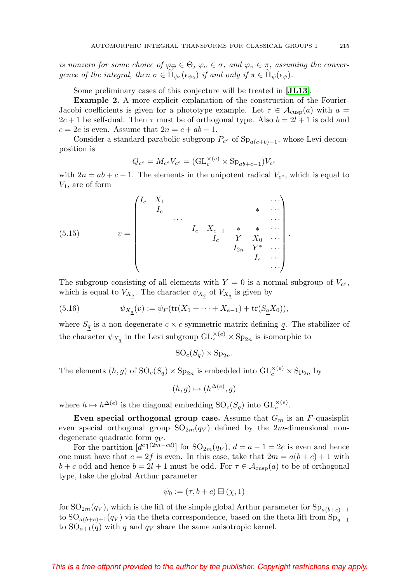is nonzero for some choice of  $\varphi_{\Theta} \in \Theta$ ,  $\varphi_{\sigma} \in \sigma$ , and  $\varphi_{\pi} \in \pi$ , assuming the convergence of the integral, then  $\sigma \in \Pi_{\psi_2}(\epsilon_{\psi_2})$  if and only if  $\pi \in \Pi_{\psi}(\epsilon_{\psi})$ .

Some preliminary cases of this conjecture will be treated in [**[JL13](#page-59-4)**].

**Example 2.** A more explicit explanation of the construction of the Fourier-Jacobi coefficients is given for a phototype example. Let  $\tau \in \mathcal{A}_{\text{cusp}}(a)$  with  $a =$  $2e + 1$  be self-dual. Then  $\tau$  must be of orthogonal type. Also  $b = 2l + 1$  is odd and  $c = 2e$  is even. Assume that  $2n = c + ab - 1$ .

Consider a standard parabolic subgroup  $P_{c}$  of  $Sp_{a(c+b)-1}$ , whose Levi decomposition is

$$
Q_{c^e} = M_{c^e} V_{c^e} = (\mathrm{GL}_c^{\times (e)} \times \mathrm{Sp}_{ab+c-1}) V_{c^e}
$$

with  $2n = ab + c - 1$ . The elements in the unipotent radical  $V_{c}$ , which is equal to  $V_1$ , are of form

(5.15) 
$$
v = \begin{pmatrix} I_c & X_1 & & & & & \cdots \\ & I_c & & & & & & \cdots \\ & & \cdots & & & & & & \cdots \\ & & & I_c & X_{e-1} & * & * & \cdots \\ & & & & I_c & Y & X_0 & \cdots \\ & & & & & & I_c & \cdots \\ & & & & & & & & I_c \end{pmatrix}.
$$

The subgroup consisting of all elements with  $Y = 0$  is a normal subgroup of  $V_{c<sup>e</sup>}$ , which is equal to  $V_{X_q}$ . The character  $\psi_{X_q}$  of  $V_{X_q}$  is given by

(5.16) 
$$
\psi_{X_{\underline{q}}}(v) := \psi_F(\text{tr}(X_1 + \dots + X_{e-1}) + \text{tr}(S_{\underline{q}}X_0)),
$$

where  $S_q$  is a non-degenerate  $c \times c$ -symmetric matrix defining  $q$ . The stabilizer of the character  $\psi_{X_q}$  in the Levi subgroup  $\operatorname{GL}_c^{\times(e)} \times \operatorname{Sp}_{2n}$  is isomorphic to

$$
SO_c(S_q) \times Sp_{2n}.
$$

The elements  $(h, g)$  of  $SO_c(S_q) \times Sp_{2n}$  is embedded into  $GL_c^{\times (e)} \times Sp_{2n}$  by

$$
(h,g)\mapsto (h^{\Delta(e)},g)
$$

where  $h \mapsto h^{\Delta(e)}$  is the diagonal embedding  $SO_c(S_q)$  into  $GL_c^{\times(e)}$ .

**Even special orthogonal group case.** Assume that  $G_m$  is an  $F$ -quasisplit even special orthogonal group  $SO_{2m}(q_V)$  defined by the 2m-dimensional nondegenerate quadratic form  $q_V$ .

For the partition  $[d^{c_1(2m-cd)}]$  for  $SO_{2m}(q_V)$ ,  $d = a - 1 = 2e$  is even and hence one must have that  $c = 2f$  is even. In this case, take that  $2m = a(b + c) + 1$  with  $b + c$  odd and hence  $b = 2l + 1$  must be odd. For  $\tau \in \mathcal{A}_{\text{cusp}}(a)$  to be of orthogonal type, take the global Arthur parameter

$$
\psi_0 := (\tau, b + c) \boxplus (\chi, 1)
$$

for  $SO_{2m}(q_V)$ , which is the lift of the simple global Arthur parameter for  $Sp_{a(b+c)-1}$ to  $SO_{a(b+c)+1}(q_V)$  via the theta correspondence, based on the theta lift from  $Sp_{a-1}$ to  $SO_{a+1}(q)$  with q and  $q_V$  share the same anisotropic kernel.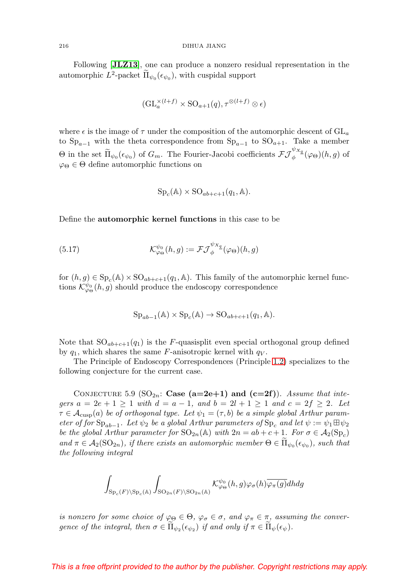#### 216 DIHUA JIANG

Following [**[JLZ13](#page-59-7)**], one can produce a nonzero residual representation in the automorphic  $L^2$ -packet  $\Pi_{\psi_0}(\epsilon_{\psi_0})$ , with cuspidal support

$$
(\mathrm{GL}_{a}^{\times (l+f)} \times \mathrm{SO}_{a+1}(q), \tau^{\otimes (l+f)} \otimes \epsilon)
$$

where  $\epsilon$  is the image of  $\tau$  under the composition of the automorphic descent of  $GL_a$ to  $Sp_{a-1}$  with the theta correspondence from  $Sp_{a-1}$  to  $SO_{a+1}$ . Take a member  $\Theta$  in the set  $\widetilde{\Pi}_{\psi_0}(\epsilon_{\psi_0})$  of  $G_m$ . The Fourier-Jacobi coefficients  $\mathcal{FJ}_{\phi}^{\psi_{X_q}}(\varphi_{\Theta})(h,g)$  of  $\varphi_{\Theta} \in \Theta$  define automorphic functions on

$$
Sp_c(\mathbb{A}) \times SO_{ab+c+1}(q_1, \mathbb{A}).
$$

Define the **automorphic kernel functions** in this case to be

(5.17) 
$$
\mathcal{K}^{\psi_0}_{\varphi\Theta}(h,g):=\mathcal{F}\mathcal{J}_{\phi}^{\psi_{X_{\underline{a}}}}(\varphi_{\Theta})(h,g)
$$

for  $(h, g) \in \mathrm{Sp}_c(\mathbb{A}) \times \mathrm{SO}_{ab+c+1}(q_1, \mathbb{A})$ . This family of the automorphic kernel functions  $\mathcal{K}^{\psi_0}_{\varphi\Theta}(h,g)$  should produce the endoscopy correspondence

$$
Sp_{ab-1}(\mathbb{A}) \times Sp_c(\mathbb{A}) \to SO_{ab+c+1}(q_1, \mathbb{A}).
$$

Note that  $SO_{ab+c+1}(q_1)$  is the F-quasisplit even special orthogonal group defined by  $q_1$ , which shares the same F-anisotropic kernel with  $q_V$ .

The Principle of Endoscopy Correspondences (Principle [1.2\)](#page-4-3) specializes to the following conjecture for the current case.

CONJECTURE 5.9 ( $SO_{2n}$ : **Case (a=2e+1) and (c=2f)**). Assume that integers  $a = 2e + 1 \ge 1$  with  $d = a - 1$ , and  $b = 2l + 1 \ge 1$  and  $c = 2f \ge 2$ . Let  $\tau \in \mathcal{A}_{\text{cusp}}(a)$  be of orthogonal type. Let  $\psi_1 = (\tau, b)$  be a simple global Arthur parameter of for  $\text{Sp}_{ab-1}$ . Let  $\psi_2$  be a global Arthur parameters of  $\text{Sp}_c$  and let  $\psi := \psi_1 \boxplus \psi_2$ be the global Arthur parameter for  $\text{SO}_{2n}(\mathbb{A})$  with  $2n = ab + c + 1$ . For  $\sigma \in \mathcal{A}_2(\text{Sp}_c)$ and  $\pi \in A_2(SO_{2n})$ , if there exists an automorphic member  $\Theta \in \Pi_{\psi_0}(\epsilon_{\psi_0})$ , such that the following integral

$$
\int_{\mathrm{Sp}_c(F)\backslash \mathrm{Sp}_c(\mathbb{A})}\int_{\mathrm{SO}_{2n}(F)\backslash \mathrm{SO}_{2n}(\mathbb{A})}\mathcal{K}^{\psi_0}_{\varphi_{\Theta}}(h,g)\varphi_{\sigma}(h)\overline{\varphi_{\pi}(g)}dh dg
$$

is nonzero for some choice of  $\varphi_{\Theta} \in \Theta$ ,  $\varphi_{\sigma} \in \sigma$ , and  $\varphi_{\pi} \in \pi$ , assuming the convergence of the integral, then  $\sigma \in \Pi_{\psi_2}(\epsilon_{\psi_2})$  if and only if  $\pi \in \Pi_{\psi}(\epsilon_{\psi})$ .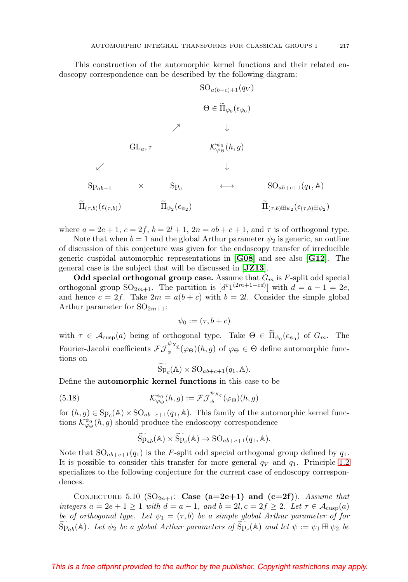This construction of the automorphic kernel functions and their related endoscopy correspondence can be described by the following diagram:

$$
\begin{array}{ccc}\n & \mathrm{SO}_{a(b+c)+1}(q_V) \\
 & \Theta \in \widetilde{\Pi}_{\psi_0}(\epsilon_{\psi_0}) \\
 & \nearrow & \downarrow\n\end{array}
$$
\n
$$
\begin{array}{ccc}\n & \text{GL}_{a,\tau} & \mathcal{K}^{\psi_0}_{\varphi_{\Theta}}(h,g) \\
 & \downarrow & \downarrow\n\end{array}
$$
\n
$$
\begin{array}{ccc}\n & \downarrow & \\
 & \text{Sp}_{ab-1} & \times & \text{Sp}_{c} & \longleftrightarrow & \text{SO}_{ab+c+1}(q_1,\mathbb{A}) \\
 & \widetilde{\Pi}_{(\tau,b)}(\epsilon_{(\tau,b)}) & \widetilde{\Pi}_{\psi_2}(\epsilon_{\psi_2}) & \widetilde{\Pi}_{(\tau,b)\boxplus\psi_2}(\epsilon_{(\tau,b)\boxplus\psi_2})\n\end{array}
$$

where  $a = 2e + 1$ ,  $c = 2f$ ,  $b = 2l + 1$ ,  $2n = ab + c + 1$ , and  $\tau$  is of orthogonal type.

Note that when  $b = 1$  and the global Arthur parameter  $\psi_2$  is generic, an outline of discussion of this conjecture was given for the endoscopy transfer of irreducible generic cuspidal automorphic representations in [**[G08](#page-56-3)**] and see also [**[G12](#page-56-4)**]. The general case is the subject that will be discussed in [**[JZ13](#page-59-5)**].

**Odd special orthogonal group case.** Assume that  $G_m$  is  $F$ -split odd special orthogonal group  $\text{SO}_{2m+1}$ . The partition is  $[d^{c}1^{(2m+1-cd)}]$  with  $d = a - 1 = 2e$ , and hence  $c = 2f$ . Take  $2m = a(b + c)$  with  $b = 2l$ . Consider the simple global Arthur parameter for  $SO_{2m+1}$ :

$$
\psi_0 := (\tau, b + c)
$$

with  $\tau \in \mathcal{A}_{\text{cusp}}(a)$  being of orthogonal type. Take  $\Theta \in \Pi_{\psi_0}(\epsilon_{\psi_0})$  of  $G_m$ . The Fourier-Jacobi coefficients  $\mathcal{FJ}^{\psi_{X_q}}_{\phi}(\varphi_{\Theta})(h,g)$  of  $\varphi_{\Theta} \in \Theta$  define automorphic functions on

 $\widetilde{\mathrm{Sp}}_c(\mathbb{A}) \times \mathrm{SO}_{ab+c+1}(q_1, \mathbb{A}).$ 

Define the **automorphic kernel functions** in this case to be

(5.18) 
$$
\mathcal{K}^{\psi_0}_{\varphi_{\Theta}}(h,g) := \mathcal{F}\mathcal{J}_{\phi}^{\psi_{X_q}}(\varphi_{\Theta})(h,g)
$$

for  $(h, g) \in \mathrm{Sp}_c(\mathbb{A}) \times \mathrm{SO}_{ab+c+1}(q_1, \mathbb{A})$ . This family of the automorphic kernel functions  $\mathcal{K}^{\psi_0}_{\varphi_{\Theta}}(h,g)$  should produce the endoscopy correspondence

$$
\widetilde{\mathrm{Sp}}_{ab}(\mathbb{A}) \times \widetilde{\mathrm{Sp}}_c(\mathbb{A}) \to \mathrm{SO}_{ab+c+1}(q_1, \mathbb{A}).
$$

Note that  $SO_{ab+c+1}(q_1)$  is the F-split odd special orthogonal group defined by  $q_1$ . It is possible to consider this transfer for more general  $q_V$  and  $q_1$ . Principle [1.2](#page-4-3) specializes to the following conjecture for the current case of endoscopy correspondences.

CONJECTURE 5.10  $(SO_{2n+1}: Case (a=2e+1)$  and  $(c=2f)$ ). Assume that integers  $a = 2e + 1 \ge 1$  with  $d = a - 1$ , and  $b = 2l, c = 2f \ge 2$ . Let  $\tau \in \mathcal{A}_{cusp}(a)$ be of orthogonal type. Let  $\psi_1 = (\tau, b)$  be a simple global Arthur parameter of for  $\widetilde{\mathrm{Sp}}_{ab}(\mathbb{A})$ . Let  $\psi_2$  be a global Arthur parameters of  $\widetilde{\mathrm{Sp}}_c(\mathbb{A})$  and let  $\psi := \psi_1 \boxplus \psi_2$  be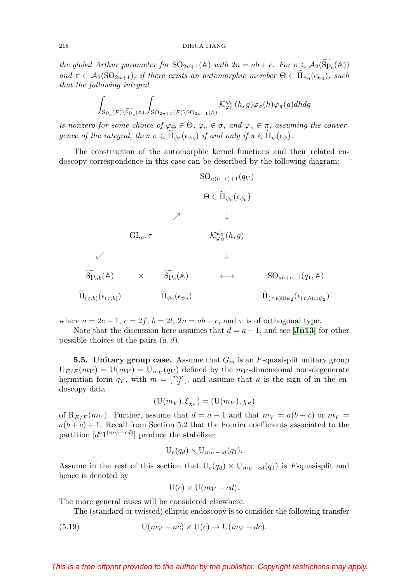the global Arthur parameter for  $SO_{2n+1}(\mathbb{A})$  with  $2n = ab + c$ . For  $\sigma \in \mathcal{A}_2(Sp_c(\mathbb{A}))$ and  $\pi \in A_2(\text{SO}_{2n+1})$ , if there exists an automorphic member  $\Theta \in \Pi_{\psi_0}(\epsilon_{\psi_0})$ , such that the following integral

that the following integral  
\n
$$
\int_{\mathrm{Sp}_c(F)\backslash \widetilde{\mathrm{Sp}}_c(\mathbb{A})}\int_{\mathrm{SO}_{2n+1}(F)\backslash \mathrm{SO}_{2n+1}(\mathbb{A})}\mathcal{K}^{\psi_0}_{\varphi_{\Theta}}(h,g)\varphi_{\sigma}(h)\overline{\varphi_{\pi}(g)}dhdg
$$

is nonzero for some choice of  $\varphi_{\Theta} \in \Theta$ ,  $\varphi_{\sigma} \in \sigma$ , and  $\varphi_{\pi} \in \pi$ , assuming the convergence of the integral, then  $\sigma \in \Pi_{\psi_2}(\epsilon_{\psi_2})$  if and only if  $\pi \in \Pi_{\psi}(\epsilon_{\psi})$ .

The construction of the automorphic kernel functions and their related endoscopy correspondence in this case can be described by the following diagram:

$$
\begin{array}{ccc}\n & \mathrm{SO}_{a(b+c)+1}(q_V) \\
 & \Theta \in \widetilde{\Pi}_{\psi_0}(\epsilon_{\psi_0}) \\
 & \nearrow & \downarrow\n\end{array}
$$
\n
$$
\begin{array}{ccc}\n & \times & \downarrow & \\
 & \widetilde{\mathrm{Sp}}_{ab}(\mathbb{A}) & \times & \widetilde{\mathrm{Sp}}_{c}(\mathbb{A}) & \longleftrightarrow & \mathrm{SO}_{ab+c+1}(q_1, \mathbb{A}) \\
 & \widetilde{\Pi}_{(\tau,b)}(\epsilon_{(\tau,b)}) & \widetilde{\Pi}_{\psi_2}(\epsilon_{\psi_2}) & \widetilde{\Pi}_{(\tau,b)\boxplus\psi_2}(\epsilon_{(\tau,b)\boxplus\psi_2})\n\end{array}
$$

where  $a = 2e + 1$ ,  $c = 2f$ ,  $b = 2l$ ,  $2n = ab + c$ , and  $\tau$  is of orthogonal type.

Note that the discussion here assumes that  $d = a - 1$ , and see [**[Jn13](#page-59-10)**] for other possible choices of the pairs  $(a, d)$ .

**5.5. Unitary group case.** Assume that  $G_m$  is an  $F$ -quasisplit unitary group  $U_{E/F}(m_V) = U(m_V) = U_{mv}(q_V)$  defined by the  $m_V$ -dimensional non-degenerate hermitian form  $q_V$ , with  $m = \left[\frac{m_V}{2}\right]$ , and assume that  $\kappa$  is the sign of in the endoscopy data

$$
(\mathbf{U}(m_V), \xi_{\chi_{\kappa}}) = (\mathbf{U}(m_V), \chi_{\kappa})
$$

of  $\mathcal{R}_{E/F}(m_V)$ . Further, assume that  $d = a - 1$  and that  $m_V = a(b + c)$  or  $m_V = a$  $a(b + c) + 1$ . Recall from Section 5.2 that the Fourier coefficients associated to the partition  $[d^{c}1^{(m_V - cd)}]$  produce the stabilizer

$$
U_c(q_d) \times U_{m_V - cd}(q_1).
$$

Assume in the rest of this section that  $U_c(q_d) \times U_{m_V - cd}(q_1)$  is F-quasisplit and hence is denoted by

$$
U(c) \times U(m_V - cd).
$$

The more general cases will be considered elsewhere.

The (standard or twisted) elliptic endoscopy is to consider the following transfer

(5.19) 
$$
U(m_V - ac) \times U(c) \rightarrow U(m_V - dc).
$$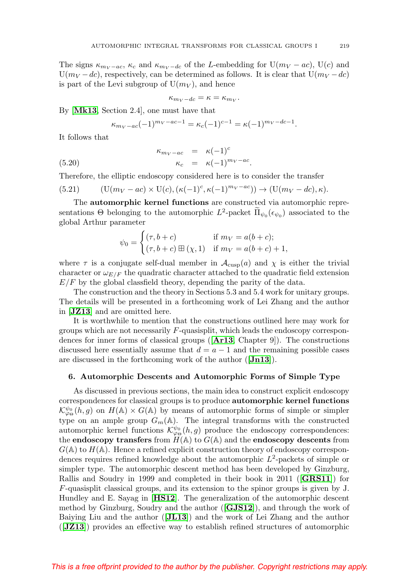The signs  $\kappa_{m_V-ac}$ ,  $\kappa_c$  and  $\kappa_{m_V-dc}$  of the L-embedding for  $U(m_V - ac)$ ,  $U(c)$  and  $U(m_V - dc)$ , respectively, can be determined as follows. It is clear that  $U(m_V - dc)$ is part of the Levi subgroup of  $U(m_V)$ , and hence

$$
\kappa_{m_V - dc} = \kappa = \kappa_{m_V}.
$$

By [**[Mk13](#page-61-3)**, Section 2.4], one must have that

$$
\kappa_{m_V-ac}(-1)^{m_V-ac-1}=\kappa_c(-1)^{c-1}=\kappa(-1)^{m_V-dc-1}.
$$

It follows that

(5.20) 
$$
\kappa_{m_V-ac} = \kappa (-1)^c
$$

$$
\kappa_c = \kappa (-1)^{m_V-ac}.
$$

Therefore, the elliptic endoscopy considered here is to consider the transfer

(5.21) 
$$
(\mathbf{U}(m_V - ac) \times \mathbf{U}(c), (\kappa(-1)^c, \kappa(-1)^{m_V - ac})) \rightarrow (\mathbf{U}(m_V - dc), \kappa).
$$

The **automorphic kernel functions** are constructed via automorphic representations  $\Theta$  belonging to the automorphic  $L^2$ -packet  $\tilde{\Pi}_{\psi_0}(\epsilon_{\psi_0})$  associated to the global Arthur parameter

$$
\psi_0 = \begin{cases} (\tau, b + c) & \text{if } m_V = a(b + c); \\ (\tau, b + c) \boxplus (\chi, 1) & \text{if } m_V = a(b + c) + 1, \end{cases}
$$

where  $\tau$  is a conjugate self-dual member in  $\mathcal{A}_{\text{cusp}}(a)$  and  $\chi$  is either the trivial character or  $\omega_{E/F}$  the quadratic character attached to the quadratic field extension  $E/F$  by the global classfield theory, depending the parity of the data.

The construction and the theory in Sections 5.3 and 5.4 work for unitary groups. The details will be presented in a forthcoming work of Lei Zhang and the author in [**[JZ13](#page-59-5)**] and are omitted here.

It is worthwhile to mention that the constructions outlined here may work for groups which are not necessarily F-quasisplit, which leads the endoscopy correspondences for inner forms of classical groups ([**[Ar13](#page-55-1)**, Chapter 9]). The constructions discussed here essentially assume that  $d = a - 1$  and the remaining possible cases are discussed in the forthcoming work of the author ([**[Jn13](#page-59-10)**]).

### **6. Automorphic Descents and Automorphic Forms of Simple Type**

As discussed in previous sections, the main idea to construct explicit endoscopy correspondences for classical groups is to produce **automorphic kernel functions**  $\mathcal{K}_{\varphi_{\Theta}}^{\psi_{0}}(h,g)$  on  $H(\mathbb{A}) \times G(\mathbb{A})$  by means of automorphic forms of simple or simpler type on an ample group  $G_m(\mathbb{A})$ . The integral transforms with the constructed automorphic kernel functions  $\mathcal{K}^{\psi_0}_{\varphi\Theta}(h,g)$  produce the endoscopy correspondences: the **endoscopy transfers** from  $H(\mathbb{A})$  to  $G(\mathbb{A})$  and the **endoscopy descents** from  $G(\mathbb{A})$  to  $H(\mathbb{A})$ . Hence a refined explicit construction theory of endoscopy correspondences requires refined knowledge about the automorphic  $L^2$ -packets of simple or simpler type. The automorphic descent method has been developed by Ginzburg, Rallis and Soudry in 1999 and completed in their book in 2011 ([**[GRS11](#page-57-1)**]) for F-quasisplit classical groups, and its extension to the spinor groups is given by J. Hundley and E. Sayag in [**[HS12](#page-58-5)**]. The generalization of the automorphic descent method by Ginzburg, Soudry and the author ([**[GJS12](#page-57-2)**]), and through the work of Baiying Liu and the author ([**[JL13](#page-59-4)**]) and the work of Lei Zhang and the author ([**[JZ13](#page-59-5)**]) provides an effective way to establish refined structures of automorphic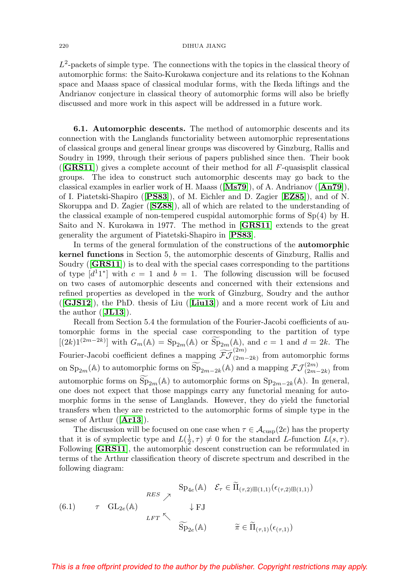#### 220 DIHUA JIANG

 $L^2$ -packets of simple type. The connections with the topics in the classical theory of automorphic forms: the Saito-Kurokawa conjecture and its relations to the Kohnan space and Maass space of classical modular forms, with the Ikeda liftings and the Andrianov conjecture in classical theory of automorphic forms will also be briefly discussed and more work in this aspect will be addressed in a future work.

**6.1. Automorphic descents.** The method of automorphic descents and its connection with the Langlands functoriality between automorphic representations of classical groups and general linear groups was discovered by Ginzburg, Rallis and Soudry in 1999, through their serious of papers published since then. Their book ([**[GRS11](#page-57-1)**]) gives a complete account of their method for all F-quasisplit classical groups. The idea to construct such automorphic descents may go back to the classical examples in earlier work of H. Maass ([**[Ms79](#page-61-14)**]), of A. Andrianov ([**[An79](#page-55-15)**]), of I. Piatetski-Shapiro ([**[PS83](#page-62-7)**]), of M. Eichler and D. Zagier [**[EZ85](#page-55-8)**]), and of N. Skoruppa and D. Zagier ([**[SZ88](#page-63-5)**]), all of which are related to the understanding of the classical example of non-tempered cuspidal automorphic forms of  $Sp(4)$  by H. Saito and N. Kurokawa in 1977. The method in [**[GRS11](#page-57-1)**] extends to the great generality the argument of Piatetski-Shapiro in [**[PS83](#page-62-7)**].

In terms of the general formulation of the constructions of the **automorphic kernel functions** in Section 5, the automorphic descents of Ginzburg, Rallis and Soudry ([**[GRS11](#page-57-1)**]) is to deal with the special cases corresponding to the partitions of type  $[d^11^*]$  with  $c = 1$  and  $b = 1$ . The following discussion will be focused on two cases of automorphic descents and concerned with their extensions and refined properties as developed in the work of Ginzburg, Soudry and the author ([**[GJS12](#page-57-2)**]), the PhD. thesis of Liu ([**[Liu13](#page-61-5)**]) and a more recent work of Liu and the author ([**[JL13](#page-59-4)**]).

Recall from Section 5.4 the formulation of the Fourier-Jacobi coefficients of automorphic forms in the special case corresponding to the partition of type  $[(2k)1^{(2m-2k)}]$  with  $G_m(\mathbb{A}) = \text{Sp}_{2m}(\mathbb{A})$  or  $\widetilde{\text{Sp}}_{2m}(\mathbb{A})$ , and  $c = 1$  and  $d = 2k$ . The Fourier-Jacobi coefficient defines a mapping  $\widetilde{\mathcal{FJ}}_{(2m-2k)}^{(2m)}$  from automorphic forms on  $\text{Sp}_{2m}(\mathbb{A})$  to automorphic forms on  $\widetilde{\text{Sp}}_{2m-2k}(\mathbb{A})$  and a mapping  $\mathcal{FJ}_{(2m-2k)}^{(2m)}$  from automorphic forms on  $\widetilde{\text{Sp}}_{2m}(\mathbb{A})$  to automorphic forms on  $\text{Sp}_{2m-2k}(\mathbb{A})$ . In general, one does not expect that those mappings carry any functorial meaning for automorphic forms in the sense of Langlands. However, they do yield the functorial transfers when they are restricted to the automorphic forms of simple type in the sense of Arthur ([**[Ar13](#page-55-1)**]).

The discussion will be focused on one case when  $\tau \in \mathcal{A}_{\text{cusp}}(2e)$  has the property that it is of symplectic type and  $L(\frac{1}{2}, \tau) \neq 0$  for the standard L-function  $L(s, \tau)$ . Following [**[GRS11](#page-57-1)**], the automorphic descent construction can be reformulated in terms of the Arthur classification theory of discrete spectrum and described in the following diagram:

(6.1) 
$$
{}_{RES} \nearrow \qquad \begin{aligned}\n\text{Sp}_{4e}(\mathbb{A}) \quad & \mathcal{E}_{\tau} \in \widetilde{\Pi}_{(\tau,2)\boxplus(1,1)}(\epsilon_{(\tau,2)\boxplus(1,1)}) \\
& \downarrow \text{FJ} \\
& \downarrow \text{FJ} \\
& \widetilde{\text{Sp}}_{2e}(\mathbb{A}) \qquad \widetilde{\pi} \in \widetilde{\Pi}_{(\tau,1)}(\epsilon_{(\tau,1)})\n\end{aligned}
$$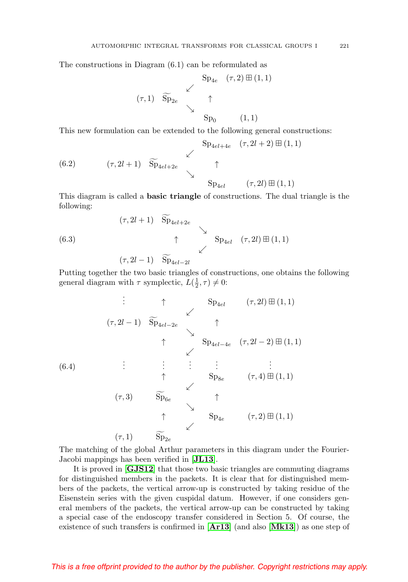The constructions in Diagram (6.1) can be reformulated as

$$
\begin{array}{ccccc}\n & & \text{Sp}_{4e} & (\tau,2) \boxplus (1,1) \\
 & & \swarrow & \\
 & & \uparrow & \\
 & & \searrow & \\
 & & \text{Sp}_0 & (1,1)\n\end{array}
$$

This new formulation can be extended to the following general constructions:

<span id="page-42-1"></span>(6.2) 
$$
(\tau, 2l + 1)
$$
  $\widetilde{Sp}_{4el+4e}$   $(\tau, 2l + 2) \boxplus (1, 1)$   
\n $\begin{array}{ccc}\n & \nearrow & \\
 & \searrow & \\
 & \searrow & \\
 & \searrow & \\
 & \searrow & \\
 & \searrow & \\
 & \searrow & \\
 & \searrow & \\
 & \searrow & \\
 & \searrow & \\
 & \searrow & \\
 & \searrow & \\
 & \searrow & \\
 & \searrow & \\
 & \searrow & \\
 & \searrow & \\
 & \searrow & \\
 & \searrow & \\
 & \searrow & \\
 & \searrow & \\
 & \searrow & \\
 & \searrow & \\
 & \searrow & \\
 & \searrow & \\
 & \searrow & \\
 & \searrow & \\
 & \searrow & \\
 & \searrow & \\
 & \searrow & \\
 & \searrow & \\
 & \searrow & \\
 & \searrow & \\
 & \searrow & \\
 & \searrow & \\
 & \searrow & \\
 & \searrow & \\
 & \searrow & \\
 & \searrow & \\
 & \searrow & \\
 & \searrow & \\
 & \searrow & \\
 & \searrow & \\
 & \searrow & \\
 & \searrow & \\
 & \searrow & \\
 & \searrow & \\
 & \searrow & \\
 & \searrow & \\
 & \searrow & \\
 & \searrow & \\
 & \searrow & \\
 & \searrow & \\
 & \searrow & \\
 & \searrow & \\
 & \searrow & \\
 & \searrow & \\
 & \searrow & \\
 & \searrow & \\
 & \searrow & \\
 & \searrow & \\
 & \searrow & \\
 & \searrow & \\
 & \searrow & \\
 & \searrow & \\
 & \searrow & \\
 & \searrow & \\
 & \searrow & \\
 & \searrow & \\
 & \searrow & \\
 & \searrow & \\
 & \searrow & \\
 & \searrow & \\
 & \searrow & \\
 & \searrow & \\
 & \searrow & \\
 & \searrow & \\
 & \searrow & \\
 & \searrow & \\
 & \searrow & \\
 & \searrow & \\
 & \searrow & \\
 & \searrow & \\
 & \searrow & \\
 & \searrow & \\
 & \searrow & \\
 & \searrow & \\
 & \searrow & \\
 & \searrow & \\
 & \searrow & \\
 & \searrow & \\
 & \searrow & \\
 & \searrow & \\
 & \searrow & \\
 & \searrow & \\
 & \searrow & \\
 & \searrow & \\
 & \searrow & \\
 & \searrow & \\
 & \searrow & \\
 & \searrow & \\
 & \searrow & \\
 & \searrow & \\
 & \searrow & \\
 & \searrow & \\
 & \searrow & \\
 & \searrow & \\
 & \searrow & \\
 & \searrow & \\
 & \searrow & \\
 & \searrow & \\
 & \searrow & \\
 & \searrow & \\
 & \searrow & \\
 & \searrow & \\
 & \searrow & \\
 &$ 

This diagram is called a **basic triangle** of constructions. The dual triangle is the following:

(6.3)  
\n
$$
(\tau, 2l+1) \widetilde{\mathrm{Sp}}_{4el+2e} \longrightarrow
$$
\n
$$
\uparrow \qquad \searrow
$$
\n
$$
(\tau, 2l-1) \widetilde{\mathrm{Sp}}_{4el-2l} \qquad (\tau, 2l) \boxplus (1,1)
$$

Putting together the two basic triangles of constructions, one obtains the following general diagram with  $\tau$  symplectic,  $L(\frac{1}{2}, \tau) \neq 0$ :

<span id="page-42-0"></span>(6.4) . . . ↑ Sp4el (τ, 2l) - (1, 1) (τ, <sup>2</sup><sup>l</sup> <sup>−</sup> 1) Sp4el−2<sup>e</sup> <sup>↑</sup> ↑ Sp4el−4<sup>e</sup> (τ, 2l − 2) - (1, 1) . . . . . . . . . . . . . . . ↑ Sp8<sup>e</sup> (τ, 4) - (1, 1) (τ, 3) Sp6<sup>e</sup> <sup>↑</sup> ↑ Sp4<sup>e</sup> (τ, 2) - (1, 1) (τ, 1) Sp2<sup>e</sup>

The matching of the global Arthur parameters in this diagram under the Fourier-Jacobi mappings has been verified in [**[JL13](#page-59-4)**].

It is proved in [**[GJS12](#page-57-2)**] that those two basic triangles are commuting diagrams for distinguished members in the packets. It is clear that for distinguished members of the packets, the vertical arrow-up is constructed by taking residue of the Eisenstein series with the given cuspidal datum. However, if one considers general members of the packets, the vertical arrow-up can be constructed by taking a special case of the endoscopy transfer considered in Section 5. Of course, the existence of such transfers is confirmed in [**[Ar13](#page-55-1)**] (and also [**[Mk13](#page-61-3)**]) as one step of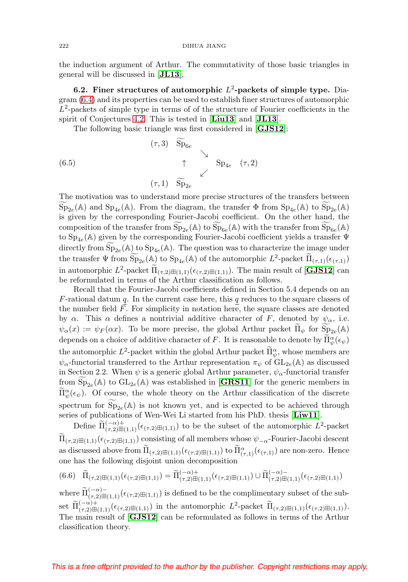the induction argument of Arthur. The commutativity of those basic triangles in general will be discussed in [**[JL13](#page-59-4)**].

**6.2. Finer structures of automorphic**  $L^2$ -packets of simple type. Diagram [\(6.4\)](#page-42-0) and its properties can be used to establish finer structures of automorphic  $L^2$ -packets of simple type in terms of of the structure of Fourier coefficients in the spirit of Conjectures [4.2.](#page-17-0) This is tested in [**[Liu13](#page-61-5)**] and [**[JL13](#page-59-4)**].

The following basic triangle was first considered in [**[GJS12](#page-57-2)**]:

<span id="page-43-0"></span>(6.5) (τ, 3) Sp6<sup>e</sup> ↑ Sp4<sup>e</sup> (τ, 2) (τ, 1) Sp2<sup>e</sup>

The motivation was to understand more precise structures of the transfers between  $Sp_{2e}(\mathbb{A})$  and  $Sp_{4e}(\mathbb{A})$ . From the diagram, the transfer  $\Phi$  from  $Sp_{4e}(\mathbb{A})$  to  $Sp_{2e}(\mathbb{A})$ is given by the corresponding Fourier-Jacobi coefficient. On the other hand, the composition of the transfer from  $\overline{Sp}_{2e}(\mathbb{A})$  to  $\overline{Sp}_{6e}(\mathbb{A})$  with the transfer from  $\overline{Sp}_{6e}(\mathbb{A})$ to  $Sp_{4e}(\mathbb{A})$  given by the corresponding Fourier-Jacobi coefficient yields a transfer  $\Psi$ directly from  $Sp_{2e}(\mathbb{A})$  to  $Sp_{4e}(\mathbb{A})$ . The question was to characterize the image under the transfer  $\Psi$  from  $\widetilde{\mathrm{Sp}}_{2e}(\mathbb{A})$  to  $\mathrm{Sp}_{4e}(\mathbb{A})$  of the automorphic  $L^2$ -packet  $\widetilde{\Pi}_{(\tau,1)}(\epsilon_{(\tau,1)})$ in automorphic  $L^2$ -packet  $\Pi_{(\tau,2)\boxplus(1,1)}(\epsilon_{(\tau,2)\boxplus(1,1)}).$  The main result of [**[GJS12](#page-57-2)**] can be reformulated in terms of the Arthur classification as follows.

Recall that the Fourier-Jacobi coefficients defined in Section 5.4 depends on an  $F$ -rational datum  $q$ . In the current case here, this  $q$  reduces to the square classes of the number field F. For simplicity in notation here, the square classes are denoted by  $\alpha$ . This  $\alpha$  defines a nontrivial additive character of F, denoted by  $\psi_{\alpha}$ , i.e.  $\psi_{\alpha}(x) := \psi_F(\alpha x)$ . To be more precise, the global Arthur packet  $\widetilde{\Pi}_{\psi}$  for  $\widetilde{\text{Sp}}_{2e}(\mathbb{A})$ depends on a choice of additive character of F. It is reasonable to denote by  $\prod_{\psi}^{\alpha}(\epsilon_{\psi})$ the automorphic  $L^2$ -packet within the global Arthur packet  $\prod_{\alpha}^{\alpha}$ , whose members are  $\psi_{\alpha}$ -functorial transferred to the Arthur representation  $\pi_{\psi}$  of  $GL_{2e}(\mathbb{A})$  as discussed in Section 2.2. When  $\psi$  is a generic global Arthur parameter,  $\psi_{\alpha}$ -functorial transfer from  $Sp_{2e}(\mathbb{A})$  to  $GL_{2e}(\mathbb{A})$  was established in [**[GRS11](#page-57-1)**] for the generic members in  $\tilde{\Pi}_{\psi}^{\alpha}(\epsilon_{\psi})$ . Of course, the whole theory on the Arthur classification of the discrete spectrum for  $Sp_{2e}(\mathbb{A})$  is not known yet, and is expected to be achieved through series of publications of Wen-Wei Li started from his PhD. thesis [**[Liw11](#page-61-7)**].

Define  $\tilde{\Pi}^{(-\alpha)+}_{(\tau,2)\boxplus(1,1)}(\epsilon_{(\tau,2)\boxplus(1,1)})$  to be the subset of the automorphic  $L^2$ -packet  $\Pi_{(\tau,2)\boxplus(1,1)}(\epsilon_{(\tau,2)\boxplus(1,1)})$  consisting of all members whose  $\psi_{-\alpha}$ -Fourier-Jacobi descent as discussed above from  $\Pi_{(\tau,2)\boxplus(1,1)}(\epsilon_{(\tau,2)\boxplus(1,1)})$  to  $\Pi_{(\tau,1)}^{\alpha}(\epsilon_{(\tau,1)})$  are non-zero. Hence one has the following disjoint union decomposition

$$
(6.6)\quad \widetilde{\Pi}_{(\tau,2)\boxplus(1,1)}(\epsilon_{(\tau,2)\boxplus(1,1)}) = \widetilde{\Pi}_{(\tau,2)\boxplus(1,1)}^{(-\alpha)+}(\epsilon_{(\tau,2)\boxplus(1,1)}) \cup \widetilde{\Pi}_{(\tau,2)\boxplus(1,1)}^{(-\alpha)-}(\epsilon_{(\tau,2)\boxplus(1,1)})
$$

where  $\tilde{\Pi}^{(-\alpha)-}_{(\tau,2)\boxplus(1,1)}(\epsilon_{(\tau,2)\boxplus(1,1)})$  is defined to be the complimentary subset of the subset  $\widetilde{\Pi}^{(-\alpha)+}_{(\tau,2)\boxplus(1,1)}(\epsilon_{(\tau,2)\boxplus(1,1)})$  in the automorphic  $L^2$ -packet  $\widetilde{\Pi}_{(\tau,2)\boxplus(1,1)}(\epsilon_{(\tau,2)\boxplus(1,1)}).$ The main result of [**[GJS12](#page-57-2)**] can be reformulated as follows in terms of the Arthur classification theory.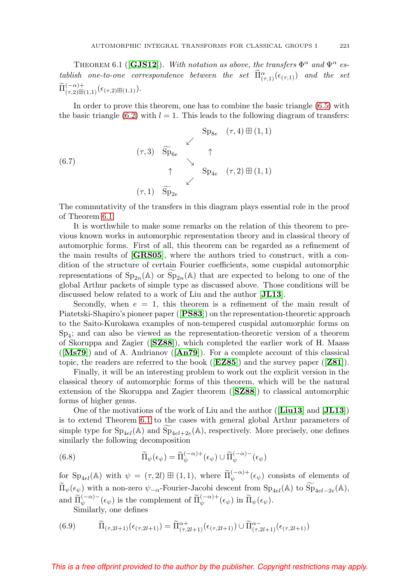<span id="page-44-0"></span>THEOREM 6.1 (**[[GJS12](#page-57-2)**]). With notation as above, the transfers  $\Phi^{\alpha}$  and  $\Psi^{\alpha}$  establish one-to-one correspondence between the set  $\overline{\Pi}^{\alpha}_{(\tau,1)}(\epsilon_{(\tau,1)})$  and the set  $\tilde{\Pi}^{(-\alpha)+}_{(\tau,2)\boxplus(1,1)}(\epsilon_{(\tau,2)\boxplus(1,1)}).$ 

In order to prove this theorem, one has to combine the basic triangle [\(6.5\)](#page-43-0) with the basic triangle [\(6.2\)](#page-42-1) with  $l = 1$ . This leads to the following diagram of transfers:

(6.7)  
\n
$$
\begin{array}{ccc}\n & \searrow & \\
 & \searrow & \\
 & \searrow & \\
 & \searrow & \\
 & \searrow & \\
 & \searrow & \\
 & \searrow & \\
 & \searrow & \\
 & \searrow & \\
 & \searrow & \\
 & \searrow & \\
 & \searrow & \\
 & \searrow & \\
 & \searrow & \\
 & \searrow & \\
 & \searrow & \\
 & \searrow & \\
 & \searrow & \\
 & \searrow & \\
 & \searrow & \\
 & \searrow & \\
 & \searrow & \\
 & \searrow & \\
 & \searrow & \\
 & \searrow & \\
 & \searrow & \\
 & \searrow & \\
 & \searrow & \\
 & \searrow & \\
 & \searrow & \\
 & \searrow & \\
 & \searrow & \\
 & \searrow & \\
 & \searrow & \\
 & \searrow & \\
 & \searrow & \\
 & \searrow & \\
 & \searrow & \\
 & \searrow & \\
 & \searrow & \\
 & \searrow & \\
 & \searrow & \\
 & \searrow & \\
 & \searrow & \\
 & \searrow & \\
 & \searrow & \\
 & \searrow & \\
 & \searrow & \\
 & \searrow & \\
 & \searrow & \\
 & \searrow & \\
 & \searrow & \\
 & \searrow & \\
 & \searrow & \\
 & \searrow & \\
 & \searrow & \\
 & \searrow & \\
 & \searrow & \\
 & \searrow & \\
 & \searrow & \\
 & \searrow & \\
 & \searrow & \\
 & \searrow & \\
 & \searrow & \\
 & \searrow & \\
 & \searrow & \\
 & \searrow & \\
 & \searrow & \\
 & \searrow & \\
 & \searrow & \\
 & \searrow & \\
 & \searrow & \\
 & \searrow & \\
 & \searrow & \\
 & \searrow & \\
 & \searrow & \\
 & \searrow & \\
 & \searrow & \\
 & \searrow & \\
 & \searrow & \\
 & \searrow & \\
 & \searrow & \\
 & \searrow & \\
 & \searrow & \\
 & \searrow & \\
 & \searrow & \\
 & \searrow & \\
 & \searrow & \\
 & \searrow & \\
 & \searrow & \\
 & \searrow & \\
 & \searrow & \\
 & \searrow & \\
 & \searrow & \\
 & \searrow & \\
 & \searrow & \\
 & \searrow & \\
 & \searrow & \\
 & \searrow & \\
 & \searrow & \\
 & \searrow & \\
 & \searrow & \\
 & \searrow & \\
 & \searrow & \\
 & \searrow & \\
 & \searrow & \\
 & \searrow & \\
 & \searrow & \\
 & \searrow & \\
 & \searrow & \\
 & \searrow & \\
 & \searrow & \\
 & \searrow & \\
 & \searrow & \\
 & \searrow & \\
 & \searrow & \\
 & \searrow & \\
 & \searrow & \\
 & \searrow & \\
 & \searrow & \\
 & \searrow & \\
 & \searrow & \\
 & \searrow & \\
 & \searrow & \\
$$

The commutativity of the transfers in this diagram plays essential role in the proof of Theorem [6.1.](#page-44-0)

It is worthwhile to make some remarks on the relation of this theorem to previous known works in automorphic representation theory and in classical theory of automorphic forms. First of all, this theorem can be regarded as a refinement of the main results of [**[GRS05](#page-57-10)**], where the authors tried to construct, with a condition of the structure of certain Fourier coefficients, some cuspidal automorphic representations of  $Sp_{2n}(\mathbb{A})$  or  $Sp_{2n}(\mathbb{A})$  that are expected to belong to one of the global Arthur packets of simple type as discussed above. Those conditions will be discussed below related to a work of Liu and the author [**[JL13](#page-59-4)**].

Secondly, when  $e = 1$ , this theorem is a refinement of the main result of Piatetski-Shapiro's pioneer paper ([**[PS83](#page-62-7)**]) on the representation-theoretic approach to the Saito-Kurokawa examples of non-tempered cuspidal automorphic forms on  $Sp_4$ ; and can also be viewed as the representation-theoretic version of a theorem of Skoruppa and Zagier ([**[SZ88](#page-63-5)**]), which completed the earlier work of H. Maass ([**[Ms79](#page-61-14)**]) and of A. Andrianov ([**[An79](#page-55-15)**]). For a complete account of this classical topic, the readers are referred to the book ([**[EZ85](#page-55-8)**]) and the survey paper ([**[Z81](#page-63-6)**]).

Finally, it will be an interesting problem to work out the explicit version in the classical theory of automorphic forms of this theorem, which will be the natural extension of the Skoruppa and Zagier theorem ([**[SZ88](#page-63-5)**]) to classical automorphic forms of higher genus.

One of the motivations of the work of Liu and the author ([**[Liu13](#page-61-5)**] and [**[JL13](#page-59-4)**]) is to extend Theorem [6.1](#page-44-0) to the cases with general global Arthur parameters of simple type for  $Sp_{4el}(\mathbb{A})$  and  $Sp_{4el+2e}(\mathbb{A})$ , respectively. More precisely, one defines similarly the following decomposition

(6.8) 
$$
\widetilde{\Pi}_{\psi}(\epsilon_{\psi}) = \widetilde{\Pi}_{\psi}^{(-\alpha)+}(\epsilon_{\psi}) \cup \widetilde{\Pi}_{\psi}^{(-\alpha)-}(\epsilon_{\psi})
$$

for  $Sp_{4el}(\mathbb{A})$  with  $\psi = (\tau, 2l) \boxplus (1, 1)$ , where  $\widetilde{\Pi}_{\psi}^{(-\alpha)+}(\epsilon_{\psi})$  consists of elements of  $\widetilde{\Pi}_{\psi}(\epsilon_{\psi})$  with a non-zero  $\psi_{-\alpha}$ -Fourier-Jacobi descent from  $Sp_{4el}(\mathbb{A})$  to  $\widetilde{Sp}_{4el-2e}(\mathbb{A}),$ and  $\widetilde{\Pi}_{\psi}^{(-\alpha)-}(\epsilon_{\psi})$  is the complement of  $\widetilde{\Pi}_{\psi}^{(-\alpha)+}(\epsilon_{\psi})$  in  $\widetilde{\Pi}_{\psi}(\epsilon_{\psi})$ .

Similarly, one defines

$$
(6.9) \qquad \widetilde{\Pi}_{(\tau,2l+1)}(\epsilon_{(\tau,2l+1)}) = \widetilde{\Pi}_{(\tau,2l+1)}^{\alpha+}(\epsilon_{(\tau,2l+1)}) \cup \widetilde{\Pi}_{(\tau,2l+1)}^{\alpha-}(\epsilon_{(\tau,2l+1)})
$$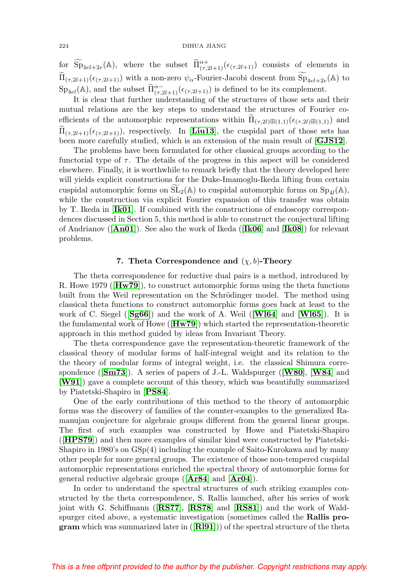for  $\widetilde{\mathrm{Sp}}_{4el+2e}(\mathbb{A})$ , where the subset  $\widetilde{\Pi}^{\alpha+}_{(\tau,2l+1)}(\epsilon_{(\tau,2l+1)})$  consists of elements in  $\widetilde{\Pi}_{(\tau,2l+1)}(\epsilon_{(\tau,2l+1)})$  with a non-zero  $\psi_{\alpha}$ -Fourier-Jacobi descent from  $\widetilde{\mathrm{Sp}}_{4el+2e}(\mathbb{A})$  to  $Sp_{4el}(\mathbb{A})$ , and the subset  $\widetilde{\Pi}^{\alpha-}_{(\tau,2l+1)}(\epsilon_{(\tau,2l+1)})$  is defined to be its complement.

It is clear that further understanding of the structures of those sets and their mutual relations are the key steps to understand the structures of Fourier coefficients of the automorphic representations within  $\Pi_{(\tau,2l)\boxplus(1,1)}(\epsilon_{(\tau,2l)\boxplus(1,1)})$  and  $\Pi_{(\tau,2l+1)}(\epsilon_{(\tau,2l+1)}),$  respectively. In [**[Liu13](#page-61-5)**], the cuspidal part of those sets has been more carefully studied, which is an extension of the main result of [**[GJS12](#page-57-2)**].

The problems have been formulated for other classical groups according to the functorial type of  $\tau$ . The details of the progress in this aspect will be considered elsewhere. Finally, it is worthwhile to remark briefly that the theory developed here will yields explicit constructions for the Duke-Imamoglu-Ikeda lifting from certain cuspidal automorphic forms on  $SL_2(\mathbb{A})$  to cuspidal automorphic forms on  $Sp_{4l}(\mathbb{A}),$ while the construction via explicit Fourier expansion of this transfer was obtain by T. Ikeda in [**[Ik01](#page-58-6)**]. If combined with the constructions of endoscopy correspondences discussed in Section 5, this method is able to construct the conjectural lifting of Andrianov ([**[An01](#page-55-16)**]). See also the work of Ikeda ([**[Ik06](#page-58-7)**] and [**[Ik08](#page-58-8)**]) for relevant problems.

### **7.** Theta Correspondence and  $(\chi, b)$ -Theory

The theta correspondence for reductive dual pairs is a method, introduced by R. Howe 1979 ([**[Hw79](#page-58-1)**]), to construct automorphic forms using the theta functions built from the Weil representation on the Schrödinger model. The method using classical theta functions to construct automorphic forms goes back at least to the work of C. Siegel ([**[Sg66](#page-63-1)**]) and the work of A. Weil ([**[Wl64](#page-63-2)**] and [**[Wl65](#page-63-3)**]). It is the fundamental work of Howe ([**[Hw79](#page-58-1)**]) which started the representation-theoretic approach in this method guided by ideas from Invariant Theory.

The theta correspondence gave the representation-theoretic framework of the classical theory of modular forms of half-integral weight and its relation to the the theory of modular forms of integral weight, i.e. the classical Shimura correspondence ([**[Sm73](#page-62-13)**]). A series of papers of J.-L. Waldspurger ([**[W80](#page-63-7)**], [**[W84](#page-63-8)**] and [**[W91](#page-63-9)**]) gave a complete account of this theory, which was beautifully summarized by Piatetski-Shapiro in [**[PS84](#page-62-14)**].

One of the early contributions of this method to the theory of automorphic forms was the discovery of families of the counter-examples to the generalized Ramanujan conjecture for algebraic groups different from the general linear groups. The first of such examples was constructed by Howe and Piatetski-Shapiro ([**[HPS79](#page-58-9)**]) and then more examples of similar kind were constructed by Piatetski-Shapiro in 1980's on GSp(4) including the example of Saito-Kurokawa and by many other people for more general groups. The existence of those non-tempered cuspidal automorphic representations enriched the spectral theory of automorphic forms for general reductive algebraic groups ([**[Ar84](#page-55-17)**] and [**[Ar04](#page-55-18)**]).

In order to understand the spectral structures of such striking examples constructed by the theta correspondence, S. Rallis launched, after his series of work joint with G. Schiffmann ([**[RS77](#page-62-15)**], [**[RS78](#page-62-16)**] and [**[RS81](#page-62-17)**]) and the work of Waldspurger cited above, a systematic investigation (sometimes called the **Rallis program** which was summarized later in ([**[Rl91](#page-62-9)**])) of the spectral structure of the theta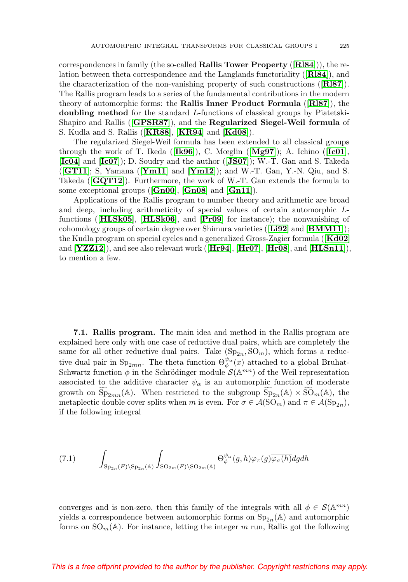correspondences in family (the so-called **Rallis Tower Property** ([**[Rl84](#page-62-18)**])), the relation between theta correspondence and the Langlands functoriality ([**[Rl84](#page-62-18)**]), and the characterization of the non-vanishing property of such constructions ([**[Rl87](#page-62-8)**]). The Rallis program leads to a series of the fundamental contributions in the modern theory of automorphic forms: the **Rallis Inner Product Formula** ([**[Rl87](#page-62-8)**]), the **doubling method** for the standard L-functions of classical groups by Piatetski-Shapiro and Rallis ([**[GPSR87](#page-56-5)**]), and the **Regularized Siegel-Weil formula** of S. Kudla and S. Rallis ([**[KR88](#page-60-15)**], [**[KR94](#page-60-12)**] and [**[Kd08](#page-60-16)**]).

The regularized Siegel-Weil formula has been extended to all classical groups through the work of T. Ikeda ([**[Ik96](#page-58-10)**]), C. Mœglin ([**[Mg97](#page-61-15)**]); A. Ichino ([**[Ic01](#page-58-11)**], [**[Ic04](#page-58-12)**] and [**[Ic07](#page-58-13)**]); D. Soudry and the author ([**[JS07](#page-59-11)**]); W.-T. Gan and S. Takeda ([**[GT11](#page-56-13)**]; S, Yamana ([**[Ym11](#page-63-10)**] and [**[Ym12](#page-63-11)**]); and W.-T. Gan, Y.-N. Qiu, and S. Takeda ([**[GQT12](#page-56-14)**]). Furthermore, the work of W.-T. Gan extends the formula to some exceptional groups ([**[Gn00](#page-55-19)**], [**[Gn08](#page-56-15)**] and [**[Gn11](#page-56-16)**]).

Applications of the Rallis program to number theory and arithmetic are broad and deep, including arithmeticity of special values of certain automorphic Lfunctions ([**[HLSk05](#page-58-14)**], [**[HLSk06](#page-58-15)**], and [**[Pr09](#page-62-19)**] for instance); the nonvanishing of cohomology groups of certain degree over Shimura varieties ([**[Li92](#page-61-16)**] and [**[BMM11](#page-55-20)**]); the Kudla program on special cycles and a generalized Gross-Zagier formula ([**[Kd02](#page-60-17)**] and [**[YZZ12](#page-63-12)**]), and see also relevant work ([**[Hr94](#page-57-11)**], [**[Hr07](#page-57-12)**], [**[Hr08](#page-58-16)**], and [**[HLSn11](#page-58-17)**]), to mention a few.

**7.1. Rallis program.** The main idea and method in the Rallis program are explained here only with one case of reductive dual pairs, which are completely the same for all other reductive dual pairs. Take  $({\rm Sp}_{2n}, {\rm SO}_m)$ , which forms a reductive dual pair in Sp<sub>2mn</sub>. The theta function  $\Theta_{\phi}^{\psi_{\alpha}}(x)$  attached to a global Bruhat-Schwartz function  $\phi$  in the Schrödinger module  $\mathcal{S}(\mathbb{A}^{mn})$  of the Weil representation associated to the additive character  $\psi_{\alpha}$  is an automorphic function of moderate growth on  $Sp_{2mn}(\mathbb{A})$ . When restricted to the subgroup  $Sp_{2n}(\mathbb{A}) \times SO_m(\mathbb{A})$ , the metaplectic double cover splits when m is even. For  $\sigma \in \mathcal{A}(\mathrm{SO}_m)$  and  $\pi \in \mathcal{A}(\mathrm{Sp}_{2n}),$ if the following integral

<span id="page-46-0"></span>
$$
(7.1) \qquad \int_{\mathrm{Sp}_{2n}(F)\backslash \mathrm{Sp}_{2n}(\mathbb{A})} \int_{\mathrm{SO}_{2m}(F)\backslash \mathrm{SO}_{2m}(\mathbb{A})} \Theta_{\phi}^{\psi_{\alpha}}(g,h)\varphi_{\pi}(g)\overline{\varphi_{\sigma}(h)}dgdh
$$

converges and is non-zero, then this family of the integrals with all  $\phi \in \mathcal{S}(\mathbb{A}^{mn})$ yields a correspondence between automorphic forms on  $Sp_{2n}(\mathbb{A})$  and automorphic forms on  $\text{SO}_m(\mathbb{A})$ . For instance, letting the integer m run, Rallis got the following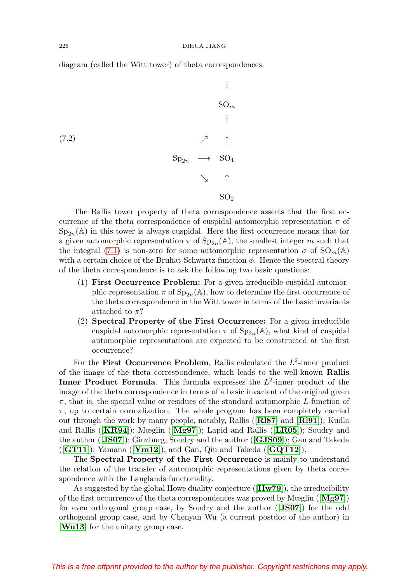diagram (called the Witt tower) of theta correspondences:

$$
\begin{array}{ccc}\n & \vdots & \\
\text{SO}_{m} & & \\
 & \vdots & \\
\text{SO}_{n} & & \nearrow & \uparrow \\
 & \searrow & \uparrow & \\
 & \searrow & \uparrow & \\
 & \searrow & \uparrow & \\
 & \searrow & \uparrow & \\
 & \searrow & \searrow & \uparrow \\
 & \searrow & \searrow & \uparrow \\
 & \searrow & & \searrow & \searrow\n\end{array}
$$

The Rallis tower property of theta correspondence asserts that the first occurrence of the theta correspondence of cuspidal automorphic representation  $\pi$  of  $Sp_{2n}(\mathbb{A})$  in this tower is always cuspidal. Here the first occurrence means that for a given automorphic representation  $\pi$  of  $Sp_{2n}(\mathbb{A})$ , the smallest integer m such that the integral [\(7.1\)](#page-46-0) is non-zero for some automorphic representation  $\sigma$  of  $SO_m(\mathbb{A})$ with a certain choice of the Bruhat-Schwartz function  $\phi$ . Hence the spectral theory of the theta correspondence is to ask the following two basic questions:

- (1) **First Occurrence Problem:** For a given irreducible cuspidal automorphic representation  $\pi$  of  $Sp_{2n}(\mathbb{A})$ , how to determine the first occurrence of the theta correspondence in the Witt tower in terms of the basic invariants attached to  $\pi$ ?
- (2) **Spectral Property of the First Occurrence:** For a given irreducible cuspidal automorphic representation  $\pi$  of  $Sp_{2n}(\mathbb{A})$ , what kind of cuspidal automorphic representations are expected to be constructed at the first occurrence?

For the **First Occurrence Problem**, Rallis calculated the  $L^2$ -inner product of the image of the theta correspondence, which leads to the well-known **Rallis Inner Product Formula**. This formula expresses the  $L^2$ -inner product of the image of the theta correspondence in terms of a basic invariant of the original given  $\pi$ , that is, the special value or residues of the standard automorphic L-function of  $\pi$ , up to certain normalization. The whole program has been completely carried out through the work by many people, notably, Rallis ([**[Rl87](#page-62-8)**] and [**[Rl91](#page-62-9)**]); Kudla and Rallis ([**[KR94](#page-60-12)**]); Mœglin ([**[Mg97](#page-61-15)**]); Lapid and Rallis ([**[LR05](#page-60-18)**]); Soudry and the author ([**[JS07](#page-59-11)**]); Ginzburg, Soudry and the author ([**[GJS09](#page-57-13)**]); Gan and Takeda ([**[GT11](#page-56-13)**]); Yamana ([**[Ym12](#page-63-11)**]); and Gan, Qiu and Takeda ([**[GQT12](#page-56-14)**]).

The **Spectral Property of the First Occurrence** is mainly to understand the relation of the transfer of automorphic representations given by theta correspondence with the Langlands functoriality.

As suggested by the global Howe duality conjecture ([**[Hw79](#page-58-1)**]), the irreducibility of the first occurrence of the theta correspondences was proved by Mœglin ([**[Mg97](#page-61-15)**]) for even orthogonal group case, by Soudry and the author ([**[JS07](#page-59-11)**]) for the odd orthogonal group case, and by Chenyan Wu (a current postdoc of the author) in [**[Wu13](#page-63-13)**] for the unitary group case.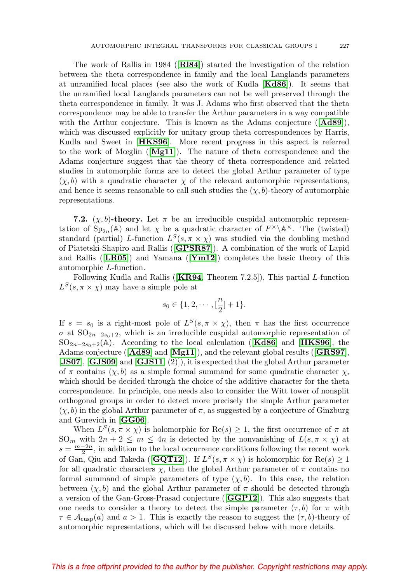The work of Rallis in 1984 ([**[Rl84](#page-62-18)**]) started the investigation of the relation between the theta correspondence in family and the local Langlands parameters at unramified local places (see also the work of Kudla [**[Kd86](#page-60-19)**]). It seems that the unramified local Langlands parameters can not be well preserved through the theta correspondence in family. It was J. Adams who first observed that the theta correspondence may be able to transfer the Arthur parameters in a way compatible with the Arthur conjecture. This is known as the Adams conjecture ([**[Ad89](#page-55-21)**]), which was discussed explicitly for unitary group theta correspondences by Harris, Kudla and Sweet in [**[HKS96](#page-58-18)**]. More recent progress in this aspect is referred to the work of Mœglin ([**[Mg11](#page-61-6)**]). The nature of theta correspondence and the Adams conjecture suggest that the theory of theta correspondence and related studies in automorphic forms are to detect the global Arthur parameter of type  $(\chi, b)$  with a quadratic character  $\chi$  of the relevant automorphic representations, and hence it seems reasonable to call such studies the  $(\chi, b)$ -theory of automorphic representations.

**7.2.** (*χ*, *b*)-theory. Let  $\pi$  be an irreducible cuspidal automorphic representation of  $Sp_{2n}(\mathbb{A})$  and let  $\chi$  be a quadratic character of  $F^{\times}\backslash \mathbb{A}^{\times}$ . The (twisted) standard (partial) L-function  $L^S(s, \pi \times \chi)$  was studied via the doubling method of Piatetski-Shapiro and Rallis ([**[GPSR87](#page-56-5)**]). A combination of the work of Lapid and Rallis ([**[LR05](#page-60-18)**]) and Yamana ([**[Ym12](#page-63-11)**]) completes the basic theory of this automorphic L-function.

Following Kudla and Rallis ([**[KR94](#page-60-12)**, Theorem 7.2.5]), This partial L-function  $L^{S}(s, \pi \times \chi)$  may have a simple pole at

$$
s_0\in\{1,2,\cdots,[\frac{n}{2}]+1\}.
$$

If  $s = s_0$  is a right-most pole of  $L^S(s, \pi \times \chi)$ , then  $\pi$  has the first occurrence  $\sigma$  at SO<sub>2n−2s<sub>0</sub>+2, which is an irreducible cuspidal automorphic representation of</sub>  $SO_{2n-2s_0+2}(\mathbb{A})$ . According to the local calculation ([**[Kd86](#page-60-19)**] and [**[HKS96](#page-58-18)**], the Adams conjecture ([**[Ad89](#page-55-21)**] and [**[Mg11](#page-61-6)**]), and the relevant global results ([**[GRS97](#page-57-0)**], [**[JS07](#page-59-11)**], [**[GJS09](#page-57-13)**] and [**[GJS11](#page-57-9)**, (2)]), it is expected that the global Arthur parameter of  $\pi$  contains  $(\chi, b)$  as a simple formal summand for some quadratic character  $\chi$ , which should be decided through the choice of the additive character for the theta correspondence. In principle, one needs also to consider the Witt tower of nonsplit orthogonal groups in order to detect more precisely the simple Arthur parameter  $(\chi, b)$  in the global Arthur parameter of  $\pi$ , as suggested by a conjecture of Ginzburg and Gurevich in [**[GG06](#page-56-17)**].

When  $L^{S}(s, \pi \times \chi)$  is holomorphic for  $\text{Re}(s) \geq 1$ , the first occurrence of  $\pi$  at SO<sub>m</sub> with  $2n + 2 \le m \le 4n$  is detected by the nonvanishing of  $L(s, \pi \times \chi)$  at  $s = \frac{m-2n}{2}$ , in addition to the local occurrence conditions following the recent work of Gan, Qiu and Takeda ( $[\mathbf{GQT12}]$  $[\mathbf{GQT12}]$  $[\mathbf{GQT12}]$ ). If  $L^S(s, \pi \times \chi)$  is holomorphic for  $\text{Re}(s) \geq 1$ for all quadratic characters  $\chi$ , then the global Arthur parameter of  $\pi$  contains no formal summand of simple parameters of type  $(\chi, b)$ . In this case, the relation between  $(\chi, b)$  and the global Arthur parameter of  $\pi$  should be detected through a version of the Gan-Gross-Prasad conjecture ([**[GGP12](#page-56-6)**]). This also suggests that one needs to consider a theory to detect the simple parameter  $(\tau, b)$  for  $\pi$  with  $\tau \in \mathcal{A}_{\text{cusp}}(a)$  and  $a > 1$ . This is exactly the reason to suggest the  $(\tau, b)$ -theory of automorphic representations, which will be discussed below with more details.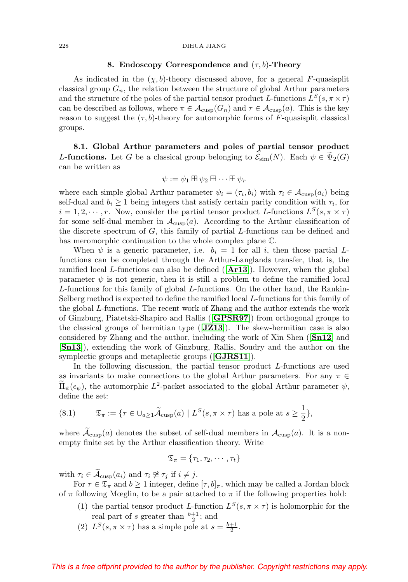#### 228 DIHUA JIANG

#### **8. Endoscopy Correspondence and** (τ,b)**-Theory**

As indicated in the  $(\chi, b)$ -theory discussed above, for a general F-quasisplit classical group  $G_n$ , the relation between the structure of global Arthur parameters and the structure of the poles of the partial tensor product L-functions  $L^S(s, \pi \times \tau)$ can be described as follows, where  $\pi \in \mathcal{A}_{\text{cusp}}(G_n)$  and  $\tau \in \mathcal{A}_{\text{cusp}}(a)$ . This is the key reason to suggest the  $(\tau, b)$ -theory for automorphic forms of F-quasisplit classical groups.

**8.1. Global Arthur parameters and poles of partial tensor product** L-functions. Let G be a classical group belonging to  $\mathcal{E}_{sim}(N)$ . Each  $\psi \in \Psi_2(G)$ can be written as

$$
\psi := \psi_1 \boxplus \psi_2 \boxplus \cdots \boxplus \psi_r
$$

where each simple global Arthur parameter  $\psi_i = (\tau_i, b_i)$  with  $\tau_i \in \mathcal{A}_{\text{cusp}}(a_i)$  being self-dual and  $b_i \geq 1$  being integers that satisfy certain parity condition with  $\tau_i$ , for  $i = 1, 2, \dots, r$ . Now, consider the partial tensor product L-functions  $L^{S}(s, \pi \times \tau)$ for some self-dual member in  $A_{\text{cusp}}(a)$ . According to the Arthur classification of the discrete spectrum of  $G$ , this family of partial  $L$ -functions can be defined and has meromorphic continuation to the whole complex plane C.

When  $\psi$  is a generic parameter, i.e.  $b_i = 1$  for all i, then those partial Lfunctions can be completed through the Arthur-Langlands transfer, that is, the ramified local L-functions can also be defined ([**[Ar13](#page-55-1)**]). However, when the global parameter  $\psi$  is not generic, then it is still a problem to define the ramified local L-functions for this family of global L-functions. On the other hand, the Rankin-Selberg method is expected to define the ramified local L-functions for this family of the global L-functions. The recent work of Zhang and the author extends the work of Ginzburg, Piatetski-Shapiro and Rallis ([**[GPSR97](#page-57-14)**]) from orthogonal groups to the classical groups of hermitian type ([**[JZ13](#page-59-5)**]). The skew-hermitian case is also considered by Zhang and the author, including the work of Xin Shen ([**[Sn12](#page-62-5)**] and [**[Sn13](#page-62-6)**]), extending the work of Ginzburg, Rallis, Soudry and the author on the symplectic groups and metaplectic groups ([**[GJRS11](#page-57-15)**]).

In the following discussion, the partial tensor product L-functions are used as invariants to make connections to the global Arthur parameters. For any  $\pi \in$  $\tilde{\Pi}_{\psi}(\epsilon_{\psi})$ , the automorphic  $L^2$ -packet associated to the global Arthur parameter  $\psi$ , define the set:

(8.1) 
$$
\mathfrak{T}_{\pi} := \{ \tau \in \cup_{a \ge 1} \widetilde{\mathcal{A}}_{\text{cusp}}(a) \mid L^{S}(s, \pi \times \tau) \text{ has a pole at } s \ge \frac{1}{2} \},
$$

where  $\mathcal{A}_{\text{cusp}}(a)$  denotes the subset of self-dual members in  $\mathcal{A}_{\text{cusp}}(a)$ . It is a nonempty finite set by the Arthur classification theory. Write

$$
\mathfrak{T}_{\pi} = \{\tau_1, \tau_2, \cdots, \tau_t\}
$$

with  $\tau_i \in \widetilde{\mathcal{A}}_{\text{cusp}}(a_i)$  and  $\tau_i \not\cong \tau_j$  if  $i \neq j$ .<br>For  $\tau \in \mathcal{F}$  and  $k > 1$  integer defined

For  $\tau \in \mathfrak{T}_{\pi}$  and  $b \geq 1$  integer, define  $[\tau, b]_{\pi}$ , which may be called a Jordan block of  $\pi$  following Mœglin, to be a pair attached to  $\pi$  if the following properties hold:

- (1) the partial tensor product L-function  $L^{S}(s, \pi \times \tau)$  is holomorphic for the real part of s greater than  $\frac{b+1}{2}$ ; and
- (2)  $L^S(s, \pi \times \tau)$  has a simple pole at  $s = \frac{b+1}{2}$ .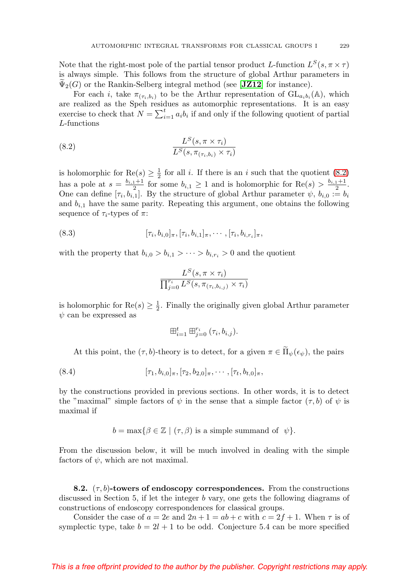Note that the right-most pole of the partial tensor product L-function  $L^S(s, \pi \times \tau)$ is always simple. This follows from the structure of global Arthur parameters in  $\Psi_2(G)$  or the Rankin-Selberg integral method (see [**[JZ12](#page-59-0)**] for instance).

For each i, take  $\pi_{(\tau_i,b_i)}$  to be the Arthur representation of  $GL_{a_ib_i}(\mathbb{A})$ , which are realized as the Speh residues as automorphic representations. It is an easy exercise to check that  $N = \sum_{i=1}^{t} a_i b_i$  if and only if the following quotient of partial L-functions

<span id="page-50-0"></span>(8.2) 
$$
\frac{L^S(s, \pi \times \tau_i)}{L^S(s, \pi_{(\tau_i, b_i)} \times \tau_i)}
$$

is holomorphic for  $\text{Re}(s) \geq \frac{1}{2}$  for all *i*. If there is an *i* such that the quotient [\(8.2\)](#page-50-0) has a pole at  $s = \frac{b_{i,1}+1}{2}$  for some  $b_{i,1} \geq 1$  and is holomorphic for  $\text{Re}(s) > \frac{b_{i,1}+1}{2}$ . One can define  $[\tau_i, b_{i,1}]$ . By the structure of global Arthur parameter  $\psi, b_{i,0} := b_i$ and  $b_{i,1}$  have the same parity. Repeating this argument, one obtains the following sequence of  $\tau_i$ -types of  $\pi$ :

(8.3) 
$$
[\tau_i, b_{i,0}]_{\pi}, [\tau_i, b_{i,1}]_{\pi}, \cdots, [\tau_i, b_{i,r_i}]_{\pi},
$$

with the property that  $b_{i,0} > b_{i,1} > \cdots > b_{i,r_i} > 0$  and the quotient

$$
\frac{L^S(s, \pi \times \tau_i)}{\prod_{j=0}^{r_i} L^S(s, \pi_{(\tau_i, b_{i,j})} \times \tau_i)}
$$

is holomorphic for  $\text{Re}(s) \geq \frac{1}{2}$ . Finally the originally given global Arthur parameter  $\psi$  can be expressed as

$$
\boxplus_{i=1}^t\boxplus_{j=0}^{r_i}(\tau_i,b_{i,j}).
$$

At this point, the  $(\tau, b)$ -theory is to detect, for a given  $\pi \in \Pi_{\psi}(\epsilon_{\psi})$ , the pairs

(8.4) 
$$
[\tau_1, b_{i,0}]_\pi, [\tau_2, b_{2,0}]_\pi, \cdots, [\tau_t, b_{t,0}]_\pi,
$$

by the constructions provided in previous sections. In other words, it is to detect the "maximal" simple factors of  $\psi$  in the sense that a simple factor  $(\tau, b)$  of  $\psi$  is maximal if

$$
b = \max\{\beta \in \mathbb{Z} \mid (\tau, \beta) \text{ is a simple summand of } \psi\}.
$$

From the discussion below, it will be much involved in dealing with the simple factors of  $\psi$ , which are not maximal.

**8.2.**  $(\tau, b)$ -towers of endoscopy correspondences. From the constructions discussed in Section 5, if let the integer b vary, one gets the following diagrams of constructions of endoscopy correspondences for classical groups.

Consider the case of  $a = 2e$  and  $2n + 1 = ab + c$  with  $c = 2f + 1$ . When  $\tau$  is of symplectic type, take  $b = 2l + 1$  to be odd. Conjecture 5.4 can be more specified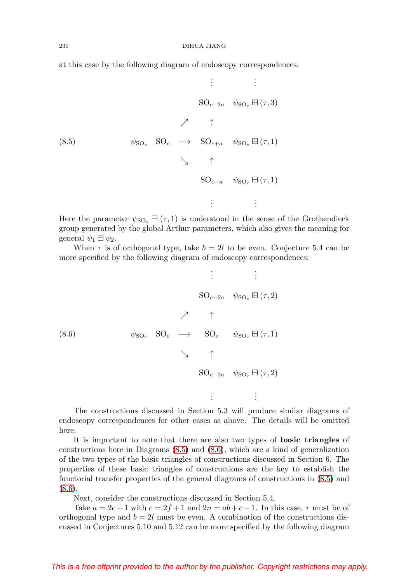at this case by the following diagram of endoscopy correspondences:

<span id="page-51-0"></span>
$$
\begin{array}{cccc}\n & \vdots & \vdots \\
 & \text{SO}_{c+3a} & \psi_{\text{SO}_c} \boxplus (\tau,3) \\
 & \nearrow & \uparrow \\
 & \nearrow & \uparrow \\
 & \searrow & \uparrow \\
 & \searrow & \searrow & \searrow \\
 & \searrow & \uparrow \\
 & \text{SO}_{c-a} & \psi_{\text{SO}_c} \boxplus (\tau,1) \\
 & \vdots & \vdots\n\end{array}
$$

Here the parameter  $\psi_{\text{SO}_c} \boxminus (\tau,1)$  is understood in the sense of the Grothendieck group generated by the global Arthur parameters, which also gives the meaning for general  $\psi_1 \boxplus \psi_2$ .

When  $\tau$  is of orthogonal type, take  $b = 2l$  to be even. Conjecture 5.4 can be more specified by the following diagram of endoscopy correspondences:

<span id="page-51-1"></span>
$$
\begin{array}{cccc}\n & \vdots & \vdots & \vdots \\
 & \text{SO}_{c+2a} & \psi_{\text{SO}_c} \boxplus (\tau, 2) \\
 & \nearrow & \uparrow \\
 & \nearrow & \uparrow \\
 & \searrow & \uparrow \\
 & \searrow & \uparrow \\
 & \searrow & \uparrow \\
 & \text{SO}_{c-2a} & \psi_{\text{SO}_c} \boxplus (\tau, 1) \\
 & \vdots & \vdots\n\end{array}
$$

The constructions discussed in Section 5.3 will produce similar diagrams of endoscopy correspondences for other cases as above. The details will be omitted here.

It is important to note that there are also two types of **basic triangles** of constructions here in Diagrams [\(8.5\)](#page-51-0) and [\(8.6\)](#page-51-1), which are a kind of generalization of the two types of the basic triangles of constructions discussed in Section 6. The properties of these basic triangles of constructions are the key to establish the functorial transfer properties of the general diagrams of constructions in [\(8.5\)](#page-51-0) and  $(8.6).$  $(8.6).$ 

Next, consider the constructions discussed in Section 5.4.

Take  $a = 2e + 1$  with  $c = 2f + 1$  and  $2n = ab + c - 1$ . In this case,  $\tau$  must be of orthogonal type and  $b = 2l$  must be even. A combination of the constructions discussed in Conjectures 5.10 and 5.12 can be more specified by the following diagram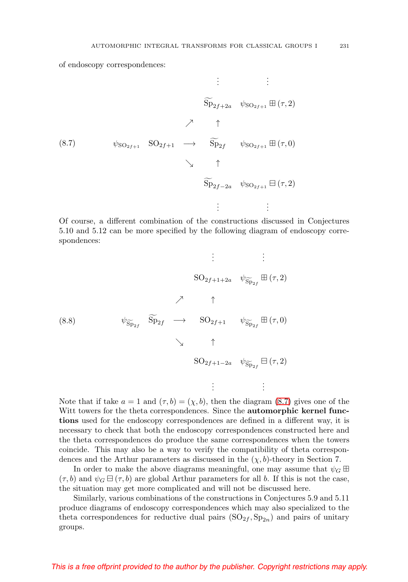of endoscopy correspondences:

<span id="page-52-0"></span>
$$
\begin{array}{cccc}\n & \vdots & \vdots & \vdots \\
 & \widetilde{\mathrm{Sp}}_{2f+2a} & \psi_{\mathrm{SO}_{2f+1}} \boxplus (\tau,2) \\
 & \nearrow & \uparrow \\
 & \searrow & \uparrow \\
 & \searrow & \widetilde{\mathrm{Sp}}_{2f} & \psi_{\mathrm{SO}_{2f+1}} \boxplus (\tau,0) \\
 & \searrow & \uparrow \\
 & \widetilde{\mathrm{Sp}}_{2f-2a} & \psi_{\mathrm{SO}_{2f+1}} \boxminus (\tau,2) \\
 & \vdots & \vdots\n\end{array}
$$

Of course, a different combination of the constructions discussed in Conjectures 5.10 and 5.12 can be more specified by the following diagram of endoscopy correspondences:

$$
\begin{array}{cccc}\n & \vdots & \vdots & \vdots \\
 & \text{SO}_{2f+1+2a} & \psi_{\widetilde{\text{Sp}}_{2f}} \boxplus (\tau,2) \\
 & \nearrow & \uparrow \\
 & \nearrow & \uparrow \\
 & \searrow & \uparrow \\
 & \searrow & \uparrow \\
 & \searrow & \uparrow \\
 & \text{SO}_{2f+1-2a} & \psi_{\widetilde{\text{Sp}}_{2f}} \boxplus (\tau,2) \\
 & \vdots & \vdots\n\end{array}
$$

Note that if take  $a = 1$  and  $(\tau, b) = (\chi, b)$ , then the diagram [\(8.7\)](#page-52-0) gives one of the Witt towers for the theta correspondences. Since the **automorphic kernel functions** used for the endoscopy correspondences are defined in a different way, it is necessary to check that both the endoscopy correspondences constructed here and the theta correspondences do produce the same correspondences when the towers coincide. This may also be a way to verify the compatibility of theta correspondences and the Arthur parameters as discussed in the  $(\chi, b)$ -theory in Section 7.

In order to make the above diagrams meaningful, one may assume that  $\psi_G \boxplus$  $(\tau, b)$  and  $\psi_G \boxminus (\tau, b)$  are global Arthur parameters for all b. If this is not the case, the situation may get more complicated and will not be discussed here.

Similarly, various combinations of the constructions in Conjectures 5.9 and 5.11 produce diagrams of endoscopy correspondences which may also specialized to the theta correspondences for reductive dual pairs  $(SO_{2f}, Sp_{2n})$  and pairs of unitary groups.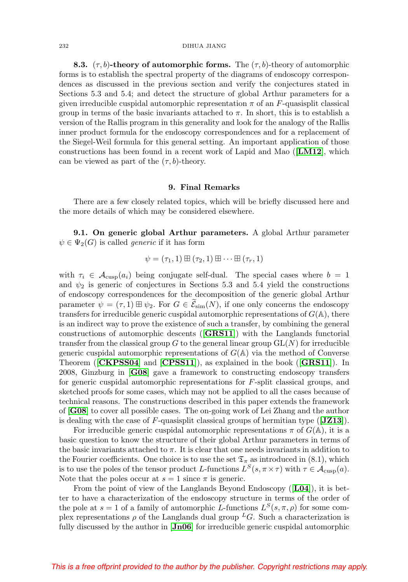**8.3.** ( $\tau$ , b)-theory of automorphic forms. The ( $\tau$ , b)-theory of automorphic forms is to establish the spectral property of the diagrams of endoscopy correspondences as discussed in the previous section and verify the conjectures stated in Sections 5.3 and 5.4; and detect the structure of global Arthur parameters for a given irreducible cuspidal automorphic representation  $\pi$  of an F-quasisplit classical group in terms of the basic invariants attached to  $\pi$ . In short, this is to establish a version of the Rallis program in this generality and look for the analogy of the Rallis inner product formula for the endoscopy correspondences and for a replacement of the Siegel-Weil formula for this general setting. An important application of those constructions has been found in a recent work of Lapid and Mao ([**[LM12](#page-61-17)**], which can be viewed as part of the  $(\tau, b)$ -theory.

### **9. Final Remarks**

There are a few closely related topics, which will be briefly discussed here and the more details of which may be considered elsewhere.

**9.1. On generic global Arthur parameters.** A global Arthur parameter  $\psi \in \Psi_2(G)$  is called *generic* if it has form

$$
\psi = (\tau_1, 1) \boxplus (\tau_2, 1) \boxplus \cdots \boxplus (\tau_r, 1)
$$

with  $\tau_i \in \mathcal{A}_{\text{cusp}}(a_i)$  being conjugate self-dual. The special cases where  $b = 1$ and  $\psi_2$  is generic of conjectures in Sections 5.3 and 5.4 yield the constructions of endoscopy correspondences for the decomposition of the generic global Arthur parameter  $\psi = (\tau, 1) \boxplus \psi_2$ . For  $G \in \mathcal{E}_{sim}(N)$ , if one only concerns the endoscopy parameter  $\varphi = (t, t) \sqcup \varphi_2$ . For  $\varphi \in \mathcal{C}_{\text{sim}}(t)$ , if one only concerns the endoscopy transfers for irreducible generic cuspidal automorphic representations of  $G(\mathbb{A})$ , there is an indirect way to prove the existence of such a transfer, by combining the general constructions of automorphic descents ([**[GRS11](#page-57-1)**]) with the Langlands functorial transfer from the classical group  $G$  to the general linear group  $GL(N)$  for irreducible generic cuspidal automorphic representations of  $G(\mathbb{A})$  via the method of Converse Theorem ([**[CKPSS04](#page-55-3)**] and [**[CPSS11](#page-55-4)**]), as explained in the book ([**[GRS11](#page-57-1)**]). In 2008, Ginzburg in [**[G08](#page-56-3)**] gave a framework to constructing endoscopy transfers for generic cuspidal automorphic representations for F-split classical groups, and sketched proofs for some cases, which may not be applied to all the cases because of technical reasons. The constructions described in this paper extends the framework of [**[G08](#page-56-3)**] to cover all possible cases. The on-going work of Lei Zhang and the author is dealing with the case of F-quasisplit classical groups of hermitian type ([**[JZ13](#page-59-5)**]).

For irreducible generic cuspidal automorphic representations  $\pi$  of  $G(\mathbb{A})$ , it is a basic question to know the structure of their global Arthur parameters in terms of the basic invariants attached to  $\pi$ . It is clear that one needs invariants in addition to the Fourier coefficients. One choice is to use the set  $\mathfrak{T}_{\pi}$  as introduced in (8.1), which is to use the poles of the tensor product L-functions  $L^S(s, \pi \times \tau)$  with  $\tau \in \mathcal{A}_{\text{cusp}}(a)$ . Note that the poles occur at  $s = 1$  since  $\pi$  is generic.

From the point of view of the Langlands Beyond Endoscopy ([**[L04](#page-60-9)**]), it is better to have a characterization of the endoscopy structure in terms of the order of the pole at  $s = 1$  of a family of automorphic L-functions  $L^{S}(s, \pi, \rho)$  for some complex representations  $\rho$  of the Langlands dual group <sup>L</sup>G. Such a characterization is fully discussed by the author in [**[Jn06](#page-59-12)**] for irreducible generic cuspidal automorphic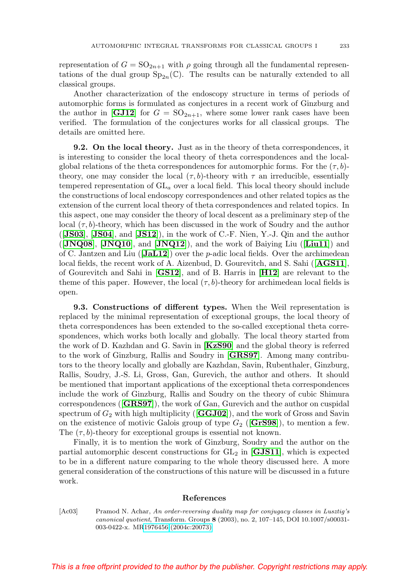representation of  $G = SO_{2n+1}$  with  $\rho$  going through all the fundamental representations of the dual group  $Sp_{2n}(\mathbb{C})$ . The results can be naturally extended to all classical groups.

Another characterization of the endoscopy structure in terms of periods of automorphic forms is formulated as conjectures in a recent work of Ginzburg and the author in  $\begin{bmatrix} \textbf{GJ12} \end{bmatrix}$  $\begin{bmatrix} \textbf{GJ12} \end{bmatrix}$  $\begin{bmatrix} \textbf{GJ12} \end{bmatrix}$  for  $G = SO_{2n+1}$ , where some lower rank cases have been verified. The formulation of the conjectures works for all classical groups. The details are omitted here.

**9.2. On the local theory.** Just as in the theory of theta correspondences, it is interesting to consider the local theory of theta correspondences and the localglobal relations of the theta correspondences for automorphic forms. For the  $(\tau, b)$ theory, one may consider the local  $(\tau, b)$ -theory with  $\tau$  an irreducible, essentially tempered representation of  $GL_a$  over a local field. This local theory should include the constructions of local endoscopy correspondences and other related topics as the extension of the current local theory of theta correspondences and related topics. In this aspect, one may consider the theory of local descent as a preliminary step of the local  $(\tau, b)$ -theory, which has been discussed in the work of Soudry and the author ([**[JS03](#page-59-13)**], [**[JS04](#page-59-14)**], and [**[JS12](#page-59-15)**]), in the work of C.-F. Nien, Y.-J. Qin and the author ([**[JNQ08](#page-59-16)**], [**[JNQ10](#page-59-17)**], and [**[JNQ12](#page-59-18)**]), and the work of Baiying Liu ([**[Liu11](#page-61-18)**]) and of C. Jantzen and Liu ([**[JaL12](#page-59-19)**]) over the p-adic local fields. Over the archimedean local fields, the recent work of A. Aizenbud, D. Gourevitch, and S. Sahi ([**[AGS11](#page-55-14)**], of Gourevitch and Sahi in [**[GS12](#page-57-7)**], and of B. Harris in [**[H12](#page-57-8)**] are relevant to the theme of this paper. However, the local  $(\tau, b)$ -theory for archimedean local fields is open.

**9.3. Constructions of different types.** When the Weil representation is replaced by the minimal representation of exceptional groups, the local theory of theta correspondences has been extended to the so-called exceptional theta correspondences, which works both locally and globally. The local theory started from the work of D. Kazhdan and G. Savin in [**[KzS90](#page-59-3)**] and the global theory is referred to the work of Ginzburg, Rallis and Soudry in [**[GRS97](#page-57-0)**]. Among many contributors to the theory locally and globally are Kazhdan, Savin, Rubenthaler, Ginzburg, Rallis, Soudry, J.-S. Li, Gross, Gan, Gurevich, the author and others. It should be mentioned that important applications of the exceptional theta correspondences include the work of Ginzburg, Rallis and Soudry on the theory of cubic Shimura correspondences ([**[GRS97](#page-57-0)**]), the work of Gan, Gurevich and the author on cuspidal spectrum of  $G_2$  with high multiplicity ( $[\mathbf{GGJ02}]$  $[\mathbf{GGJ02}]$  $[\mathbf{GGJ02}]$ ), and the work of Gross and Savin on the existence of motivic Galois group of type  $G_2$  ([**[GrS98](#page-57-16)**]), to mention a few. The  $(\tau, b)$ -theory for exceptional groups is essential not known.

Finally, it is to mention the work of Ginzburg, Soudry and the author on the partial automorphic descent constructions for  $GL_2$  in  $[\mathbf{GJS11}]$  $[\mathbf{GJS11}]$  $[\mathbf{GJS11}]$ , which is expected to be in a different nature comparing to the whole theory discussed here. A more general consideration of the constructions of this nature will be discussed in a future work.

#### **References**

<span id="page-54-0"></span>[Ac03] Pramod N. Achar, An order-reversing duality map for conjugacy classes in Lusztig's canonical quotient, Transform. Groups **8** (2003), no. 2, 107–145, DOI 10.1007/s00031- 003-0422-x. M[R1976456 \(2004c:20073\)](http://www.ams.org/mathscinet-getitem?mr=1976456)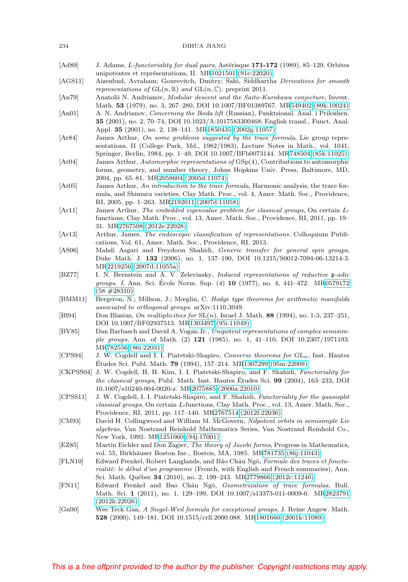#### 234 DIHUA JIANG

- <span id="page-55-21"></span>[Ad89] J. Adams, L-functoriality for dual pairs, Astérisque 171-172 (1989), 85–129. Orbites unipotentes et représentations, II. M[R1021501 \(91e:22020\)](http://www.ams.org/mathscinet-getitem?mr=1021501)
- <span id="page-55-14"></span>[AGS11] Aizenbud, Avraham; Gourevitch, Dmitry; Sahi, Siddhartha Derivatives for smooth representations of  $GL(n, \mathbb{R})$  and  $GL(n, \mathbb{C})$ . preprint 2011.
- <span id="page-55-15"></span>[An79] Anatolii N. Andrianov, Modular descent and the Saito-Kurokawa conjecture, Invent. Math. **53** (1979), no. 3, 267–280, DOI 10.1007/BF01389767. M[R549402 \(80k:10024\)](http://www.ams.org/mathscinet-getitem?mr=549402)
- <span id="page-55-16"></span>[An01] A. N. Andrianov, Concerning the Ikeda lift (Russian), Funktsional. Anal. i Prilozhen. **35** (2001), no. 2, 70–74, DOI 10.1023/A:1017583300468; English transl., Funct. Anal. Appl. **35** (2001), no. 2, 138–141. M[R1850435 \(2002g:11057\)](http://www.ams.org/mathscinet-getitem?mr=1850435)
- <span id="page-55-17"></span>[Ar84] James Arthur, On some problems suggested by the trace formula, Lie group representations, II (College Park, Md., 1982/1983), Lecture Notes in Math., vol. 1041, Springer, Berlin, 1984, pp. 1–49, DOI 10.1007/BFb0073144. M[R748504 \(85k:11025\)](http://www.ams.org/mathscinet-getitem?mr=748504)
- <span id="page-55-18"></span>[Ar04] James Arthur, Automorphic representations of GSp(4), Contributions to automorphic forms, geometry, and number theory, Johns Hopkins Univ. Press, Baltimore, MD, 2004, pp. 65–81. M[R2058604 \(2005d:11074\)](http://www.ams.org/mathscinet-getitem?mr=2058604)
- <span id="page-55-9"></span>[Ar05] James Arthur, An introduction to the trace formula, Harmonic analysis, the trace formula, and Shimura varieties, Clay Math. Proc., vol. 4, Amer. Math. Soc., Providence, RI, 2005, pp. 1–263. M[R2192011 \(2007d:11058\)](http://www.ams.org/mathscinet-getitem?mr=2192011)
- <span id="page-55-10"></span>[Ar11] James Arthur, The embedded eigenvalue problem for classical groups, On certain Lfunctions, Clay Math. Proc., vol. 13, Amer. Math. Soc., Providence, RI, 2011, pp. 19– 31. M[R2767508 \(2012e:22028\)](http://www.ams.org/mathscinet-getitem?mr=2767508)
- <span id="page-55-1"></span>[Ar13] Arthur, James. The endoscopic classification of representations. Colloquium Publications, Vol. 61, Amer. Math. Soc., Providence, RI, 2013.
- <span id="page-55-5"></span>[AS06] Mahdi Asgari and Freydoon Shahidi, Generic transfer for general spin groups, Duke Math. J. **132** (2006), no. 1, 137–190, DOI 10.1215/S0012-7094-06-13214-3. M[R2219256 \(2007d:11055a\)](http://www.ams.org/mathscinet-getitem?mr=2219256)
- <span id="page-55-13"></span>[BZ77] I. N. Bernstein and A. V. Zelevinsky, Induced representations of reductive p-adic groups. I, Ann. Sci. École Norm. Sup. (4) **10** (1977), no. 4, 441–472. M[R0579172](http://www.ams.org/mathscinet-getitem?mr=0579172) [\(58 #28310\)](http://www.ams.org/mathscinet-getitem?mr=0579172)
- <span id="page-55-20"></span>[BMM11] Bergeron, N.; Millson, J.; Mœglin, C. Hodge type theorems for arithmetic manifolds associated to orthogonal groups. arXiv:1110.3049.
- <span id="page-55-0"></span>[Bl94] Don Blasius, On multiplicities for SL(n), Israel J. Math. **88** (1994), no. 1-3, 237–251, DOI 10.1007/BF02937513. M[R1303497 \(95i:11049\)](http://www.ams.org/mathscinet-getitem?mr=1303497)
- <span id="page-55-12"></span>[BV85] Dan Barbasch and David A. Vogan Jr., Unipotent representations of complex semisimple groups, Ann. of Math. (2) **121** (1985), no. 1, 41–110, DOI 10.2307/1971193. M[R782556 \(86i:22031\)](http://www.ams.org/mathscinet-getitem?mr=782556)
- <span id="page-55-2"></span>[CPS94] J. W. Cogdell and I. I. Piatetski-Shapiro, Converse theorems for  $GL_n$ , Inst. Hautes Études Sci. Publ. Math. **79** (1994), 157–214. M[R1307299 \(95m:22009\)](http://www.ams.org/mathscinet-getitem?mr=1307299)
- <span id="page-55-3"></span>[CKPSS04] J. W. Cogdell, H. H. Kim, I. I. Piatetski-Shapiro, and F. Shahidi, Functoriality for the classical groups, Publ. Math. Inst. Hautes Etudes Sci. ´ **99** (2004), 163–233, DOI 10.1007/s10240-004-0020-z. M[R2075885 \(2006a:22010\)](http://www.ams.org/mathscinet-getitem?mr=2075885)
- <span id="page-55-4"></span>[CPSS11] J. W. Cogdell, I. I. Piatetski-Shapiro, and F. Shahidi, Functoriality for the quasisplit classical groups, On certain L-functions, Clay Math. Proc., vol. 13, Amer. Math. Soc., Providence, RI, 2011, pp. 117–140. M[R2767514 \(2012f:22036\)](http://www.ams.org/mathscinet-getitem?mr=2767514)
- <span id="page-55-11"></span>[CM93] David H. Collingwood and William M. McGovern, Nilpotent orbits in semisimple Lie algebras, Van Nostrand Reinhold Mathematics Series, Van Nostrand Reinhold Co., New York, 1993. M[R1251060 \(94j:17001\)](http://www.ams.org/mathscinet-getitem?mr=1251060)
- <span id="page-55-8"></span>[EZ85] Martin Eichler and Don Zagier, The theory of Jacobi forms, Progress in Mathematics, vol. 55, Birkhäuser Boston Inc., Boston, MA, 1985. M[R781735 \(86j:11043\)](http://www.ams.org/mathscinet-getitem?mr=781735)
- <span id="page-55-6"></span>[FLN10] Edward Frenkel, Robert Langlands, and Báo Châu Ngô, Formule des traces et foncto $rialité: le début d'un programme (French, with English and French summaries), Ann.$ Sci. Math. Québec 34 (2010), no. 2, 199-243. M[R2779866 \(2012c:11240\)](http://www.ams.org/mathscinet-getitem?mr=2779866)
- <span id="page-55-7"></span>[FN11] Edward Frenkel and Bao Châu Ngô, Geometrization of trace formulas, Bull. Math. Sci. **1** (2011), no. 1, 129–199, DOI 10.1007/s13373-011-0009-0. M[R2823791](http://www.ams.org/mathscinet-getitem?mr=2823791) [\(2012k:22026\)](http://www.ams.org/mathscinet-getitem?mr=2823791)
- <span id="page-55-19"></span>[Gn00] Wee Teck Gan, A Siegel-Weil formula for exceptional groups, J. Reine Angew. Math. **528** (2000), 149–181, DOI 10.1515/crll.2000.088. M[R1801660 \(2001k:11089\)](http://www.ams.org/mathscinet-getitem?mr=1801660)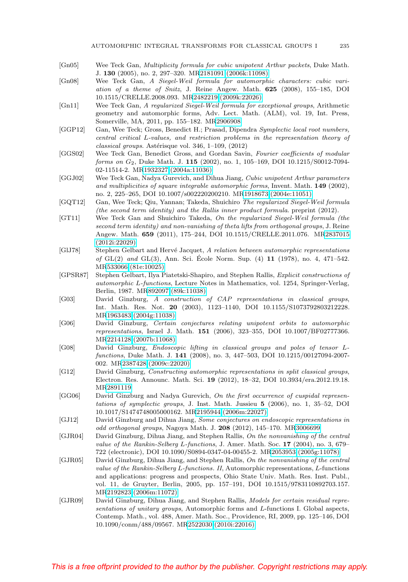- <span id="page-56-1"></span>[Gn05] Wee Teck Gan, Multiplicity formula for cubic unipotent Arthur packets, Duke Math. J. **130** (2005), no. 2, 297–320. M[R2181091 \(2006k:11098\)](http://www.ams.org/mathscinet-getitem?mr=2181091)
- <span id="page-56-15"></span>[Gn08] Wee Teck Gan, A Siegel-Weil formula for automorphic characters: cubic variation of a theme of Snitz, J. Reine Angew. Math. **625** (2008), 155–185, DOI 10.1515/CRELLE.2008.093. M[R2482219 \(2009k:22026\)](http://www.ams.org/mathscinet-getitem?mr=2482219)
- <span id="page-56-16"></span>[Gn11] Wee Teck Gan, A regularized Siegel-Weil formula for exceptional groups, Arithmetic geometry and automorphic forms, Adv. Lect. Math. (ALM), vol. 19, Int. Press, Somerville, MA, 2011, pp. 155–182. M[R2906908](http://www.ams.org/mathscinet-getitem?mr=2906908)
- <span id="page-56-6"></span>[GGP12] Gan, Wee Teck; Gross, Benedict H.; Prasad, Dipendra Symplectic local root numbers, central critical L-values, and restriction problems in the representation theory of  $classical\ qrows$ . Astérisque vol. 346, 1–109, (2012)
- <span id="page-56-12"></span>[GGS02] Wee Teck Gan, Benedict Gross, and Gordan Savin, Fourier coefficients of modular forms on G2, Duke Math. J. **115** (2002), no. 1, 105–169, DOI 10.1215/S0012-7094- 02-11514-2. M[R1932327 \(2004a:11036\)](http://www.ams.org/mathscinet-getitem?mr=1932327)
- <span id="page-56-0"></span>[GGJ02] Wee Teck Gan, Nadya Gurevich, and Dihua Jiang, Cubic unipotent Arthur parameters and multiplicities of square integrable automorphic forms, Invent. Math. **149** (2002), no. 2, 225–265, DOI 10.1007/s002220200210. M[R1918673 \(2004e:11051\)](http://www.ams.org/mathscinet-getitem?mr=1918673)
- <span id="page-56-14"></span>[GQT12] Gan, Wee Teck; Qiu, Yannan; Takeda, Shuichiro The regularized Siegel-Weil formula (the second term identity) and the Rallis inner product formula. preprint (2012).
- <span id="page-56-13"></span>[GT11] Wee Teck Gan and Shuichiro Takeda, On the regularized Siegel-Weil formula (the second term identity) and non-vanishing of theta lifts from orthogonal groups, J. Reine Angew. Math. **659** (2011), 175–244, DOI 10.1515/CRELLE.2011.076. M[R2837015](http://www.ams.org/mathscinet-getitem?mr=2837015) [\(2012i:22029\)](http://www.ams.org/mathscinet-getitem?mr=2837015)
- <span id="page-56-2"></span>[GlJ78] Stephen Gelbart and Hervé Jacquet, A relation between automorphic representations of GL(2) and GL(3), Ann. Sci. Ecole Norm. Sup. (4) ´ **11** (1978), no. 4, 471–542. M[R533066 \(81e:10025\)](http://www.ams.org/mathscinet-getitem?mr=533066)
- <span id="page-56-5"></span>[GPSR87] Stephen Gelbart, Ilya Piatetski-Shapiro, and Stephen Rallis, Explicit constructions of automorphic L-functions, Lecture Notes in Mathematics, vol. 1254, Springer-Verlag, Berlin, 1987. M[R892097 \(89k:11038\)](http://www.ams.org/mathscinet-getitem?mr=892097)
- <span id="page-56-8"></span>[G03] David Ginzburg, A construction of CAP representations in classical groups, Int. Math. Res. Not. **20** (2003), 1123–1140, DOI 10.1155/S1073792803212228. M[R1963483 \(2004g:11038\)](http://www.ams.org/mathscinet-getitem?mr=1963483)
- <span id="page-56-7"></span>[G06] David Ginzburg, Certain conjectures relating unipotent orbits to automorphic representations, Israel J. Math. **151** (2006), 323–355, DOI 10.1007/BF02777366. M[R2214128 \(2007b:11068\)](http://www.ams.org/mathscinet-getitem?mr=2214128)
- <span id="page-56-3"></span>[G08] David Ginzburg, Endoscopic lifting in classical groups and poles of tensor Lfunctions, Duke Math. J. **141** (2008), no. 3, 447–503, DOI 10.1215/00127094-2007- 002. M[R2387428 \(2009c:22020\)](http://www.ams.org/mathscinet-getitem?mr=2387428)
- <span id="page-56-4"></span>[G12] David Ginzburg, Constructing automorphic representations in split classical groups, Electron. Res. Announc. Math. Sci. **19** (2012), 18–32, DOI 10.3934/era.2012.19.18. M[R2891119](http://www.ams.org/mathscinet-getitem?mr=2891119)
- <span id="page-56-17"></span>[GG06] David Ginzburg and Nadya Gurevich, On the first occurrence of cuspidal representations of symplectic groups, J. Inst. Math. Jussieu **5** (2006), no. 1, 35–52, DOI 10.1017/S1474748005000162. M[R2195944 \(2006m:22027\)](http://www.ams.org/mathscinet-getitem?mr=2195944)
- <span id="page-56-18"></span>[GJ12] David Ginzburg and Dihua Jiang, Some conjectures on endoscopic representations in odd orthogonal groups, Nagoya Math. J. **208** (2012), 145–170. M[R3006699](http://www.ams.org/mathscinet-getitem?mr=3006699)
- <span id="page-56-9"></span>[GJR04] David Ginzburg, Dihua Jiang, and Stephen Rallis, On the nonvanishing of the central value of the Rankin-Selberg L-functions, J. Amer. Math. Soc. **17** (2004), no. 3, 679– 722 (electronic), DOI 10.1090/S0894-0347-04-00455-2. M[R2053953 \(2005g:11078\)](http://www.ams.org/mathscinet-getitem?mr=2053953)
- <span id="page-56-10"></span>[GJR05] David Ginzburg, Dihua Jiang, and Stephen Rallis, On the nonvanishing of the central value of the Rankin-Selberg L-functions. II, Automorphic representations, L-functions and applications: progress and prospects, Ohio State Univ. Math. Res. Inst. Publ., vol. 11, de Gruyter, Berlin, 2005, pp. 157–191, DOI 10.1515/9783110892703.157. M[R2192823 \(2006m:11072\)](http://www.ams.org/mathscinet-getitem?mr=2192823)
- <span id="page-56-11"></span>[GJR09] David Ginzburg, Dihua Jiang, and Stephen Rallis, Models for certain residual representations of unitary groups, Automorphic forms and L-functions I. Global aspects, Contemp. Math., vol. 488, Amer. Math. Soc., Providence, RI, 2009, pp. 125–146, DOI 10.1090/conm/488/09567. M[R2522030 \(2010i:22016\)](http://www.ams.org/mathscinet-getitem?mr=2522030)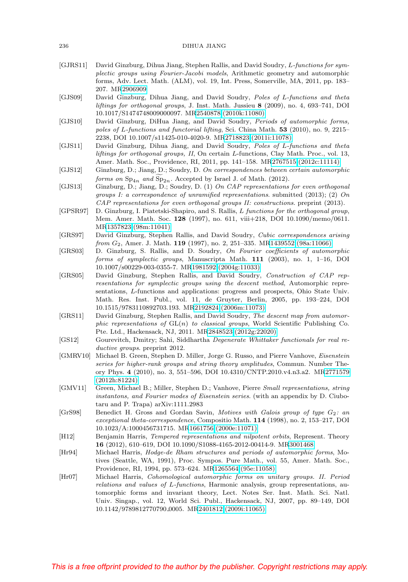#### 236 DIHUA JIANG

- <span id="page-57-15"></span>[GJRS11] David Ginzburg, Dihua Jiang, Stephen Rallis, and David Soudry, L-functions for symplectic groups using Fourier-Jacobi models, Arithmetic geometry and automorphic forms, Adv. Lect. Math. (ALM), vol. 19, Int. Press, Somerville, MA, 2011, pp. 183– 207. M[R2906909](http://www.ams.org/mathscinet-getitem?mr=2906909)
- <span id="page-57-13"></span>[GJS09] David Ginzburg, Dihua Jiang, and David Soudry, Poles of L-functions and theta liftings for orthogonal groups, J. Inst. Math. Jussieu **8** (2009), no. 4, 693–741, DOI 10.1017/S1474748009000097. M[R2540878 \(2010k:11080\)](http://www.ams.org/mathscinet-getitem?mr=2540878)
- [GJS10] David Ginzburg, DiHua Jiang, and David Soudry, Periods of automorphic forms, poles of L-functions and functorial lifting, Sci. China Math. **53** (2010), no. 9, 2215– 2238, DOI 10.1007/s11425-010-4020-9. M[R2718823 \(2011i:11078\)](http://www.ams.org/mathscinet-getitem?mr=2718823)
- <span id="page-57-9"></span>[GJS11] David Ginzburg, Dihua Jiang, and David Soudry, Poles of L-functions and theta liftings for orthogonal groups, II, On certain L-functions, Clay Math. Proc., vol. 13, Amer. Math. Soc., Providence, RI, 2011, pp. 141–158. M[R2767515 \(2012c:11114\)](http://www.ams.org/mathscinet-getitem?mr=2767515) David Ginzburg, Dihua Jiang, and David Soudry, *Poles of L-*<br> *liftings for orthogonal groups, II*, On certain *L*-functions, Clay *N*<br>
Amer. Math. Soc., Providence, RI, 2011, pp. 141–158. MR27675<br>
Ginzburg, D.; Jiang, D.
- <span id="page-57-2"></span>[GJS12] Ginzburg, D.; Jiang, D.; Soudry, D. On correspondences between certain automorphic
- <span id="page-57-3"></span>[GJS13] Ginzburg, D.; Jiang, D.; Soudry, D. (1) On CAP representations for even orthogonal groups I: a correspondence of unramified representations. submitted (2013); (2) On CAP representations for even orthogonal groups II: constructions. preprint (2013).
- <span id="page-57-14"></span>[GPSR97] D. Ginzburg, I. Piatetski-Shapiro, and S. Rallis, L functions for the orthogonal group, Mem. Amer. Math. Soc. **128** (1997), no. 611, viii+218, DOI 10.1090/memo/0611. M[R1357823 \(98m:11041\)](http://www.ams.org/mathscinet-getitem?mr=1357823)
- <span id="page-57-0"></span>[GRS97] David Ginzburg, Stephen Rallis, and David Soudry, Cubic correspondences arising from G2, Amer. J. Math. **119** (1997), no. 2, 251–335. M[R1439552 \(98a:11066\)](http://www.ams.org/mathscinet-getitem?mr=1439552)
- <span id="page-57-4"></span>[GRS03] D. Ginzburg, S. Rallis, and D. Soudry, On Fourier coefficients of automorphic forms of symplectic groups, Manuscripta Math. **111** (2003), no. 1, 1–16, DOI 10.1007/s00229-003-0355-7. M[R1981592 \(2004g:11033\)](http://www.ams.org/mathscinet-getitem?mr=1981592)
- <span id="page-57-10"></span>[GRS05] David Ginzburg, Stephen Rallis, and David Soudry, Construction of CAP representations for symplectic groups using the descent method, Automorphic representations, L-functions and applications: progress and prospects, Ohio State Univ. Math. Res. Inst. Publ., vol. 11, de Gruyter, Berlin, 2005, pp. 193–224, DOI 10.1515/9783110892703.193. M[R2192824 \(2006m:11073\)](http://www.ams.org/mathscinet-getitem?mr=2192824)
- <span id="page-57-1"></span>[GRS11] David Ginzburg, Stephen Rallis, and David Soudry, The descent map from automorphic representations of  $GL(n)$  to classical groups, World Scientific Publishing Co. Pte. Ltd., Hackensack, NJ, 2011. M[R2848523 \(2012g:22020\)](http://www.ams.org/mathscinet-getitem?mr=2848523)
- <span id="page-57-7"></span>[GS12] Gourevitch, Dmitry; Sahi, Siddhartha Degenerate Whittaker functionals for real reductive groups. preprint 2012.
- <span id="page-57-5"></span>[GMRV10] Michael B. Green, Stephen D. Miller, Jorge G. Russo, and Pierre Vanhove, Eisenstein series for higher-rank groups and string theory amplitudes, Commun. Number Theory Phys. **4** (2010), no. 3, 551–596, DOI 10.4310/CNTP.2010.v4.n3.a2. M[R2771579](http://www.ams.org/mathscinet-getitem?mr=2771579) [\(2012h:81224\)](http://www.ams.org/mathscinet-getitem?mr=2771579)
- <span id="page-57-6"></span>[GMV11] Green, Michael B.; Miller, Stephen D.; Vanhove, Pierre Small representations, string instantons, and Fourier modes of Eisenstein series. (with an appendix by D. Ciubotaru and P. Trapa) arXiv:1111.2983
- <span id="page-57-16"></span>[GrS98] Benedict H. Gross and Gordan Savin, Motives with Galois group of type G2: an exceptional theta-correspondence, Compositio Math. **114** (1998), no. 2, 153–217, DOI 10.1023/A:1000456731715. M[R1661756 \(2000e:11071\)](http://www.ams.org/mathscinet-getitem?mr=1661756)
- <span id="page-57-8"></span>[H12] Benjamin Harris, Tempered representations and nilpotent orbits, Represent. Theory **16** (2012), 610–619, DOI 10.1090/S1088-4165-2012-00414-9. M[R3001468](http://www.ams.org/mathscinet-getitem?mr=3001468)
- <span id="page-57-11"></span>[Hr94] Michael Harris, Hodge-de Rham structures and periods of automorphic forms, Motives (Seattle, WA, 1991), Proc. Sympos. Pure Math., vol. 55, Amer. Math. Soc., Providence, RI, 1994, pp. 573–624. M[R1265564 \(95e:11058\)](http://www.ams.org/mathscinet-getitem?mr=1265564)
- <span id="page-57-12"></span>[Hr07] Michael Harris, Cohomological automorphic forms on unitary groups. II. Period relations and values of L-functions, Harmonic analysis, group representations, automorphic forms and invariant theory, Lect. Notes Ser. Inst. Math. Sci. Natl. Univ. Singap., vol. 12, World Sci. Publ., Hackensack, NJ, 2007, pp. 89–149, DOI 10.1142/9789812770790 0005. M[R2401812 \(2009i:11065\)](http://www.ams.org/mathscinet-getitem?mr=2401812)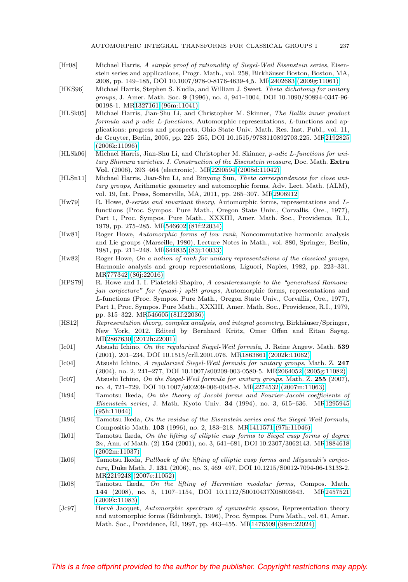- <span id="page-58-16"></span>[Hr08] Michael Harris, A simple proof of rationality of Siegel-Weil Eisenstein series, Eisenstein series and applications, Progr. Math., vol. 258, Birkhäuser Boston, Boston, MA, 2008, pp. 149–185, DOI 10.1007/978-0-8176-4639-4 5. M[R2402683 \(2009g:11061\)](http://www.ams.org/mathscinet-getitem?mr=2402683)
- <span id="page-58-18"></span>[HKS96] Michael Harris, Stephen S. Kudla, and William J. Sweet, Theta dichotomy for unitary groups, J. Amer. Math. Soc. **9** (1996), no. 4, 941–1004, DOI 10.1090/S0894-0347-96- 00198-1. M[R1327161 \(96m:11041\)](http://www.ams.org/mathscinet-getitem?mr=1327161)
- <span id="page-58-14"></span>[HLSk05] Michael Harris, Jian-Shu Li, and Christopher M. Skinner, The Rallis inner product formula and p-adic L-functions, Automorphic representations, L-functions and applications: progress and prospects, Ohio State Univ. Math. Res. Inst. Publ., vol. 11, de Gruyter, Berlin, 2005, pp. 225–255, DOI 10.1515/9783110892703.225. M[R2192825](http://www.ams.org/mathscinet-getitem?mr=2192825) [\(2006k:11096\)](http://www.ams.org/mathscinet-getitem?mr=2192825)
- <span id="page-58-15"></span>[HLSk06] Michael Harris, Jian-Shu Li, and Christopher M. Skinner, p-adic L-functions for unitary Shimura varieties. I. Construction of the Eisenstein measure, Doc. Math. **Extra Vol.** (2006), 393–464 (electronic). M[R2290594 \(2008d:11042\)](http://www.ams.org/mathscinet-getitem?mr=2290594)
- <span id="page-58-17"></span>[HLSn11] Michael Harris, Jian-Shu Li, and Binyong Sun, Theta correspondences for close unitary groups, Arithmetic geometry and automorphic forms, Adv. Lect. Math. (ALM), vol. 19, Int. Press, Somerville, MA, 2011, pp. 265–307. M[R2906912](http://www.ams.org/mathscinet-getitem?mr=2906912)
- <span id="page-58-1"></span>[Hw79] R. Howe, θ-series and invariant theory, Automorphic forms, representations and Lfunctions (Proc. Sympos. Pure Math., Oregon State Univ., Corvallis, Ore., 1977), Part 1, Proc. Sympos. Pure Math., XXXIII, Amer. Math. Soc., Providence, R.I., 1979, pp. 275–285. M[R546602 \(81f:22034\)](http://www.ams.org/mathscinet-getitem?mr=546602)
- <span id="page-58-2"></span>[Hw81] Roger Howe, Automorphic forms of low rank, Noncommutative harmonic analysis and Lie groups (Marseille, 1980), Lecture Notes in Math., vol. 880, Springer, Berlin, 1981, pp. 211–248. M[R644835 \(83j:10033\)](http://www.ams.org/mathscinet-getitem?mr=644835)
- <span id="page-58-3"></span>[Hw82] Roger Howe, On a notion of rank for unitary representations of the classical groups, Harmonic analysis and group representations, Liguori, Naples, 1982, pp. 223–331. M[R777342 \(86j:22016\)](http://www.ams.org/mathscinet-getitem?mr=777342)
- <span id="page-58-9"></span>[HPS79] R. Howe and I. I. Piatetski-Shapiro, A counterexample to the "generalized Ramanujan conjecture" for (quasi-) split groups, Automorphic forms, representations and L-functions (Proc. Sympos. Pure Math., Oregon State Univ., Corvallis, Ore., 1977), Part 1, Proc. Sympos. Pure Math., XXXIII, Amer. Math. Soc., Providence, R.I., 1979, pp. 315–322. M[R546605 \(81f:22036\)](http://www.ams.org/mathscinet-getitem?mr=546605)
- <span id="page-58-5"></span>[HS12] Representation theory, complex analysis, and integral geometry, Birkhäuser/Springer, New York, 2012. Edited by Bernhard Krötz, Omer Offen and Eitan Sayag. M[R2867630 \(2012h:22001\)](http://www.ams.org/mathscinet-getitem?mr=2867630)
- <span id="page-58-11"></span>[Ic01] Atsushi Ichino, On the regularized Siegel-Weil formula, J. Reine Angew. Math. **539** (2001), 201–234, DOI 10.1515/crll.2001.076. M[R1863861 \(2002k:11062\)](http://www.ams.org/mathscinet-getitem?mr=1863861)
- <span id="page-58-12"></span>[Ic04] Atsushi Ichino, A regularized Siegel-Weil formula for unitary groups, Math. Z. **247** (2004), no. 2, 241–277, DOI 10.1007/s00209-003-0580-5. M[R2064052 \(2005g:11082\)](http://www.ams.org/mathscinet-getitem?mr=2064052)
- <span id="page-58-13"></span>[Ic07] Atsushi Ichino, On the Siegel-Weil formula for unitary groups, Math. Z. **255** (2007), no. 4, 721–729, DOI 10.1007/s00209-006-0045-8. M[R2274532 \(2007m:11063\)](http://www.ams.org/mathscinet-getitem?mr=2274532)
- <span id="page-58-4"></span>[Ik94] Tamotsu Ikeda, On the theory of Jacobi forms and Fourier-Jacobi coefficients of Eisenstein series, J. Math. Kyoto Univ. **34** (1994), no. 3, 615–636. M[R1295945](http://www.ams.org/mathscinet-getitem?mr=1295945) [\(95h:11044\)](http://www.ams.org/mathscinet-getitem?mr=1295945)
- <span id="page-58-10"></span>[Ik96] Tamotsu Ikeda, On the residue of the Eisenstein series and the Siegel-Weil formula, Compositio Math. **103** (1996), no. 2, 183–218. M[R1411571 \(97h:11046\)](http://www.ams.org/mathscinet-getitem?mr=1411571)
- <span id="page-58-6"></span>[Ik01] Tamotsu Ikeda, On the lifting of elliptic cusp forms to Siegel cusp forms of degree 2n, Ann. of Math. (2) **154** (2001), no. 3, 641–681, DOI 10.2307/3062143. M[R1884618](http://www.ams.org/mathscinet-getitem?mr=1884618) [\(2002m:11037\)](http://www.ams.org/mathscinet-getitem?mr=1884618)
- <span id="page-58-7"></span>[Ik06] Tamotsu Ikeda, Pullback of the lifting of elliptic cusp forms and Miyawaki's conjecture, Duke Math. J. **131** (2006), no. 3, 469–497, DOI 10.1215/S0012-7094-06-13133-2. M[R2219248 \(2007e:11052\)](http://www.ams.org/mathscinet-getitem?mr=2219248)
- <span id="page-58-8"></span>[Ik08] Tamotsu Ikeda, On the lifting of Hermitian modular forms, Compos. Math. **144** (2008), no. 5, 1107–1154, DOI 10.1112/S0010437X08003643. M[R2457521](http://www.ams.org/mathscinet-getitem?mr=2457521) [\(2009k:11083\)](http://www.ams.org/mathscinet-getitem?mr=2457521)
- <span id="page-58-0"></span>[Jc97] Hervé Jacquet, Automorphic spectrum of symmetric spaces, Representation theory and automorphic forms (Edinburgh, 1996), Proc. Sympos. Pure Math., vol. 61, Amer. Math. Soc., Providence, RI, 1997, pp. 443–455. M[R1476509 \(98m:22024\)](http://www.ams.org/mathscinet-getitem?mr=1476509)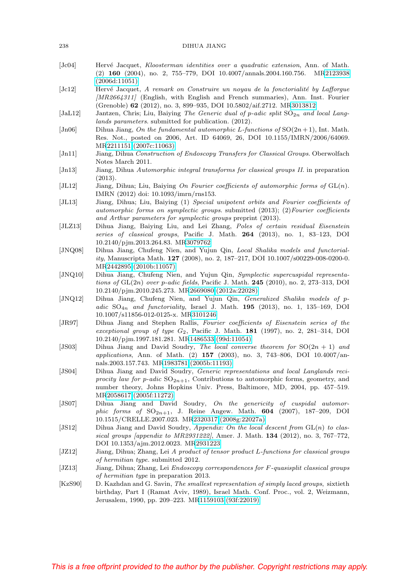#### 238 DIHUA JIANG

- <span id="page-59-1"></span>[Jc04] Hervé Jacquet, Kloosterman identities over a quadratic extension, Ann. of Math. (2) **160** (2004), no. 2, 755–779, DOI 10.4007/annals.2004.160.756. M[R2123938](http://www.ams.org/mathscinet-getitem?mr=2123938) [\(2006d:11051\)](http://www.ams.org/mathscinet-getitem?mr=2123938)
- <span id="page-59-2"></span>[Jc12] Hervé Jacquet, A remark on Construire un noyau de la fonctorialité by Lafforgue [MR2664311] (English, with English and French summaries), Ann. Inst. Fourier (Grenoble) **62** (2012), no. 3, 899–935, DOI 10.5802/aif.2712. M[R3013812](http://www.ams.org/mathscinet-getitem?mr=3013812)
- <span id="page-59-19"></span>[JaL12] Jantzen, Chris; Liu, Baiying The Generic dual of p-adic split  $SO_{2n}$  and local Langlands parameters. submitted for publication. (2012).
- <span id="page-59-12"></span>[Jn06] Dihua Jiang, On the fundamental automorphic L-functions of  $SO(2n+1)$ , Int. Math. Res. Not., posted on 2006, Art. ID 64069, 26, DOI 10.1155/IMRN/2006/64069. M[R2211151 \(2007c:11063\)](http://www.ams.org/mathscinet-getitem?mr=2211151)
- <span id="page-59-6"></span>[Jn11] Jiang, Dihua Construction of Endoscopy Transfers for Classical Groups. Oberwolfach Notes March 2011.
- <span id="page-59-10"></span>[Jn13] Jiang, Dihua Automorphic integral transforms for classical groups II. in preparation (2013).
- <span id="page-59-8"></span>[JL12] Jiang, Dihua; Liu, Baiying On Fourier coefficients of automorphic forms of  $GL(n)$ . IMRN (2012) doi: 10.1093/imrn/rns153.
- <span id="page-59-4"></span>[JL13] Jiang, Dihua; Liu, Baiying (1) Special unipotent orbits and Fourier coefficients of automorphic forms on symplectic groups. submitted (2013); (2)Fourier coefficients and Arthur parameters for symplectic groups preprint (2013).
- <span id="page-59-7"></span>[JLZ13] Dihua Jiang, Baiying Liu, and Lei Zhang, Poles of certain residual Eisenstein series of classical groups, Pacific J. Math. **264** (2013), no. 1, 83–123, DOI 10.2140/pjm.2013.264.83. M[R3079762](http://www.ams.org/mathscinet-getitem?mr=3079762)
- <span id="page-59-16"></span>[JNQ08] Dihua Jiang, Chufeng Nien, and Yujun Qin, Local Shalika models and functoriality, Manuscripta Math. **127** (2008), no. 2, 187–217, DOI 10.1007/s00229-008-0200-0. M[R2442895 \(2010b:11057\)](http://www.ams.org/mathscinet-getitem?mr=2442895)
- <span id="page-59-17"></span>[JNQ10] Dihua Jiang, Chufeng Nien, and Yujun Qin, Symplectic supercuspidal representations of GL(2n) over p-adic fields, Pacific J. Math. **245** (2010), no. 2, 273–313, DOI 10.2140/pjm.2010.245.273. M[R2669080 \(2012a:22028\)](http://www.ams.org/mathscinet-getitem?mr=2669080)
- <span id="page-59-18"></span>[JNQ12] Dihua Jiang, Chufeng Nien, and Yujun Qin, Generalized Shalika models of padic  $SO_{4n}$  and functoriality, Israel J. Math. **195** (2013), no. 1, 135-169, DOI 10.1007/s11856-012-0125-x. M[R3101246](http://www.ams.org/mathscinet-getitem?mr=3101246)
- <span id="page-59-9"></span>[JR97] Dihua Jiang and Stephen Rallis, Fourier coefficients of Eisenstein series of the exceptional group of type G2, Pacific J. Math. **181** (1997), no. 2, 281–314, DOI 10.2140/pjm.1997.181.281. M[R1486533 \(99d:11054\)](http://www.ams.org/mathscinet-getitem?mr=1486533)
- <span id="page-59-13"></span>[JS03] Dihua Jiang and David Soudry, The local converse theorem for  $SO(2n + 1)$  and applications, Ann. of Math. (2) **157** (2003), no. 3, 743–806, DOI 10.4007/annals.2003.157.743. M[R1983781 \(2005b:11193\)](http://www.ams.org/mathscinet-getitem?mr=1983781)
- <span id="page-59-14"></span>[JS04] Dihua Jiang and David Soudry, Generic representations and local Langlands reciprocity law for p-adic  $SO_{2n+1}$ , Contributions to automorphic forms, geometry, and number theory, Johns Hopkins Univ. Press, Baltimore, MD, 2004, pp. 457–519. M[R2058617 \(2005f:11272\)](http://www.ams.org/mathscinet-getitem?mr=2058617)
- <span id="page-59-11"></span>[JS07] Dihua Jiang and David Soudry, On the genericity of cuspidal automor $phic$  forms of  $SO_{2n+1}$ , J. Reine Angew. Math.  $604$  (2007), 187-209, DOI 10.1515/CRELLE.2007.023. M[R2320317 \(2008g:22027a\)](http://www.ams.org/mathscinet-getitem?mr=2320317)
- <span id="page-59-15"></span>[JS12] Dihua Jiang and David Soudry, Appendix: On the local descent from  $GL(n)$  to classical groups [appendix to MR2931222], Amer. J. Math. **134** (2012), no. 3, 767–772, DOI 10.1353/ajm.2012.0023. M[R2931223](http://www.ams.org/mathscinet-getitem?mr=2931223)
- <span id="page-59-0"></span>[JZ12] Jiang, Dihua; Zhang, Lei A product of tensor product L-functions for classical groups of hermitian type. submitted 2012.
- <span id="page-59-5"></span>[JZ13] Jiang, Dihua; Zhang, Lei *Endoscopy correspondences for F-quasisplit classical groups* of hermitian type in preparation 2013.
- <span id="page-59-3"></span>[KzS90] D. Kazhdan and G. Savin, The smallest representation of simply laced groups, sixtieth birthday, Part I (Ramat Aviv, 1989), Israel Math. Conf. Proc., vol. 2, Weizmann, Jerusalem, 1990, pp. 209–223. M[R1159103 \(93f:22019\)](http://www.ams.org/mathscinet-getitem?mr=1159103)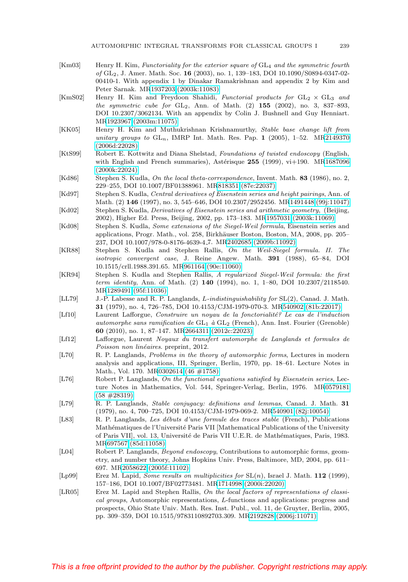- <span id="page-60-8"></span>[Km03] Henry H. Kim, Functoriality for the exterior square of  $GL_4$  and the symmetric fourth of GL2, J. Amer. Math. Soc. **16** (2003), no. 1, 139–183, DOI 10.1090/S0894-0347-02- 00410-1. With appendix 1 by Dinakar Ramakrishnan and appendix 2 by Kim and Peter Sarnak. M[R1937203 \(2003k:11083\)](http://www.ams.org/mathscinet-getitem?mr=1937203)
- <span id="page-60-7"></span>[KmS02] Henry H. Kim and Freydoon Shahidi, Functorial products for  $GL_2 \times GL_3$  and the symmetric cube for GL2, Ann. of Math. (2) **155** (2002), no. 3, 837–893, DOI 10.2307/3062134. With an appendix by Colin J. Bushnell and Guy Henniart. M[R1923967 \(2003m:11075\)](http://www.ams.org/mathscinet-getitem?mr=1923967)
- <span id="page-60-6"></span>[KK05] Henry H. Kim and Muthukrishnan Krishnamurthy, Stable base change lift from unitary groups to  $GL_n$ , IMRP Int. Math. Res. Pap. 1 (2005), 1–52. M[R2149370](http://www.ams.org/mathscinet-getitem?mr=2149370) [\(2006d:22028\)](http://www.ams.org/mathscinet-getitem?mr=2149370)
- <span id="page-60-4"></span>[KtS99] Robert E. Kottwitz and Diana Shelstad, Foundations of twisted endoscopy (English, with English and French summaries), Astérisque 255 (1999), vi+190. M[R1687096](http://www.ams.org/mathscinet-getitem?mr=1687096) [\(2000k:22024\)](http://www.ams.org/mathscinet-getitem?mr=1687096)
- <span id="page-60-19"></span>[Kd86] Stephen S. Kudla, On the local theta-correspondence, Invent. Math. **83** (1986), no. 2, 229–255, DOI 10.1007/BF01388961. M[R818351 \(87e:22037\)](http://www.ams.org/mathscinet-getitem?mr=818351)
- <span id="page-60-13"></span>[Kd97] Stephen S. Kudla, *Central derivatives of Eisenstein series and height pairings*, Ann. of Math. (2) **146** (1997), no. 3, 545–646, DOI 10.2307/2952456. M[R1491448 \(99j:11047\)](http://www.ams.org/mathscinet-getitem?mr=1491448)
- <span id="page-60-17"></span>[Kd02] Stephen S. Kudla, Derivatives of Eisenstein series and arithmetic geometry, (Beijing, 2002), Higher Ed. Press, Beijing, 2002, pp. 173–183. M[R1957031 \(2003k:11069\)](http://www.ams.org/mathscinet-getitem?mr=1957031)
- <span id="page-60-16"></span>[Kd08] Stephen S. Kudla, Some extensions of the Siegel-Weil formula, Eisenstein series and applications, Progr. Math., vol. 258, Birkhäuser Boston, Boston, MA, 2008, pp. 205– 237, DOI 10.1007/978-0-8176-4639-4 7. M[R2402685 \(2009b:11092\)](http://www.ams.org/mathscinet-getitem?mr=2402685)
- <span id="page-60-15"></span>[KR88] Stephen S. Kudla and Stephen Rallis, On the Weil-Siegel formula. II. The isotropic convergent case, J. Reine Angew. Math. **391** (1988), 65–84, DOI 10.1515/crll.1988.391.65. M[R961164 \(90e:11060\)](http://www.ams.org/mathscinet-getitem?mr=961164)
- <span id="page-60-12"></span>[KR94] Stephen S. Kudla and Stephen Rallis, A regularized Siegel-Weil formula: the first term identity, Ann. of Math. (2) **140** (1994), no. 1, 1–80, DOI 10.2307/2118540. M[R1289491 \(95f:11036\)](http://www.ams.org/mathscinet-getitem?mr=1289491)
- <span id="page-60-1"></span>[LL79] J.-P. Labesse and R. P. Langlands, L-indistinguishability for SL(2), Canad. J. Math. **31** (1979), no. 4, 726–785, DOI 10.4153/CJM-1979-070-3. M[R540902 \(81b:22017\)](http://www.ams.org/mathscinet-getitem?mr=540902)
- <span id="page-60-10"></span>[Lf10] Laurent Lafforgue, Construire un noyau de la fonctorialité? Le cas de l'induction automorphe sans ramification de  $GL_1$  à  $GL_2$  (French), Ann. Inst. Fourier (Grenoble) **60** (2010), no. 1, 87–147. M[R2664311 \(2012c:22023\)](http://www.ams.org/mathscinet-getitem?mr=2664311)
- <span id="page-60-11"></span>[Lf12] Lafforgue, Laurent Noyaux du transfert automorphe de Langlands et formules de Poisson non linéaires. preprint, 2012.
- <span id="page-60-5"></span>[L70] R. P. Langlands, *Problems in the theory of automorphic forms*, Lectures in modern analysis and applications, III, Springer, Berlin, 1970, pp. 18–61. Lecture Notes in Math., Vol. 170. M[R0302614 \(46 #1758\)](http://www.ams.org/mathscinet-getitem?mr=0302614)
- <span id="page-60-14"></span>[L76] Robert P. Langlands, On the functional equations satisfied by Eisenstein series, Lecture Notes in Mathematics, Vol. 544, Springer-Verlag, Berlin, 1976. M[R0579181](http://www.ams.org/mathscinet-getitem?mr=0579181) [\(58 #28319\)](http://www.ams.org/mathscinet-getitem?mr=0579181)
- <span id="page-60-2"></span>[L79] R. P. Langlands, Stable conjugacy: definitions and lemmas, Canad. J. Math. **31** (1979), no. 4, 700–725, DOI 10.4153/CJM-1979-069-2. M[R540901 \(82j:10054\)](http://www.ams.org/mathscinet-getitem?mr=540901)
- <span id="page-60-3"></span>[L83] R. P. Langlands, Les débuts d'une formule des traces stable (French), Publications Mathématiques de l'Université Paris VII [Mathematical Publications of the University of Paris VII], vol. 13, Université de Paris VII U.E.R. de Mathématiques, Paris, 1983. M[R697567 \(85d:11058\)](http://www.ams.org/mathscinet-getitem?mr=697567)
- <span id="page-60-9"></span>[L04] Robert P. Langlands, Beyond endoscopy, Contributions to automorphic forms, geometry, and number theory, Johns Hopkins Univ. Press, Baltimore, MD, 2004, pp. 611– 697. M[R2058622 \(2005f:11102\)](http://www.ams.org/mathscinet-getitem?mr=2058622)
- <span id="page-60-0"></span>[Lp99] Erez M. Lapid, Some results on multiplicities for SL(n), Israel J. Math. **112** (1999), 157–186, DOI 10.1007/BF02773481. M[R1714998 \(2000i:22020\)](http://www.ams.org/mathscinet-getitem?mr=1714998)
- <span id="page-60-18"></span>[LR05] Erez M. Lapid and Stephen Rallis, On the local factors of representations of classical groups, Automorphic representations, L-functions and applications: progress and prospects, Ohio State Univ. Math. Res. Inst. Publ., vol. 11, de Gruyter, Berlin, 2005, pp. 309–359, DOI 10.1515/9783110892703.309. M[R2192828 \(2006j:11071\)](http://www.ams.org/mathscinet-getitem?mr=2192828)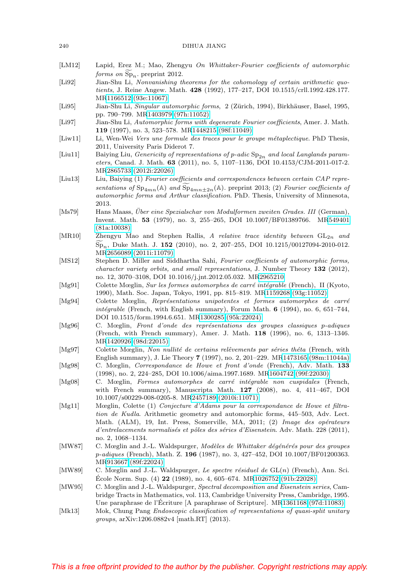#### 240 DIHUA JIANG

- [LM12] Lapid, Erez M.; Mao, Zhengyu On Whittaker-Fourier coefficients of automorphic Lapid, Erez M.; Mao, Zheng<br> *forms on*  $\widetilde{\text{Sp}}_n$ . preprint 2012.
- <span id="page-61-16"></span>[Li92] Jian-Shu Li, Nonvanishing theorems for the cohomology of certain arithmetic quotients, J. Reine Angew. Math. **428** (1992), 177–217, DOI 10.1515/crll.1992.428.177. M[R1166512 \(93e:11067\)](http://www.ams.org/mathscinet-getitem?mr=1166512)
- <span id="page-61-1"></span>[Li95] Jian-Shu Li, Singular automorphic forms, 2 (Zürich, 1994), Birkhäuser, Basel, 1995, pp. 790–799. M[R1403979 \(97h:11052\)](http://www.ams.org/mathscinet-getitem?mr=1403979)
- <span id="page-61-2"></span>[Li97] Jian-Shu Li, Automorphic forms with degenerate Fourier coefficients, Amer. J. Math. **119** (1997), no. 3, 523–578. M[R1448215 \(98f:11049\)](http://www.ams.org/mathscinet-getitem?mr=1448215)
- <span id="page-61-7"></span>[Liw11] Li, Wen-Wei Vers une formule des traces pour le groupe métaplectique. PhD Thesis, 2011, University Paris Diderot 7.
- <span id="page-61-18"></span>[Liu11] Baiying Liu, Genericity of representations of p-adic  $Sp_{2n}$  and local Langlands parameters, Canad. J. Math. **63** (2011), no. 5, 1107–1136, DOI 10.4153/CJM-2011-017-2. M[R2865733 \(2012i:22026\)](http://www.ams.org/mathscinet-getitem?mr=2865733) Baiying Liu, *Genericity of representations of p-adic*  $Sp_{2n}$  *and local Langlands parameters*, Canad. J. Math. **63** (2011), no. 5, 1107–1136, DOI 10.4153/CJM-2011-017-2.<br>MR2865733 (2012i:22026)<br>Liu, Baiying (1) *Fourier*
- <span id="page-61-5"></span>[Liu13] Liu, Baiying (1) Fourier coefficients and correspondences between certain CAP repreautomorphic forms and Arthur classification. PhD. Thesis, University of Minnesota, 2013.
- <span id="page-61-14"></span>[Ms79] Hans Maass, Über eine Spezialschar von Modulformen zweiten Grades. III (German), Invent. Math. **53** (1979), no. 3, 255–265, DOI 10.1007/BF01389766. M[R549401](http://www.ams.org/mathscinet-getitem?mr=549401) [\(81a:10038\)](http://www.ams.org/mathscinet-getitem?mr=549401) Ha<br>Inv<br>(81<br>Zh<br>Sp
- <span id="page-61-4"></span>[MR10] Zhengyu Mao and Stephen Rallis, A relative trace identity between  $GL_{2n}$  and <sup>n</sup>, Duke Math. J. **152** (2010), no. 2, 207–255, DOI 10.1215/00127094-2010-012. M[R2656089 \(2011i:11079\)](http://www.ams.org/mathscinet-getitem?mr=2656089)
- <span id="page-61-10"></span>[MS12] Stephen D. Miller and Siddhartha Sahi, Fourier coefficients of automorphic forms, character variety orbits, and small representations, J. Number Theory **132** (2012), no. 12, 3070–3108, DOI 10.1016/j.jnt.2012.05.032. M[R2965210](http://www.ams.org/mathscinet-getitem?mr=2965210)
- <span id="page-61-8"></span>[Mg91] Colette Mœglin, Sur les formes automorphes de carré intégrable (French), II (Kyoto, 1990), Math. Soc. Japan, Tokyo, 1991, pp. 815–819. M[R1159268 \(93g:11052\)](http://www.ams.org/mathscinet-getitem?mr=1159268)
- <span id="page-61-9"></span>[Mg94] Colette Mœglin, Représentations unipotentes et formes automorphes de carré intégrable (French, with English summary), Forum Math.  $6$  (1994), no. 6, 651–744, DOI 10.1515/form.1994.6.651. M[R1300285 \(95k:22024\)](http://www.ams.org/mathscinet-getitem?mr=1300285)
- <span id="page-61-12"></span>[Mg96] C. Mœglin, Front d'onde des représentations des groupes classiques p-adiques (French, with French summary), Amer. J. Math. **118** (1996), no. 6, 1313–1346. M[R1420926 \(98d:22015\)](http://www.ams.org/mathscinet-getitem?mr=1420926)
- <span id="page-61-15"></span>[Mg97] Colette Mœglin, Non nullité de certains relêvements par séries théta (French, with English summary), J. Lie Theory **7** (1997), no. 2, 201–229. M[R1473165 \(98m:11044a\)](http://www.ams.org/mathscinet-getitem?mr=1473165)
- [Mg98] C. Mœglin, Correspondance de Howe et front d'onde (French), Adv. Math. **133** (1998), no. 2, 224–285, DOI 10.1006/aima.1997.1689. M[R1604742 \(99f:22030\)](http://www.ams.org/mathscinet-getitem?mr=1604742)
- [Mg08] C. Mœglin, Formes automorphes de carré intégrable non cuspidales (French, with French summary), Manuscripta Math. **127** (2008), no. 4, 411–467, DOI 10.1007/s00229-008-0205-8. M[R2457189 \(2010i:11071\)](http://www.ams.org/mathscinet-getitem?mr=2457189)
- <span id="page-61-6"></span>[Mg11] Mœglin, Colette (1) Conjecture d'Adams pour la correspondance de Howe et filtration de Kudla. Arithmetic geometry and automorphic forms, 445–503, Adv. Lect. Math. (ALM), 19, Int. Press, Somerville, MA, 2011; (2) Image des opérateurs d'entrelacements normalisés et pôles des séries d'Eisenstein. Adv. Math. 228 (2011), no. 2, 1068–1134.
- <span id="page-61-11"></span>[MW87] C. Mœglin and J.-L. Waldspurger, *Modèles de Whittaker dégénérés pour des groupes* p-adiques (French), Math. Z. **196** (1987), no. 3, 427–452, DOI 10.1007/BF01200363. M[R913667 \(89f:22024\)](http://www.ams.org/mathscinet-getitem?mr=913667)
- <span id="page-61-0"></span>[MW89] C. Mœglin and J.-L. Waldspurger, Le spectre résiduel de  $GL(n)$  (French), Ann. Sci. Ecole Norm. Sup.  $(4)$  **22** (1989), no. 4, 605–674. M[R1026752 \(91b:22028\)](http://www.ams.org/mathscinet-getitem?mr=1026752)
- <span id="page-61-13"></span>[MW95] C. Mœglin and J.-L. Waldspurger, Spectral decomposition and Eisenstein series, Cambridge Tracts in Mathematics, vol. 113, Cambridge University Press, Cambridge, 1995. Une paraphrase de l'Écriture [A paraphrase of Scripture]. M[R1361168 \(97d:11083\)](http://www.ams.org/mathscinet-getitem?mr=1361168)
- <span id="page-61-3"></span>[Mk13] Mok, Chung Pang Endoscopic classification of representations of quasi-split unitary groups, arXiv:1206.0882v4 [math.RT] (2013).

<span id="page-61-17"></span>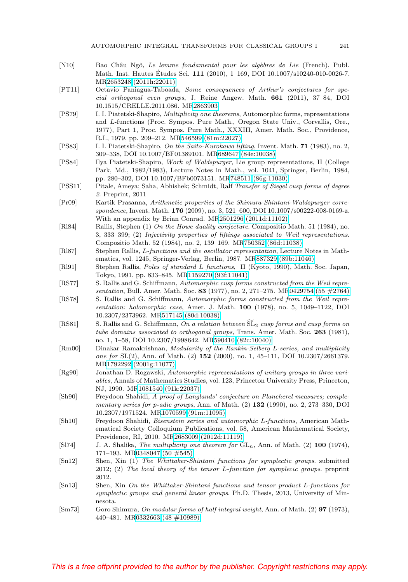- <span id="page-62-3"></span>[N10] Bao Châu Ngô, Le lemme fondamental pour les algèbres de Lie (French), Publ. Math. Inst. Hautes Études Sci. **111** (2010), 1-169, DOI 10.1007/s10240-010-0026-7. M[R2653248 \(2011h:22011\)](http://www.ams.org/mathscinet-getitem?mr=2653248)
- <span id="page-62-10"></span>[PT11] Octavio Paniagua-Taboada, Some consequences of Arthur's conjectures for special orthogonal even groups, J. Reine Angew. Math. **661** (2011), 37–84, DOI 10.1515/CRELLE.2011.086. M[R2863903](http://www.ams.org/mathscinet-getitem?mr=2863903)
- <span id="page-62-1"></span>[PS79] I. I. Piatetski-Shapiro, *Multiplicity one theorems*, Automorphic forms, representations and L-functions (Proc. Sympos. Pure Math., Oregon State Univ., Corvallis, Ore., 1977), Part 1, Proc. Sympos. Pure Math., XXXIII, Amer. Math. Soc., Providence, R.I., 1979, pp. 209–212. M[R546599 \(81m:22027\)](http://www.ams.org/mathscinet-getitem?mr=546599)
- <span id="page-62-7"></span>[PS83] I. I. Piatetski-Shapiro, On the Saito-Kurokawa lifting, Invent. Math. **71** (1983), no. 2, 309–338, DOI 10.1007/BF01389101. M[R689647 \(84e:10038\)](http://www.ams.org/mathscinet-getitem?mr=689647)
- <span id="page-62-14"></span>[PS84] Ilya Piatetski-Shapiro, Work of Waldspurger, Lie group representations, II (College Park, Md., 1982/1983), Lecture Notes in Math., vol. 1041, Springer, Berlin, 1984, pp. 280–302, DOI 10.1007/BFb0073151. M[R748511 \(86g:11030\)](http://www.ams.org/mathscinet-getitem?mr=748511)
- <span id="page-62-4"></span>[PSS11] Pitale, Ameya; Saha, Abhishek; Schmidt, Ralf Transfer of Siegel cusp forms of degree 2. Preprint, 2011
- <span id="page-62-19"></span>[Pr09] Kartik Prasanna, Arithmetic properties of the Shimura-Shintani-Waldspurger correspondence, Invent. Math. **176** (2009), no. 3, 521–600, DOI 10.1007/s00222-008-0169-z. With an appendix by Brian Conrad. M[R2501296 \(2011d:11102\)](http://www.ams.org/mathscinet-getitem?mr=2501296)
- <span id="page-62-18"></span>[Rl84] Rallis, Stephen (1) On the Howe duality conjecture. Compositio Math. 51 (1984), no. 3, 333–399; (2) Injectivity properties of liftings associated to Weil representations. Compositio Math. 52 (1984), no. 2, 139–169. M[R750352 \(86d:11038\)](http://www.ams.org/mathscinet-getitem?mr=750352)
- <span id="page-62-8"></span>[Rl87] Stephen Rallis, L-functions and the oscillator representation, Lecture Notes in Mathematics, vol. 1245, Springer-Verlag, Berlin, 1987. M[R887329 \(89b:11046\)](http://www.ams.org/mathscinet-getitem?mr=887329)
- <span id="page-62-9"></span>[Rl91] Stephen Rallis, Poles of standard L functions, II (Kyoto, 1990), Math. Soc. Japan, Tokyo, 1991, pp. 833–845. M[R1159270 \(93f:11041\)](http://www.ams.org/mathscinet-getitem?mr=1159270)
- <span id="page-62-15"></span>[RS77] S. Rallis and G. Schiffmann, Automorphic cusp forms constructed from the Weil representation, Bull. Amer. Math. Soc. **83** (1977), no. 2, 271–275. M[R0429754 \(55 #2764\)](http://www.ams.org/mathscinet-getitem?mr=0429754)
- <span id="page-62-16"></span>[RS78] S. Rallis and G. Schiffmann, Automorphic forms constructed from the Weil representation: holomorphic case, Amer. J. Math. **100** (1978), no. 5, 1049–1122, DOI 10.2307/2373962. M[R517145 \(80d:10038\)](http://www.ams.org/mathscinet-getitem?mr=517145) sentation, Bull. Amer. Math. Soc. 83 (1977), no. 2, 27<br>
[RS78] S. Rallis and G. Schiffmann, *Automorphic forms co*<br>
sentation: holomorphic case, Amer. J. Math. **100**<br>
10.2307/2373962. MR517145 (80d:10038)<br>
[RS81] S. Rallis
- <span id="page-62-17"></span>S. Rallis and G. Schiffmann, On a relation between  $\widetilde{\mathrm{SL}}_2$  cusp forms and cusp forms on tube domains associated to orthogonal groups, Trans. Amer. Math. Soc. **263** (1981), no. 1, 1–58, DOI 10.2307/1998642. M[R590410 \(82c:10040\)](http://www.ams.org/mathscinet-getitem?mr=590410)
- <span id="page-62-2"></span>[Rm00] Dinakar Ramakrishnan, Modularity of the Rankin-Selberg L-series, and multiplicity one for SL(2), Ann. of Math. (2) **152** (2000), no. 1, 45–111, DOI 10.2307/2661379. M[R1792292 \(2001g:11077\)](http://www.ams.org/mathscinet-getitem?mr=1792292)
- <span id="page-62-11"></span>[Rg90] Jonathan D. Rogawski, Automorphic representations of unitary groups in three variables, Annals of Mathematics Studies, vol. 123, Princeton University Press, Princeton, NJ, 1990. M[R1081540 \(91k:22037\)](http://www.ams.org/mathscinet-getitem?mr=1081540)
- [Sh90] Freydoon Shahidi, A proof of Langlands' conjecture on Plancherel measures; complementary series for p-adic groups, Ann. of Math. (2) **132** (1990), no. 2, 273–330, DOI 10.2307/1971524. M[R1070599 \(91m:11095\)](http://www.ams.org/mathscinet-getitem?mr=1070599)
- <span id="page-62-12"></span>[Sh10] Freydoon Shahidi, Eisenstein series and automorphic L-functions, American Mathematical Society Colloquium Publications, vol. 58, American Mathematical Society, Providence, RI, 2010. M[R2683009 \(2012d:11119\)](http://www.ams.org/mathscinet-getitem?mr=2683009)
- <span id="page-62-0"></span>[Sl74] J. A. Shalika, The multiplicity one theorem for GLn, Ann. of Math. (2) **100** (1974), 171–193. M[R0348047 \(50 #545\)](http://www.ams.org/mathscinet-getitem?mr=0348047)
- <span id="page-62-5"></span>[Sn12] Shen, Xin (1) The Whittaker-Shintani functions for symplectic groups. submitted 2012; (2) The local theory of the tensor L-function for symplecic groups. preprint 2012.
- <span id="page-62-6"></span>[Sn13] Shen, Xin On the Whittaker-Shintani functions and tensor product L-functions for symplectic groups and general linear groups. Ph.D. Thesis, 2013, University of Minnesota.
- <span id="page-62-13"></span>[Sm73] Goro Shimura, On modular forms of half integral weight, Ann. of Math. (2) **97** (1973), 440–481. M[R0332663 \(48 #10989\)](http://www.ams.org/mathscinet-getitem?mr=0332663)